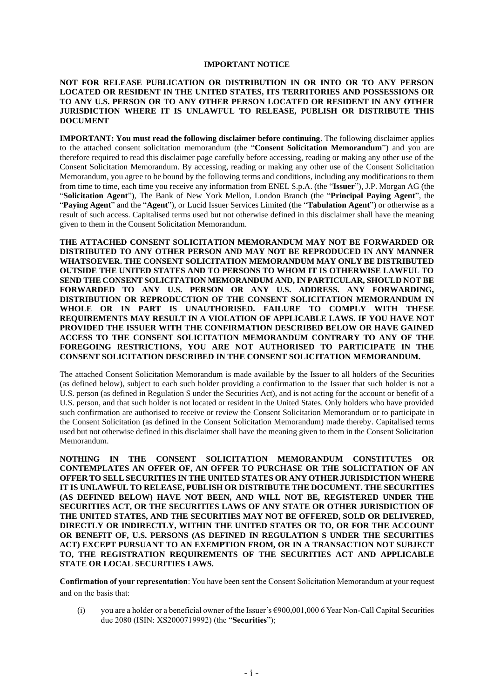#### **IMPORTANT NOTICE**

#### **NOT FOR RELEASE PUBLICATION OR DISTRIBUTION IN OR INTO OR TO ANY PERSON LOCATED OR RESIDENT IN THE UNITED STATES, ITS TERRITORIES AND POSSESSIONS OR TO ANY U.S. PERSON OR TO ANY OTHER PERSON LOCATED OR RESIDENT IN ANY OTHER JURISDICTION WHERE IT IS UNLAWFUL TO RELEASE, PUBLISH OR DISTRIBUTE THIS DOCUMENT**

**IMPORTANT: You must read the following disclaimer before continuing**. The following disclaimer applies to the attached consent solicitation memorandum (the "**Consent Solicitation Memorandum**") and you are therefore required to read this disclaimer page carefully before accessing, reading or making any other use of the Consent Solicitation Memorandum. By accessing, reading or making any other use of the Consent Solicitation Memorandum, you agree to be bound by the following terms and conditions, including any modifications to them from time to time, each time you receive any information from ENEL S.p.A. (the "**Issuer**"), J.P. Morgan AG (the "**Solicitation Agent**"), The Bank of New York Mellon, London Branch (the "**Principal Paying Agent**", the "**Paying Agent**" and the "**Agent**"), or Lucid Issuer Services Limited (the "**Tabulation Agent**") or otherwise as a result of such access. Capitalised terms used but not otherwise defined in this disclaimer shall have the meaning given to them in the Consent Solicitation Memorandum.

**THE ATTACHED CONSENT SOLICITATION MEMORANDUM MAY NOT BE FORWARDED OR DISTRIBUTED TO ANY OTHER PERSON AND MAY NOT BE REPRODUCED IN ANY MANNER WHATSOEVER. THE CONSENT SOLICITATION MEMORANDUM MAY ONLY BE DISTRIBUTED OUTSIDE THE UNITED STATES AND TO PERSONS TO WHOM IT IS OTHERWISE LAWFUL TO SEND THE CONSENT SOLICITATION MEMORANDUM AND, IN PARTICULAR, SHOULD NOT BE FORWARDED TO ANY U.S. PERSON OR ANY U.S. ADDRESS. ANY FORWARDING, DISTRIBUTION OR REPRODUCTION OF THE CONSENT SOLICITATION MEMORANDUM IN WHOLE OR IN PART IS UNAUTHORISED. FAILURE TO COMPLY WITH THESE REQUIREMENTS MAY RESULT IN A VIOLATION OF APPLICABLE LAWS. IF YOU HAVE NOT PROVIDED THE ISSUER WITH THE CONFIRMATION DESCRIBED BELOW OR HAVE GAINED ACCESS TO THE CONSENT SOLICITATION MEMORANDUM CONTRARY TO ANY OF THE FOREGOING RESTRICTIONS, YOU ARE NOT AUTHORISED TO PARTICIPATE IN THE CONSENT SOLICITATION DESCRIBED IN THE CONSENT SOLICITATION MEMORANDUM.**

The attached Consent Solicitation Memorandum is made available by the Issuer to all holders of the Securities (as defined below), subject to each such holder providing a confirmation to the Issuer that such holder is not a U.S. person (as defined in Regulation S under the Securities Act), and is not acting for the account or benefit of a U.S. person, and that such holder is not located or resident in the United States. Only holders who have provided such confirmation are authorised to receive or review the Consent Solicitation Memorandum or to participate in the Consent Solicitation (as defined in the Consent Solicitation Memorandum) made thereby. Capitalised terms used but not otherwise defined in this disclaimer shall have the meaning given to them in the Consent Solicitation Memorandum.

**NOTHING IN THE CONSENT SOLICITATION MEMORANDUM CONSTITUTES OR CONTEMPLATES AN OFFER OF, AN OFFER TO PURCHASE OR THE SOLICITATION OF AN OFFER TO SELL SECURITIES IN THE UNITED STATES OR ANY OTHER JURISDICTION WHERE IT IS UNLAWFUL TO RELEASE, PUBLISH OR DISTRIBUTE THE DOCUMENT. THE SECURITIES (AS DEFINED BELOW) HAVE NOT BEEN, AND WILL NOT BE, REGISTERED UNDER THE SECURITIES ACT, OR THE SECURITIES LAWS OF ANY STATE OR OTHER JURISDICTION OF THE UNITED STATES, AND THE SECURITIES MAY NOT BE OFFERED, SOLD OR DELIVERED, DIRECTLY OR INDIRECTLY, WITHIN THE UNITED STATES OR TO, OR FOR THE ACCOUNT OR BENEFIT OF, U.S. PERSONS (AS DEFINED IN REGULATION S UNDER THE SECURITIES ACT) EXCEPT PURSUANT TO AN EXEMPTION FROM, OR IN A TRANSACTION NOT SUBJECT TO, THE REGISTRATION REQUIREMENTS OF THE SECURITIES ACT AND APPLICABLE STATE OR LOCAL SECURITIES LAWS.**

**Confirmation of your representation**: You have been sent the Consent Solicitation Memorandum at your request and on the basis that:

(i) you are a holder or a beneficial owner of the Issuer's  $\epsilon$ 900,001,000 6 Year Non-Call Capital Securities due 2080 (ISIN: XS2000719992) (the "**Securities**");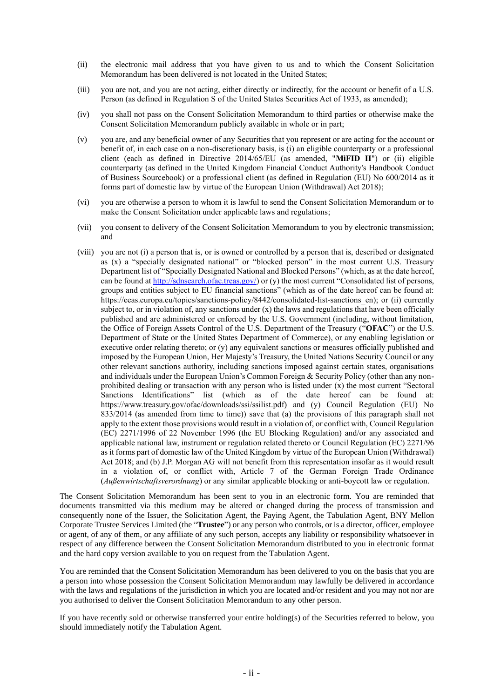- (ii) the electronic mail address that you have given to us and to which the Consent Solicitation Memorandum has been delivered is not located in the United States;
- (iii) you are not, and you are not acting, either directly or indirectly, for the account or benefit of a U.S. Person (as defined in Regulation S of the United States Securities Act of 1933, as amended);
- (iv) you shall not pass on the Consent Solicitation Memorandum to third parties or otherwise make the Consent Solicitation Memorandum publicly available in whole or in part;
- (v) you are, and any beneficial owner of any Securities that you represent or are acting for the account or benefit of, in each case on a non-discretionary basis, is (i) an eligible counterparty or a professional client (each as defined in Directive 2014/65/EU (as amended, "**MiFID II**") or (ii) eligible counterparty (as defined in the United Kingdom Financial Conduct Authority's Handbook Conduct of Business Sourcebook) or a professional client (as defined in Regulation (EU) No 600/2014 as it forms part of domestic law by virtue of the European Union (Withdrawal) Act 2018);
- (vi) you are otherwise a person to whom it is lawful to send the Consent Solicitation Memorandum or to make the Consent Solicitation under applicable laws and regulations;
- (vii) you consent to delivery of the Consent Solicitation Memorandum to you by electronic transmission; and
- (viii) you are not (i) a person that is, or is owned or controlled by a person that is, described or designated as (x) a "specially designated national" or "blocked person" in the most current U.S. Treasury Department list of "Specially Designated National and Blocked Persons" (which, as at the date hereof, can be found a[t http://sdnsearch.ofac.treas.gov/\)](http://sdnsearch.ofac.treas.gov/) or (y) the most current "Consolidated list of persons, groups and entities subject to EU financial sanctions" (which as of the date hereof can be found at: https://eeas.europa.eu/topics/sanctions-policy/8442/consolidated-list-sanctions\_en); or (ii) currently subject to, or in violation of, any sanctions under  $(x)$  the laws and regulations that have been officially published and are administered or enforced by the U.S. Government (including, without limitation, the Office of Foreign Assets Control of the U.S. Department of the Treasury ("**OFAC**") or the U.S. Department of State or the United States Department of Commerce), or any enabling legislation or executive order relating thereto; or (y) any equivalent sanctions or measures officially published and imposed by the European Union, Her Majesty's Treasury, the United Nations Security Council or any other relevant sanctions authority, including sanctions imposed against certain states, organisations and individuals under the European Union's Common Foreign & Security Policy (other than any nonprohibited dealing or transaction with any person who is listed under (x) the most current "Sectoral Sanctions Identifications" list (which as of the date hereof can be found at: https://www.treasury.gov/ofac/downloads/ssi/ssilist.pdf) and (y) Council Regulation (EU) No 833/2014 (as amended from time to time)) save that (a) the provisions of this paragraph shall not apply to the extent those provisions would result in a violation of, or conflict with, Council Regulation (EC) 2271/1996 of 22 November 1996 (the EU Blocking Regulation) and/or any associated and applicable national law, instrument or regulation related thereto or Council Regulation (EC) 2271/96 as it forms part of domestic law of the United Kingdom by virtue of the European Union (Withdrawal) Act 2018; and (b) J.P. Morgan AG will not benefit from this representation insofar as it would result in a violation of, or conflict with, Article 7 of the German Foreign Trade Ordinance (*Außenwirtschaftsverordnung*) or any similar applicable blocking or anti-boycott law or regulation.

The Consent Solicitation Memorandum has been sent to you in an electronic form. You are reminded that documents transmitted via this medium may be altered or changed during the process of transmission and consequently none of the Issuer, the Solicitation Agent, the Paying Agent, the Tabulation Agent, BNY Mellon Corporate Trustee Services Limited (the "**Trustee**") or any person who controls, or is a director, officer, employee or agent, of any of them, or any affiliate of any such person, accepts any liability or responsibility whatsoever in respect of any difference between the Consent Solicitation Memorandum distributed to you in electronic format and the hard copy version available to you on request from the Tabulation Agent.

You are reminded that the Consent Solicitation Memorandum has been delivered to you on the basis that you are a person into whose possession the Consent Solicitation Memorandum may lawfully be delivered in accordance with the laws and regulations of the jurisdiction in which you are located and/or resident and you may not nor are you authorised to deliver the Consent Solicitation Memorandum to any other person.

If you have recently sold or otherwise transferred your entire holding(s) of the Securities referred to below, you should immediately notify the Tabulation Agent.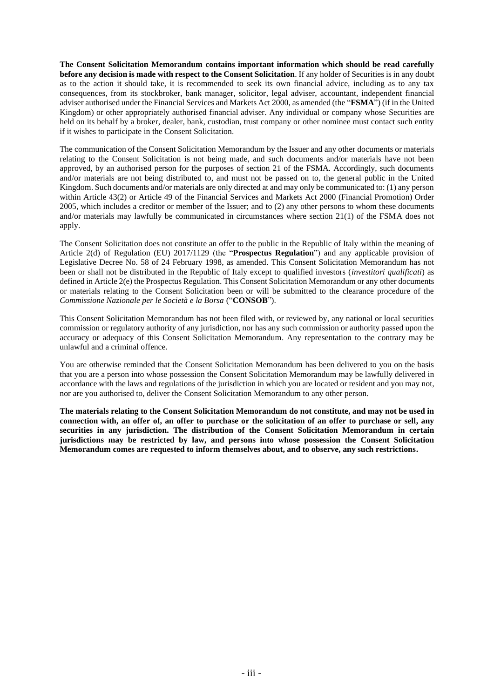**The Consent Solicitation Memorandum contains important information which should be read carefully before any decision is made with respect to the Consent Solicitation**. If any holder of Securities is in any doubt as to the action it should take, it is recommended to seek its own financial advice, including as to any tax consequences, from its stockbroker, bank manager, solicitor, legal adviser, accountant, independent financial adviser authorised under the Financial Services and Markets Act 2000, as amended (the "**FSMA**") (if in the United Kingdom) or other appropriately authorised financial adviser. Any individual or company whose Securities are held on its behalf by a broker, dealer, bank, custodian, trust company or other nominee must contact such entity if it wishes to participate in the Consent Solicitation.

The communication of the Consent Solicitation Memorandum by the Issuer and any other documents or materials relating to the Consent Solicitation is not being made, and such documents and/or materials have not been approved, by an authorised person for the purposes of section 21 of the FSMA. Accordingly, such documents and/or materials are not being distributed to, and must not be passed on to, the general public in the United Kingdom. Such documents and/or materials are only directed at and may only be communicated to: (1) any person within Article 43(2) or Article 49 of the Financial Services and Markets Act 2000 (Financial Promotion) Order 2005, which includes a creditor or member of the Issuer; and to (2) any other persons to whom these documents and/or materials may lawfully be communicated in circumstances where section 21(1) of the FSMA does not apply.

The Consent Solicitation does not constitute an offer to the public in the Republic of Italy within the meaning of Article 2(d) of Regulation (EU) 2017/1129 (the "**Prospectus Regulation**") and any applicable provision of Legislative Decree No. 58 of 24 February 1998, as amended. This Consent Solicitation Memorandum has not been or shall not be distributed in the Republic of Italy except to qualified investors (*investitori qualificati*) as defined in Article 2(e) the Prospectus Regulation. This Consent Solicitation Memorandum or any other documents or materials relating to the Consent Solicitation been or will be submitted to the clearance procedure of the *Commissione Nazionale per le Società e la Borsa* ("**CONSOB**").

This Consent Solicitation Memorandum has not been filed with, or reviewed by, any national or local securities commission or regulatory authority of any jurisdiction, nor has any such commission or authority passed upon the accuracy or adequacy of this Consent Solicitation Memorandum. Any representation to the contrary may be unlawful and a criminal offence.

You are otherwise reminded that the Consent Solicitation Memorandum has been delivered to you on the basis that you are a person into whose possession the Consent Solicitation Memorandum may be lawfully delivered in accordance with the laws and regulations of the jurisdiction in which you are located or resident and you may not, nor are you authorised to, deliver the Consent Solicitation Memorandum to any other person.

**The materials relating to the Consent Solicitation Memorandum do not constitute, and may not be used in connection with, an offer of, an offer to purchase or the solicitation of an offer to purchase or sell, any securities in any jurisdiction. The distribution of the Consent Solicitation Memorandum in certain jurisdictions may be restricted by law, and persons into whose possession the Consent Solicitation Memorandum comes are requested to inform themselves about, and to observe, any such restrictions.**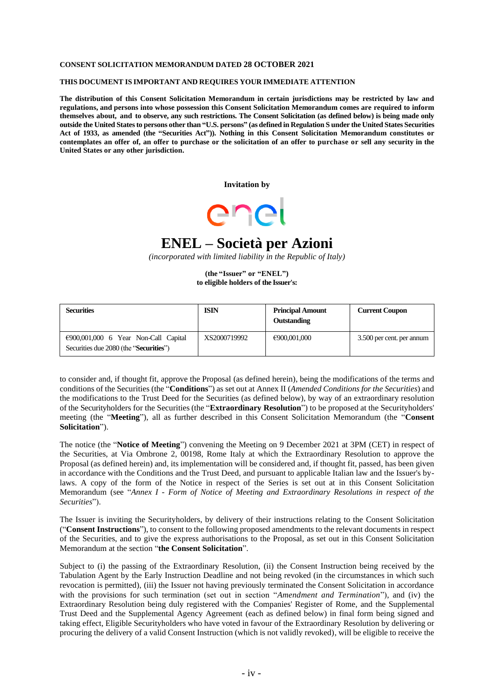#### **CONSENT SOLICITATION MEMORANDUM DATED 28 OCTOBER 2021**

#### **THIS DOCUMENT IS IMPORTANT AND REQUIRES YOUR IMMEDIATE ATTENTION**

**The distribution of this Consent Solicitation Memorandum in certain jurisdictions may be restricted by law and regulations, and persons into whose possession this Consent Solicitation Memorandum comes are required to inform themselves about, and to observe, any such restrictions. The Consent Solicitation (as defined below) is being made only outside the United States to persons other than "U.S. persons" (as defined in Regulation S under the United States Securities Act of 1933, as amended (the "Securities Act")). Nothing in this Consent Solicitation Memorandum constitutes or** contemplates an offer of, an offer to purchase or the solicitation of an offer to purchase or sell any security in the **United States or any other jurisdiction.**

**Invitation by**



# **ENEL – Società per Azioni**

*(incorporated with limited liability in the Republic of Italy)*

**(the "Issuer" or "ENEL") to eligible holders of the Issuer's:**

| <b>Securities</b>                                                                        | <b>ISIN</b>  | <b>Principal Amount</b><br>Outstanding | <b>Current Coupon</b>     |
|------------------------------------------------------------------------------------------|--------------|----------------------------------------|---------------------------|
| $\epsilon$ 900,001,000 6 Year Non-Call Capital<br>Securities due 2080 (the "Securities") | XS2000719992 | €900,001,000                           | 3.500 per cent. per annum |

to consider and, if thought fit, approve the Proposal (as defined herein), being the modifications of the terms and conditions of the Securities (the "**Conditions**") as set out at Annex II (*Amended Conditions for the Securities*) and the modifications to the Trust Deed for the Securities (as defined below), by way of an extraordinary resolution of the Securityholders for the Securities (the "**Extraordinary Resolution**") to be proposed at the Securityholders' meeting (the "**Meeting**"), all as further described in this Consent Solicitation Memorandum (the "**Consent Solicitation**").

The notice (the "**Notice of Meeting**") convening the Meeting on 9 December 2021 at 3PM (CET) in respect of the Securities, at Via Ombrone 2, 00198, Rome Italy at which the Extraordinary Resolution to approve the Proposal (as defined herein) and, its implementation will be considered and, if thought fit, passed, has been given in accordance with the Conditions and the Trust Deed, and pursuant to applicable Italian law and the Issuer's bylaws. A copy of the form of the Notice in respect of the Series is set out at in this Consent Solicitation Memorandum (see "*Annex I - Form of Notice of Meeting and Extraordinary Resolutions in respect of the Securities*").

The Issuer is inviting the Securityholders, by delivery of their instructions relating to the Consent Solicitation ("**Consent Instructions**"), to consent to the following proposed amendments to the relevant documents in respect of the Securities, and to give the express authorisations to the Proposal, as set out in this Consent Solicitation Memorandum at the section "**the Consent Solicitation**".

Subject to (i) the passing of the Extraordinary Resolution, (ii) the Consent Instruction being received by the Tabulation Agent by the Early Instruction Deadline and not being revoked (in the circumstances in which such revocation is permitted), (iii) the Issuer not having previously terminated the Consent Solicitation in accordance with the provisions for such termination (set out in section "*Amendment and Termination*"), and (iv) the Extraordinary Resolution being duly registered with the Companies' Register of Rome, and the Supplemental Trust Deed and the Supplemental Agency Agreement (each as defined below) in final form being signed and taking effect, Eligible Securityholders who have voted in favour of the Extraordinary Resolution by delivering or procuring the delivery of a valid Consent Instruction (which is not validly revoked), will be eligible to receive the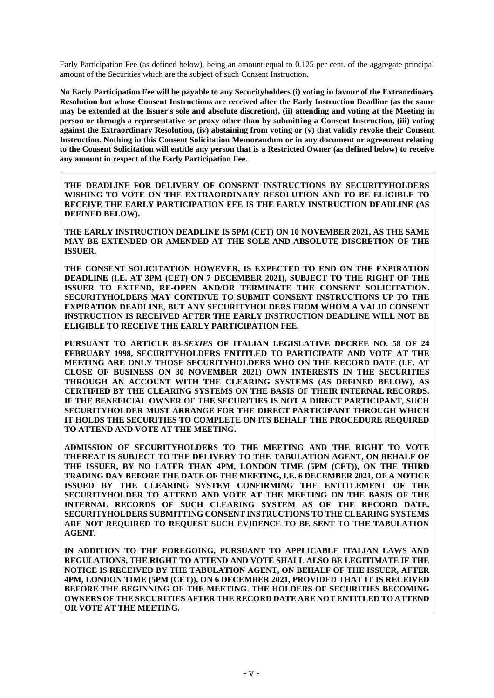Early Participation Fee (as defined below), being an amount equal to 0.125 per cent. of the aggregate principal amount of the Securities which are the subject of such Consent Instruction.

**No Early Participation Fee will be payable to any Securityholders (i) voting in favour of the Extraordinary Resolution but whose Consent Instructions are received after the Early Instruction Deadline (as the same may be extended at the Issuer's sole and absolute discretion), (ii) attending and voting at the Meeting in person or through a representative or proxy other than by submitting a Consent Instruction, (iii) voting against the Extraordinary Resolution, (iv) abstaining from voting or (v) that validly revoke their Consent Instruction. Nothing in this Consent Solicitation Memorandum or in any document or agreement relating to the Consent Solicitation will entitle any person that is a Restricted Owner (as defined below) to receive any amount in respect of the Early Participation Fee.**

**THE DEADLINE FOR DELIVERY OF CONSENT INSTRUCTIONS BY SECURITYHOLDERS WISHING TO VOTE ON THE EXTRAORDINARY RESOLUTION AND TO BE ELIGIBLE TO RECEIVE THE EARLY PARTICIPATION FEE IS THE EARLY INSTRUCTION DEADLINE (AS DEFINED BELOW).**

**THE EARLY INSTRUCTION DEADLINE IS 5PM (CET) ON 10 NOVEMBER 2021, AS THE SAME MAY BE EXTENDED OR AMENDED AT THE SOLE AND ABSOLUTE DISCRETION OF THE ISSUER.**

**THE CONSENT SOLICITATION HOWEVER, IS EXPECTED TO END ON THE EXPIRATION DEADLINE (I.E. AT 3PM (CET) ON 7 DECEMBER 2021), SUBJECT TO THE RIGHT OF THE ISSUER TO EXTEND, RE-OPEN AND/OR TERMINATE THE CONSENT SOLICITATION. SECURITYHOLDERS MAY CONTINUE TO SUBMIT CONSENT INSTRUCTIONS UP TO THE EXPIRATION DEADLINE, BUT ANY SECURITYHOLDERS FROM WHOM A VALID CONSENT INSTRUCTION IS RECEIVED AFTER THE EARLY INSTRUCTION DEADLINE WILL NOT BE ELIGIBLE TO RECEIVE THE EARLY PARTICIPATION FEE.**

**PURSUANT TO ARTICLE 83-***SEXIES* **OF ITALIAN LEGISLATIVE DECREE NO. 58 OF 24 FEBRUARY 1998, SECURITYHOLDERS ENTITLED TO PARTICIPATE AND VOTE AT THE MEETING ARE ONLY THOSE SECURITYHOLDERS WHO ON THE RECORD DATE (I.E. AT CLOSE OF BUSINESS ON 30 NOVEMBER 2021) OWN INTERESTS IN THE SECURITIES THROUGH AN ACCOUNT WITH THE CLEARING SYSTEMS (AS DEFINED BELOW), AS CERTIFIED BY THE CLEARING SYSTEMS ON THE BASIS OF THEIR INTERNAL RECORDS. IF THE BENEFICIAL OWNER OF THE SECURITIES IS NOT A DIRECT PARTICIPANT, SUCH SECURITYHOLDER MUST ARRANGE FOR THE DIRECT PARTICIPANT THROUGH WHICH IT HOLDS THE SECURITIES TO COMPLETE ON ITS BEHALF THE PROCEDURE REQUIRED TO ATTEND AND VOTE AT THE MEETING.**

**ADMISSION OF SECURITYHOLDERS TO THE MEETING AND THE RIGHT TO VOTE THEREAT IS SUBJECT TO THE DELIVERY TO THE TABULATION AGENT, ON BEHALF OF THE ISSUER, BY NO LATER THAN 4PM, LONDON TIME (5PM (CET)), ON THE THIRD TRADING DAY BEFORE THE DATE OF THE MEETING, I.E. 6 DECEMBER 2021, OF A NOTICE ISSUED BY THE CLEARING SYSTEM CONFIRMING THE ENTITLEMENT OF THE SECURITYHOLDER TO ATTEND AND VOTE AT THE MEETING ON THE BASIS OF THE INTERNAL RECORDS OF SUCH CLEARING SYSTEM AS OF THE RECORD DATE. SECURITYHOLDERS SUBMITTING CONSENT INSTRUCTIONS TO THE CLEARING SYSTEMS ARE NOT REQUIRED TO REQUEST SUCH EVIDENCE TO BE SENT TO THE TABULATION AGENT.**

**IN ADDITION TO THE FOREGOING, PURSUANT TO APPLICABLE ITALIAN LAWS AND REGULATIONS, THE RIGHT TO ATTEND AND VOTE SHALL ALSO BE LEGITIMATE IF THE NOTICE IS RECEIVED BY THE TABULATION AGENT, ON BEHALF OF THE ISSUER, AFTER 4PM, LONDON TIME (5PM (CET)), ON 6 DECEMBER 2021, PROVIDED THAT IT IS RECEIVED BEFORE THE BEGINNING OF THE MEETING. THE HOLDERS OF SECURITIES BECOMING OWNERS OF THE SECURITIES AFTER THE RECORD DATE ARE NOT ENTITLED TO ATTEND OR VOTE AT THE MEETING.**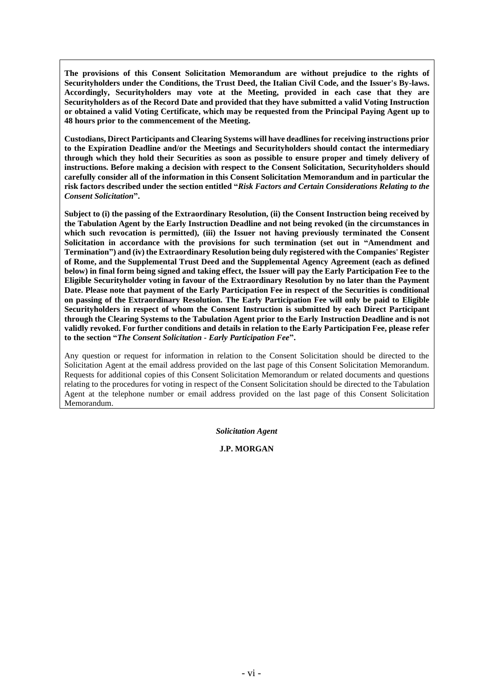**The provisions of this Consent Solicitation Memorandum are without prejudice to the rights of Securityholders under the Conditions, the Trust Deed, the Italian Civil Code, and the Issuer's By-laws. Accordingly, Securityholders may vote at the Meeting, provided in each case that they are Securityholders as of the Record Date and provided that they have submitted a valid Voting Instruction or obtained a valid Voting Certificate, which may be requested from the Principal Paying Agent up to 48 hours prior to the commencement of the Meeting.**

**Custodians, Direct Participants and Clearing Systems will have deadlines for receiving instructions prior to the Expiration Deadline and/or the Meetings and Securityholders should contact the intermediary through which they hold their Securities as soon as possible to ensure proper and timely delivery of instructions. Before making a decision with respect to the Consent Solicitation, Securityholders should carefully consider all of the information in this Consent Solicitation Memorandum and in particular the risk factors described under the section entitled "***Risk Factors and Certain Considerations Relating to the Consent Solicitation***".**

**Subject to (i) the passing of the Extraordinary Resolution, (ii) the Consent Instruction being received by the Tabulation Agent by the Early Instruction Deadline and not being revoked (in the circumstances in which such revocation is permitted), (iii) the Issuer not having previously terminated the Consent Solicitation in accordance with the provisions for such termination (set out in "Amendment and Termination") and (iv) the Extraordinary Resolution being duly registered with the Companies' Register of Rome, and the Supplemental Trust Deed and the Supplemental Agency Agreement (each as defined below) in final form being signed and taking effect, the Issuer will pay the Early Participation Fee to the Eligible Securityholder voting in favour of the Extraordinary Resolution by no later than the Payment Date. Please note that payment of the Early Participation Fee in respect of the Securities is conditional on passing of the Extraordinary Resolution. The Early Participation Fee will only be paid to Eligible Securityholders in respect of whom the Consent Instruction is submitted by each Direct Participant through the Clearing Systems to the Tabulation Agent prior to the Early Instruction Deadline and is not validly revoked. For further conditions and details in relation to the Early Participation Fee, please refer to the section "***The Consent Solicitation - Early Participation Fee***".**

Any question or request for information in relation to the Consent Solicitation should be directed to the Solicitation Agent at the email address provided on the last page of this Consent Solicitation Memorandum. Requests for additional copies of this Consent Solicitation Memorandum or related documents and questions relating to the procedures for voting in respect of the Consent Solicitation should be directed to the Tabulation Agent at the telephone number or email address provided on the last page of this Consent Solicitation Memorandum.

*Solicitation Agent*

**J.P. MORGAN**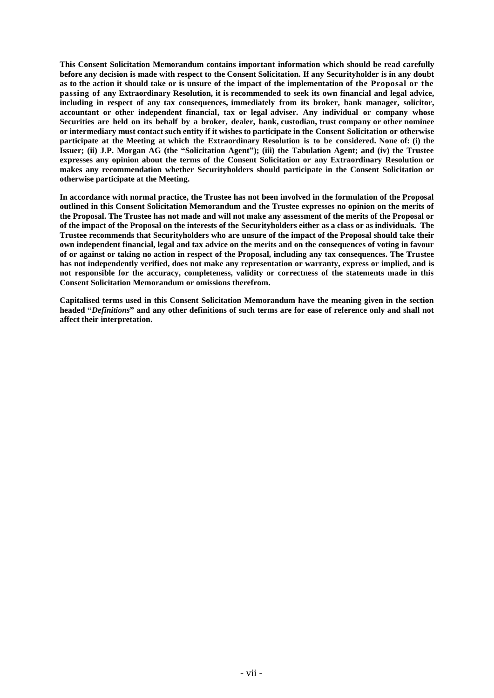**This Consent Solicitation Memorandum contains important information which should be read carefully** before any decision is made with respect to the Consent Solicitation. If any Securityholder is in any doubt as to the action it should take or is unsure of the impact of the implementation of the Proposal or the **passing of any Extraordinary Resolution, it is recommended to seek its own financial and legal advice, including in respect of any tax consequences, immediately from its broker, bank manager, solicitor, accountant or other independent financial, tax or legal adviser. Any individual or company whose Securities are held on its behalf by a broker, dealer, bank, custodian, trust company or other nominee** or intermediary must contact such entity if it wishes to participate in the Consent Solicitation or otherwise **participate at the Meeting at which the Extraordinary Resolution is to be considered. None of: (i) the Issuer; (ii) J.P. Morgan AG (the "Solicitation Agent"); (iii) the Tabulation Agent; and (iv) the Trustee expresses any opinion about the terms of the Consent Solicitation or any Extraordinary Resolution or makes any recommendation whether Securityholders should participate in the Consent Solicitation or otherwise participate at the Meeting.**

**In accordance with normal practice, the Trustee has not been involved in the formulation of the Proposal outlined in this Consent Solicitation Memorandum and the Trustee expresses no opinion on the merits of the Proposal. The Trustee has not made and will not make any assessment of the merits of the Proposal or of the impact of the Proposal on the interests of the Securityholders either as a class or as individuals. The Trustee recommends that Securityholders who are unsure of the impact of the Proposal should take their own independent financial, legal and tax advice on the merits and on the consequences of voting in favour of or against or taking no action in respect of the Proposal, including any tax consequences. The Trustee has not independently verified, does not make any representation or warranty, express or implied, and is not responsible for the accuracy, completeness, validity or correctness of the statements made in this Consent Solicitation Memorandum or omissions therefrom.**

**Capitalised terms used in this Consent Solicitation Memorandum have the meaning given in the section headed "***Definitions***" and any other definitions of such terms are for ease of reference only and shall not affect their interpretation.**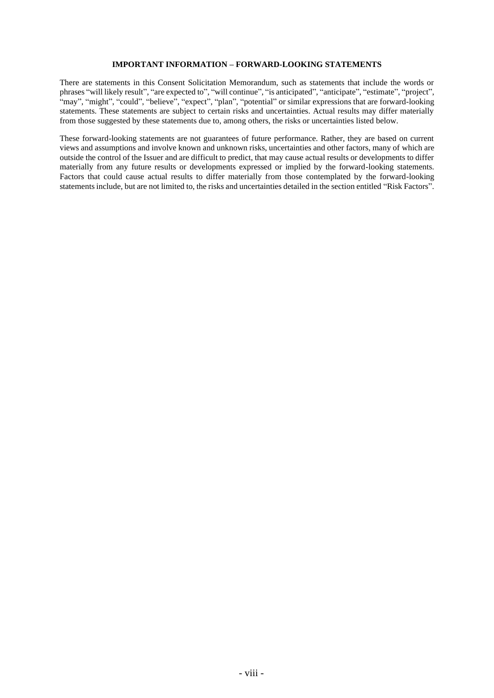#### **IMPORTANT INFORMATION – FORWARD-LOOKING STATEMENTS**

There are statements in this Consent Solicitation Memorandum, such as statements that include the words or phrases "will likely result", "are expected to", "will continue", "is anticipated", "anticipate", "estimate", "project", "may", "might", "could", "believe", "expect", "plan", "potential" or similar expressions that are forward-looking statements. These statements are subject to certain risks and uncertainties. Actual results may differ materially from those suggested by these statements due to, among others, the risks or uncertainties listed below.

These forward-looking statements are not guarantees of future performance. Rather, they are based on current views and assumptions and involve known and unknown risks, uncertainties and other factors, many of which are outside the control of the Issuer and are difficult to predict, that may cause actual results or developments to differ materially from any future results or developments expressed or implied by the forward-looking statements. Factors that could cause actual results to differ materially from those contemplated by the forward-looking statements include, but are not limited to, the risks and uncertainties detailed in the section entitled "Risk Factors".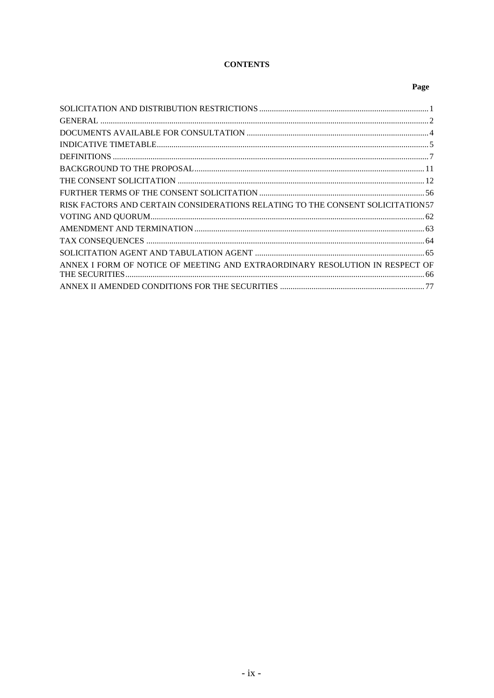# **CONTENTS**

# Page

| RISK FACTORS AND CERTAIN CONSIDERATIONS RELATING TO THE CONSENT SOLICITATION57 |  |
|--------------------------------------------------------------------------------|--|
|                                                                                |  |
|                                                                                |  |
|                                                                                |  |
|                                                                                |  |
| ANNEX I FORM OF NOTICE OF MEETING AND EXTRAORDINARY RESOLUTION IN RESPECT OF   |  |
|                                                                                |  |
|                                                                                |  |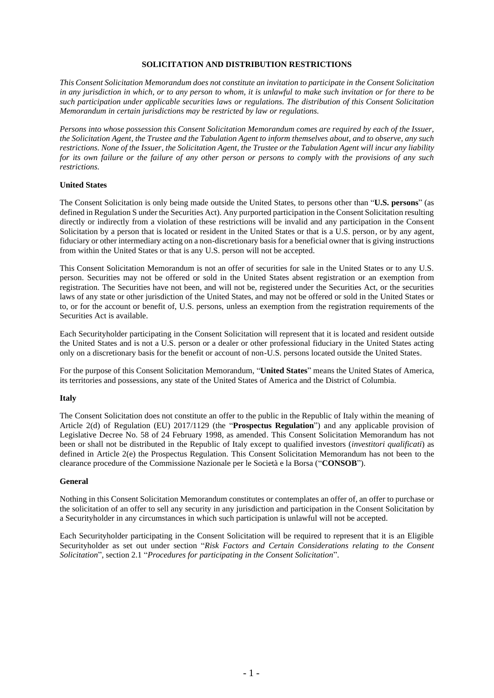# **SOLICITATION AND DISTRIBUTION RESTRICTIONS**

*This Consent Solicitation Memorandum does not constitute an invitation to participate in the Consent Solicitation in any jurisdiction in which, or to any person to whom, it is unlawful to make such invitation or for there to be such participation under applicable securities laws or regulations. The distribution of this Consent Solicitation Memorandum in certain jurisdictions may be restricted by law or regulations.*

*Persons into whose possession this Consent Solicitation Memorandum comes are required by each of the Issuer, the Solicitation Agent, the Trustee and the Tabulation Agent to inform themselves about, and to observe, any such restrictions. None of the Issuer, the Solicitation Agent, the Trustee or the Tabulation Agent will incur any liability for its own failure or the failure of any other person or persons to comply with the provisions of any such restrictions.*

# **United States**

The Consent Solicitation is only being made outside the United States, to persons other than "**U.S. persons**" (as defined in Regulation S under the Securities Act). Any purported participation in the Consent Solicitation resulting directly or indirectly from a violation of these restrictions will be invalid and any participation in the Consent Solicitation by a person that is located or resident in the United States or that is a U.S. person, or by any agent, fiduciary or other intermediary acting on a non-discretionary basis for a beneficial owner that is giving instructions from within the United States or that is any U.S. person will not be accepted.

This Consent Solicitation Memorandum is not an offer of securities for sale in the United States or to any U.S. person. Securities may not be offered or sold in the United States absent registration or an exemption from registration. The Securities have not been, and will not be, registered under the Securities Act, or the securities laws of any state or other jurisdiction of the United States, and may not be offered or sold in the United States or to, or for the account or benefit of, U.S. persons, unless an exemption from the registration requirements of the Securities Act is available.

Each Securityholder participating in the Consent Solicitation will represent that it is located and resident outside the United States and is not a U.S. person or a dealer or other professional fiduciary in the United States acting only on a discretionary basis for the benefit or account of non-U.S. persons located outside the United States.

For the purpose of this Consent Solicitation Memorandum, "**United States**" means the United States of America, its territories and possessions, any state of the United States of America and the District of Columbia.

#### **Italy**

The Consent Solicitation does not constitute an offer to the public in the Republic of Italy within the meaning of Article 2(d) of Regulation (EU) 2017/1129 (the "**Prospectus Regulation**") and any applicable provision of Legislative Decree No. 58 of 24 February 1998, as amended. This Consent Solicitation Memorandum has not been or shall not be distributed in the Republic of Italy except to qualified investors (*investitori qualificati*) as defined in Article 2(e) the Prospectus Regulation. This Consent Solicitation Memorandum has not been to the clearance procedure of the Commissione Nazionale per le Società e la Borsa ("**CONSOB**").

#### **General**

Nothing in this Consent Solicitation Memorandum constitutes or contemplates an offer of, an offer to purchase or the solicitation of an offer to sell any security in any jurisdiction and participation in the Consent Solicitation by a Securityholder in any circumstances in which such participation is unlawful will not be accepted.

Each Securityholder participating in the Consent Solicitation will be required to represent that it is an Eligible Securityholder as set out under section "*Risk Factors and Certain Considerations relating to the Consent Solicitation*", section [2.1](#page-32-0) "*Procedures for participating in the Consent Solicitation*".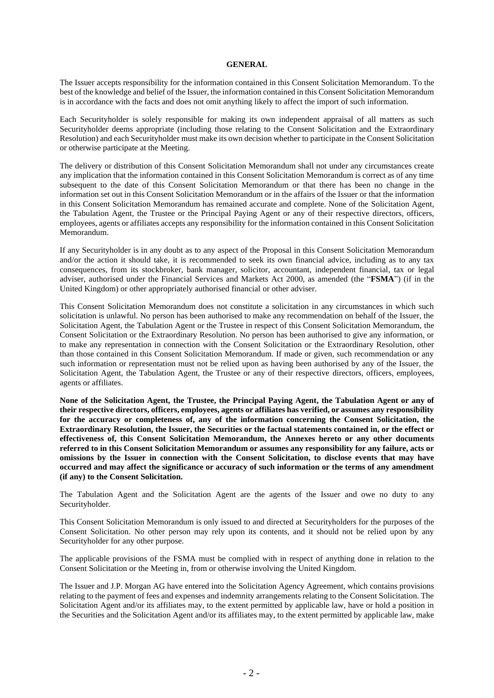#### **GENERAL**

The Issuer accepts responsibility for the information contained in this Consent Solicitation Memorandum. To the best of the knowledge and belief of the Issuer, the information contained in this Consent Solicitation Memorandum is in accordance with the facts and does not omit anything likely to affect the import of such information.

Each Securityholder is solely responsible for making its own independent appraisal of all matters as such Securityholder deems appropriate (including those relating to the Consent Solicitation and the Extraordinary Resolution) and each Securityholder must make its own decision whether to participate in the Consent Solicitation or otherwise participate at the Meeting.

The delivery or distribution of this Consent Solicitation Memorandum shall not under any circumstances create any implication that the information contained in this Consent Solicitation Memorandum is correct as of any time subsequent to the date of this Consent Solicitation Memorandum or that there has been no change in the information set out in this Consent Solicitation Memorandum or in the affairs of the Issuer or that the information in this Consent Solicitation Memorandum has remained accurate and complete. None of the Solicitation Agent, the Tabulation Agent, the Trustee or the Principal Paying Agent or any of their respective directors, officers, employees, agents or affiliates accepts any responsibility for the information contained in this Consent Solicitation Memorandum.

If any Securityholder is in any doubt as to any aspect of the Proposal in this Consent Solicitation Memorandum and/or the action it should take, it is recommended to seek its own financial advice, including as to any tax consequences, from its stockbroker, bank manager, solicitor, accountant, independent financial, tax or legal adviser, authorised under the Financial Services and Markets Act 2000, as amended (the "**FSMA**") (if in the United Kingdom) or other appropriately authorised financial or other adviser.

This Consent Solicitation Memorandum does not constitute a solicitation in any circumstances in which such solicitation is unlawful. No person has been authorised to make any recommendation on behalf of the Issuer, the Solicitation Agent, the Tabulation Agent or the Trustee in respect of this Consent Solicitation Memorandum, the Consent Solicitation or the Extraordinary Resolution. No person has been authorised to give any information, or to make any representation in connection with the Consent Solicitation or the Extraordinary Resolution, other than those contained in this Consent Solicitation Memorandum. If made or given, such recommendation or any such information or representation must not be relied upon as having been authorised by any of the Issuer, the Solicitation Agent, the Tabulation Agent, the Trustee or any of their respective directors, officers, employees, agents or affiliates.

**None of the Solicitation Agent, the Trustee, the Principal Paying Agent, the Tabulation Agent or any of their respective directors, officers, employees, agents or affiliates has verified, or assumes any responsibility for the accuracy or completeness of, any of the information concerning the Consent Solicitation, the Extraordinary Resolution, the Issuer, the Securities or the factual statements contained in, or the effect or effectiveness of, this Consent Solicitation Memorandum, the Annexes hereto or any other documents referred to in this Consent Solicitation Memorandum or assumes any responsibility for any failure, acts or omissions by the Issuer in connection with the Consent Solicitation, to disclose events that may have occurred and may affect the significance or accuracy of such information or the terms of any amendment (if any) to the Consent Solicitation.**

The Tabulation Agent and the Solicitation Agent are the agents of the Issuer and owe no duty to any Securityholder.

This Consent Solicitation Memorandum is only issued to and directed at Securityholders for the purposes of the Consent Solicitation. No other person may rely upon its contents, and it should not be relied upon by any Securityholder for any other purpose.

The applicable provisions of the FSMA must be complied with in respect of anything done in relation to the Consent Solicitation or the Meeting in, from or otherwise involving the United Kingdom.

The Issuer and J.P. Morgan AG have entered into the Solicitation Agency Agreement, which contains provisions relating to the payment of fees and expenses and indemnity arrangements relating to the Consent Solicitation. The Solicitation Agent and/or its affiliates may, to the extent permitted by applicable law, have or hold a position in the Securities and the Solicitation Agent and/or its affiliates may, to the extent permitted by applicable law, make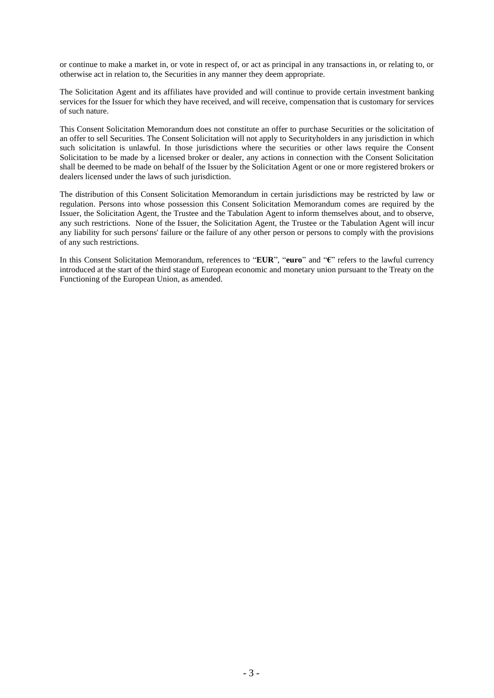or continue to make a market in, or vote in respect of, or act as principal in any transactions in, or relating to, or otherwise act in relation to, the Securities in any manner they deem appropriate.

The Solicitation Agent and its affiliates have provided and will continue to provide certain investment banking services for the Issuer for which they have received, and will receive, compensation that is customary for services of such nature.

This Consent Solicitation Memorandum does not constitute an offer to purchase Securities or the solicitation of an offer to sell Securities. The Consent Solicitation will not apply to Securityholders in any jurisdiction in which such solicitation is unlawful. In those jurisdictions where the securities or other laws require the Consent Solicitation to be made by a licensed broker or dealer, any actions in connection with the Consent Solicitation shall be deemed to be made on behalf of the Issuer by the Solicitation Agent or one or more registered brokers or dealers licensed under the laws of such jurisdiction.

The distribution of this Consent Solicitation Memorandum in certain jurisdictions may be restricted by law or regulation. Persons into whose possession this Consent Solicitation Memorandum comes are required by the Issuer, the Solicitation Agent, the Trustee and the Tabulation Agent to inform themselves about, and to observe, any such restrictions. None of the Issuer, the Solicitation Agent, the Trustee or the Tabulation Agent will incur any liability for such persons' failure or the failure of any other person or persons to comply with the provisions of any such restrictions.

In this Consent Solicitation Memorandum, references to "**EUR**", "**euro**" and "**€**" refers to the lawful currency introduced at the start of the third stage of European economic and monetary union pursuant to the Treaty on the Functioning of the European Union, as amended.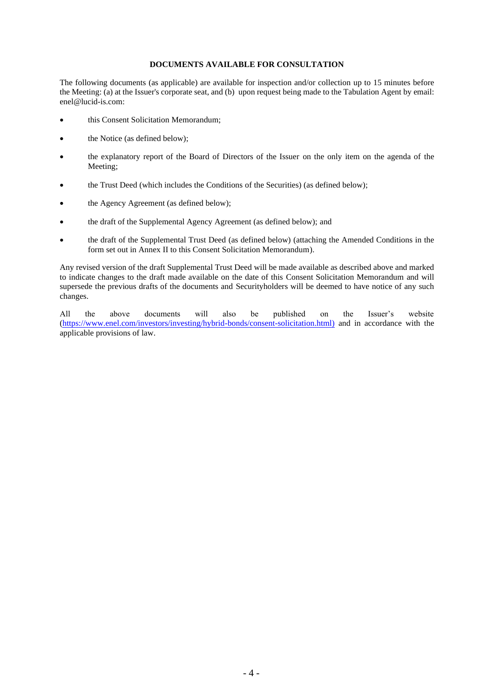# **DOCUMENTS AVAILABLE FOR CONSULTATION**

The following documents (as applicable) are available for inspection and/or collection up to 15 minutes before the Meeting: (a) at the Issuer's corporate seat, and (b) upon request being made to the Tabulation Agent by email: enel@lucid-is.com:

- this Consent Solicitation Memorandum;
- the Notice (as defined below);
- the explanatory report of the Board of Directors of the Issuer on the only item on the agenda of the Meeting;
- the Trust Deed (which includes the Conditions of the Securities) (as defined below);
- the Agency Agreement (as defined below);
- the draft of the Supplemental Agency Agreement (as defined below); and
- the draft of the Supplemental Trust Deed (as defined below) (attaching the Amended Conditions in the form set out in Annex II to this Consent Solicitation Memorandum).

Any revised version of the draft Supplemental Trust Deed will be made available as described above and marked to indicate changes to the draft made available on the date of this Consent Solicitation Memorandum and will supersede the previous drafts of the documents and Securityholders will be deemed to have notice of any such changes.

All the above documents will also be published on the Issuer's website [\(https://www.enel.com/investors/investing/hybrid-bonds/consent-solicitation.html\)](https://www.enel.com/investors/investing/hybrid-bonds/consent-solicitation.html) and in accordance with the applicable provisions of law.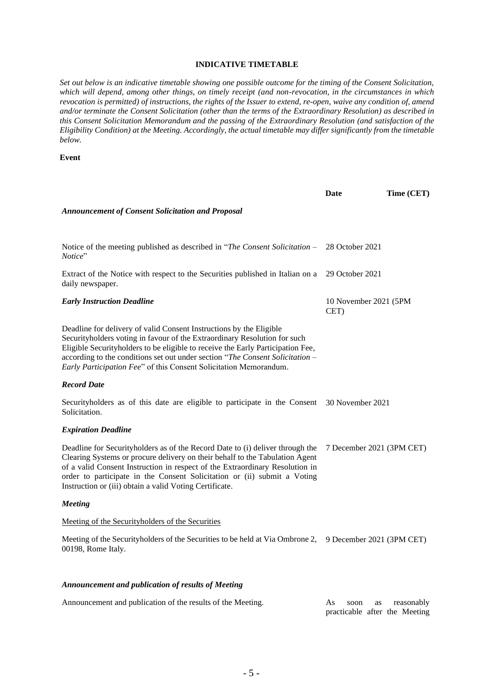# **INDICATIVE TIMETABLE**

*Set out below is an indicative timetable showing one possible outcome for the timing of the Consent Solicitation, which will depend, among other things, on timely receipt (and non-revocation, in the circumstances in which revocation is permitted) of instructions, the rights of the Issuer to extend, re-open, waive any condition of, amend and/or terminate the Consent Solicitation (other than the terms of the Extraordinary Resolution) as described in this Consent Solicitation Memorandum and the passing of the Extraordinary Resolution (and satisfaction of the Eligibility Condition) at the Meeting. Accordingly, the actual timetable may differ significantly from the timetable below.*

#### **Event**

|                                                                                                                                                                                                                                                                                                                                                                                           | Date                          | Time (CET) |
|-------------------------------------------------------------------------------------------------------------------------------------------------------------------------------------------------------------------------------------------------------------------------------------------------------------------------------------------------------------------------------------------|-------------------------------|------------|
| <b>Announcement of Consent Solicitation and Proposal</b>                                                                                                                                                                                                                                                                                                                                  |                               |            |
|                                                                                                                                                                                                                                                                                                                                                                                           |                               |            |
| Notice of the meeting published as described in "The Consent Solicitation –<br>Notice"                                                                                                                                                                                                                                                                                                    | 28 October 2021               |            |
| Extract of the Notice with respect to the Securities published in Italian on a<br>daily newspaper.                                                                                                                                                                                                                                                                                        | 29 October 2021               |            |
| <b>Early Instruction Deadline</b>                                                                                                                                                                                                                                                                                                                                                         | 10 November 2021 (5PM<br>CET) |            |
| Deadline for delivery of valid Consent Instructions by the Eligible<br>Securityholders voting in favour of the Extraordinary Resolution for such<br>Eligible Securityholders to be eligible to receive the Early Participation Fee,<br>according to the conditions set out under section "The Consent Solicitation -<br>Early Participation Fee" of this Consent Solicitation Memorandum. |                               |            |
| <b>Record Date</b>                                                                                                                                                                                                                                                                                                                                                                        |                               |            |
| Security holders as of this date are eligible to participate in the Consent<br>Solicitation.                                                                                                                                                                                                                                                                                              | 30 November 2021              |            |
| <b>Expiration Deadline</b>                                                                                                                                                                                                                                                                                                                                                                |                               |            |
| Deadline for Securityholders as of the Record Date to (i) deliver through the<br>Clearing Systems or procure delivery on their behalf to the Tabulation Agent<br>of a valid Consent Instruction in respect of the Extraordinary Resolution in<br>order to participate in the Consent Solicitation or (ii) submit a Voting<br>Instruction or (iii) obtain a valid Voting Certificate.      | 7 December 2021 (3PM CET)     |            |
| <b>Meeting</b>                                                                                                                                                                                                                                                                                                                                                                            |                               |            |
| Meeting of the Security holders of the Securities                                                                                                                                                                                                                                                                                                                                         |                               |            |
| Meeting of the Security holders of the Securities to be held at Via Ombrone 2,<br>00198, Rome Italy.                                                                                                                                                                                                                                                                                      | 9 December 2021 (3PM CET)     |            |
| Announcement and publication of results of Meeting                                                                                                                                                                                                                                                                                                                                        |                               |            |
|                                                                                                                                                                                                                                                                                                                                                                                           |                               |            |

Announcement and publication of the results of the Meeting. As soon as reasonably practicable after the Meeting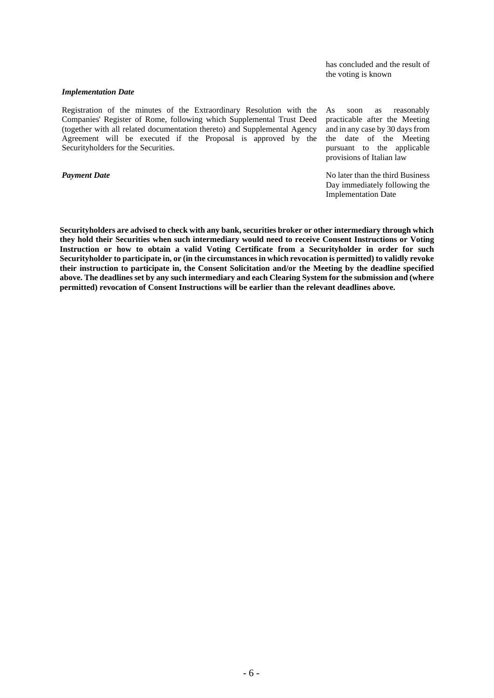has concluded and the result of the voting is known

#### *Implementation Date*

Registration of the minutes of the Extraordinary Resolution with the Companies' Register of Rome, following which Supplemental Trust Deed (together with all related documentation thereto) and Supplemental Agency Agreement will be executed if the Proposal is approved by the Securityholders for the Securities.

As soon as reasonably practicable after the Meeting and in any case by 30 days from the date of the Meeting pursuant to the applicable provisions of Italian law

**Payment Date** No later than the third Business Day immediately following the Implementation Date

**Securityholders are advised to check with any bank, securities broker or other intermediary through which they hold their Securities when such intermediary would need to receive Consent Instructions or Voting Instruction or how to obtain a valid Voting Certificate from a Securityholder in order for such Securityholder to participate in, or (in the circumstances in which revocation is permitted) to validly revoke their instruction to participate in, the Consent Solicitation and/or the Meeting by the deadline specified above. The deadlines set by any such intermediary and each Clearing System for the submission and (where permitted) revocation of Consent Instructions will be earlier than the relevant deadlines above.**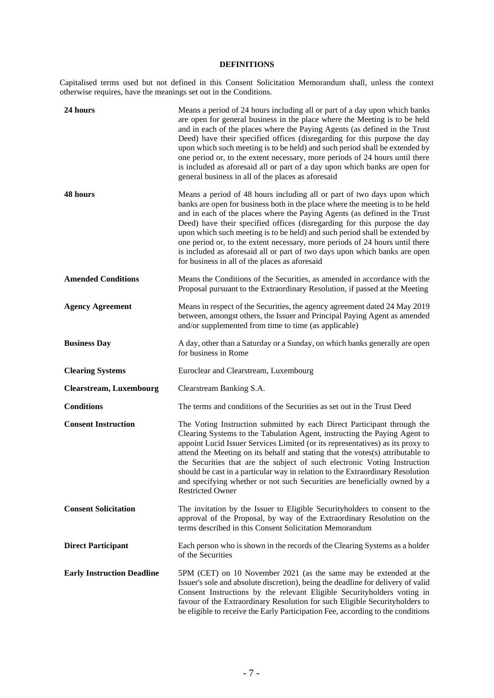# **DEFINITIONS**

Capitalised terms used but not defined in this Consent Solicitation Memorandum shall, unless the context otherwise requires, have the meanings set out in the Conditions.

| 24 hours                          | Means a period of 24 hours including all or part of a day upon which banks<br>are open for general business in the place where the Meeting is to be held<br>and in each of the places where the Paying Agents (as defined in the Trust<br>Deed) have their specified offices (disregarding for this purpose the day<br>upon which such meeting is to be held) and such period shall be extended by<br>one period or, to the extent necessary, more periods of 24 hours until there<br>is included as aforesaid all or part of a day upon which banks are open for<br>general business in all of the places as aforesaid |
|-----------------------------------|-------------------------------------------------------------------------------------------------------------------------------------------------------------------------------------------------------------------------------------------------------------------------------------------------------------------------------------------------------------------------------------------------------------------------------------------------------------------------------------------------------------------------------------------------------------------------------------------------------------------------|
| 48 hours                          | Means a period of 48 hours including all or part of two days upon which<br>banks are open for business both in the place where the meeting is to be held<br>and in each of the places where the Paying Agents (as defined in the Trust<br>Deed) have their specified offices (disregarding for this purpose the day<br>upon which such meeting is to be held) and such period shall be extended by<br>one period or, to the extent necessary, more periods of 24 hours until there<br>is included as aforesaid all or part of two days upon which banks are open<br>for business in all of the places as aforesaid      |
| <b>Amended Conditions</b>         | Means the Conditions of the Securities, as amended in accordance with the<br>Proposal pursuant to the Extraordinary Resolution, if passed at the Meeting                                                                                                                                                                                                                                                                                                                                                                                                                                                                |
| <b>Agency Agreement</b>           | Means in respect of the Securities, the agency agreement dated 24 May 2019<br>between, amongst others, the Issuer and Principal Paying Agent as amended<br>and/or supplemented from time to time (as applicable)                                                                                                                                                                                                                                                                                                                                                                                                        |
| <b>Business Day</b>               | A day, other than a Saturday or a Sunday, on which banks generally are open<br>for business in Rome                                                                                                                                                                                                                                                                                                                                                                                                                                                                                                                     |
| <b>Clearing Systems</b>           | Euroclear and Clearstream, Luxembourg                                                                                                                                                                                                                                                                                                                                                                                                                                                                                                                                                                                   |
| <b>Clearstream, Luxembourg</b>    | Clearstream Banking S.A.                                                                                                                                                                                                                                                                                                                                                                                                                                                                                                                                                                                                |
| <b>Conditions</b>                 | The terms and conditions of the Securities as set out in the Trust Deed                                                                                                                                                                                                                                                                                                                                                                                                                                                                                                                                                 |
| <b>Consent Instruction</b>        | The Voting Instruction submitted by each Direct Participant through the<br>Clearing Systems to the Tabulation Agent, instructing the Paying Agent to<br>appoint Lucid Issuer Services Limited (or its representatives) as its proxy to<br>attend the Meeting on its behalf and stating that the votes(s) attributable to<br>the Securities that are the subject of such electronic Voting Instruction<br>should be cast in a particular way in relation to the Extraordinary Resolution<br>and specifying whether or not such Securities are beneficially owned by a<br><b>Restricted Owner</b>                         |
| <b>Consent Solicitation</b>       | The invitation by the Issuer to Eligible Securityholders to consent to the<br>approval of the Proposal, by way of the Extraordinary Resolution on the<br>terms described in this Consent Solicitation Memorandum                                                                                                                                                                                                                                                                                                                                                                                                        |
| <b>Direct Participant</b>         | Each person who is shown in the records of the Clearing Systems as a holder<br>of the Securities                                                                                                                                                                                                                                                                                                                                                                                                                                                                                                                        |
| <b>Early Instruction Deadline</b> | 5PM (CET) on 10 November 2021 (as the same may be extended at the<br>Issuer's sole and absolute discretion), being the deadline for delivery of valid<br>Consent Instructions by the relevant Eligible Securityholders voting in<br>favour of the Extraordinary Resolution for such Eligible Securityholders to<br>be eligible to receive the Early Participation Fee, according to the conditions                                                                                                                                                                                                                      |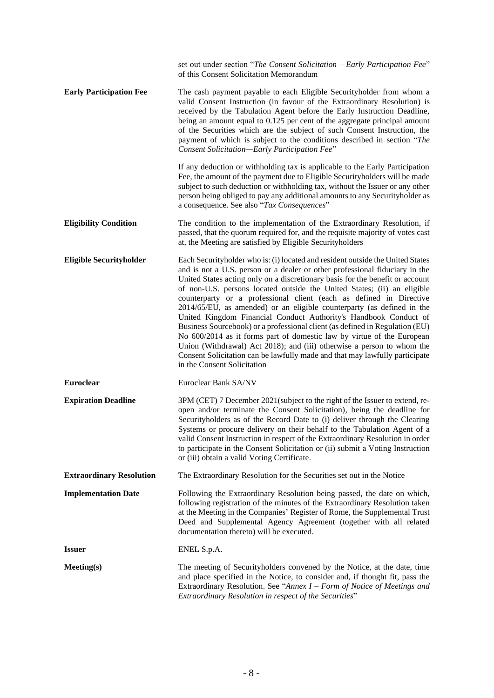|                                 | set out under section "The Consent Solicitation - Early Participation Fee"<br>of this Consent Solicitation Memorandum                                                                                                                                                                                                                                                                                                                                                                                                                                                                                                                                                                                                                                                                                                                                                                            |
|---------------------------------|--------------------------------------------------------------------------------------------------------------------------------------------------------------------------------------------------------------------------------------------------------------------------------------------------------------------------------------------------------------------------------------------------------------------------------------------------------------------------------------------------------------------------------------------------------------------------------------------------------------------------------------------------------------------------------------------------------------------------------------------------------------------------------------------------------------------------------------------------------------------------------------------------|
| <b>Early Participation Fee</b>  | The cash payment payable to each Eligible Securityholder from whom a<br>valid Consent Instruction (in favour of the Extraordinary Resolution) is<br>received by the Tabulation Agent before the Early Instruction Deadline,<br>being an amount equal to 0.125 per cent of the aggregate principal amount<br>of the Securities which are the subject of such Consent Instruction, the<br>payment of which is subject to the conditions described in section "The<br>Consent Solicitation-Early Participation Fee"                                                                                                                                                                                                                                                                                                                                                                                 |
|                                 | If any deduction or withholding tax is applicable to the Early Participation<br>Fee, the amount of the payment due to Eligible Securityholders will be made<br>subject to such deduction or withholding tax, without the Issuer or any other<br>person being obliged to pay any additional amounts to any Securityholder as<br>a consequence. See also "Tax Consequences"                                                                                                                                                                                                                                                                                                                                                                                                                                                                                                                        |
| <b>Eligibility Condition</b>    | The condition to the implementation of the Extraordinary Resolution, if<br>passed, that the quorum required for, and the requisite majority of votes cast<br>at, the Meeting are satisfied by Eligible Securityholders                                                                                                                                                                                                                                                                                                                                                                                                                                                                                                                                                                                                                                                                           |
| <b>Eligible Securityholder</b>  | Each Securityholder who is: (i) located and resident outside the United States<br>and is not a U.S. person or a dealer or other professional fiduciary in the<br>United States acting only on a discretionary basis for the benefit or account<br>of non-U.S. persons located outside the United States; (ii) an eligible<br>counterparty or a professional client (each as defined in Directive<br>2014/65/EU, as amended) or an eligible counterparty (as defined in the<br>United Kingdom Financial Conduct Authority's Handbook Conduct of<br>Business Sourcebook) or a professional client (as defined in Regulation (EU)<br>No 600/2014 as it forms part of domestic law by virtue of the European<br>Union (Withdrawal) Act 2018); and (iii) otherwise a person to whom the<br>Consent Solicitation can be lawfully made and that may lawfully participate<br>in the Consent Solicitation |
| Euroclear                       | Euroclear Bank SA/NV                                                                                                                                                                                                                                                                                                                                                                                                                                                                                                                                                                                                                                                                                                                                                                                                                                                                             |
| <b>Expiration Deadline</b>      | 3PM (CET) 7 December 2021(subject to the right of the Issuer to extend, re-<br>open and/or terminate the Consent Solicitation), being the deadline for<br>Security holders as of the Record Date to (i) deliver through the Clearing<br>Systems or procure delivery on their behalf to the Tabulation Agent of a<br>valid Consent Instruction in respect of the Extraordinary Resolution in order<br>to participate in the Consent Solicitation or (ii) submit a Voting Instruction<br>or (iii) obtain a valid Voting Certificate.                                                                                                                                                                                                                                                                                                                                                               |
| <b>Extraordinary Resolution</b> | The Extraordinary Resolution for the Securities set out in the Notice                                                                                                                                                                                                                                                                                                                                                                                                                                                                                                                                                                                                                                                                                                                                                                                                                            |
| <b>Implementation Date</b>      | Following the Extraordinary Resolution being passed, the date on which,<br>following registration of the minutes of the Extraordinary Resolution taken<br>at the Meeting in the Companies' Register of Rome, the Supplemental Trust<br>Deed and Supplemental Agency Agreement (together with all related<br>documentation thereto) will be executed.                                                                                                                                                                                                                                                                                                                                                                                                                                                                                                                                             |
| <b>Issuer</b>                   | ENEL S.p.A.                                                                                                                                                                                                                                                                                                                                                                                                                                                                                                                                                                                                                                                                                                                                                                                                                                                                                      |
| Meeting(s)                      | The meeting of Securityholders convened by the Notice, at the date, time<br>and place specified in the Notice, to consider and, if thought fit, pass the<br>Extraordinary Resolution. See "Annex $I$ – Form of Notice of Meetings and<br>Extraordinary Resolution in respect of the Securities"                                                                                                                                                                                                                                                                                                                                                                                                                                                                                                                                                                                                  |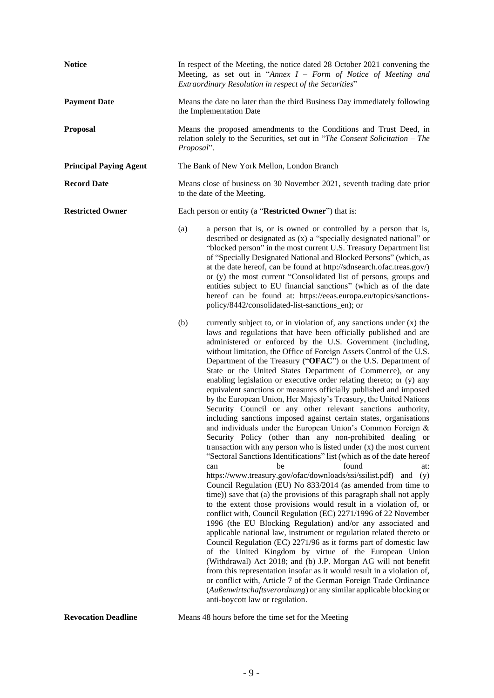| <b>Notice</b>                 | In respect of the Meeting, the notice dated 28 October 2021 convening the<br>Meeting, as set out in "Annex $I$ – Form of Notice of Meeting and<br>Extraordinary Resolution in respect of the Securities"                                                                                                                                                                                                                                                                                                                                                                                                                                                                                                                                                                                                                                                                                                                                                                                                                                                                                                                                                                                                                                                                                                                                                                                                                                                                                                                                                                                                                                                                                                                                                                                                                                                                                                                                                                                                                                        |  |  |
|-------------------------------|-------------------------------------------------------------------------------------------------------------------------------------------------------------------------------------------------------------------------------------------------------------------------------------------------------------------------------------------------------------------------------------------------------------------------------------------------------------------------------------------------------------------------------------------------------------------------------------------------------------------------------------------------------------------------------------------------------------------------------------------------------------------------------------------------------------------------------------------------------------------------------------------------------------------------------------------------------------------------------------------------------------------------------------------------------------------------------------------------------------------------------------------------------------------------------------------------------------------------------------------------------------------------------------------------------------------------------------------------------------------------------------------------------------------------------------------------------------------------------------------------------------------------------------------------------------------------------------------------------------------------------------------------------------------------------------------------------------------------------------------------------------------------------------------------------------------------------------------------------------------------------------------------------------------------------------------------------------------------------------------------------------------------------------------------|--|--|
| <b>Payment Date</b>           | Means the date no later than the third Business Day immediately following<br>the Implementation Date                                                                                                                                                                                                                                                                                                                                                                                                                                                                                                                                                                                                                                                                                                                                                                                                                                                                                                                                                                                                                                                                                                                                                                                                                                                                                                                                                                                                                                                                                                                                                                                                                                                                                                                                                                                                                                                                                                                                            |  |  |
| <b>Proposal</b>               | Means the proposed amendments to the Conditions and Trust Deed, in<br>relation solely to the Securities, set out in "The Consent Solicitation $-$ The<br>Proposal".                                                                                                                                                                                                                                                                                                                                                                                                                                                                                                                                                                                                                                                                                                                                                                                                                                                                                                                                                                                                                                                                                                                                                                                                                                                                                                                                                                                                                                                                                                                                                                                                                                                                                                                                                                                                                                                                             |  |  |
| <b>Principal Paying Agent</b> | The Bank of New York Mellon, London Branch                                                                                                                                                                                                                                                                                                                                                                                                                                                                                                                                                                                                                                                                                                                                                                                                                                                                                                                                                                                                                                                                                                                                                                                                                                                                                                                                                                                                                                                                                                                                                                                                                                                                                                                                                                                                                                                                                                                                                                                                      |  |  |
| <b>Record Date</b>            | Means close of business on 30 November 2021, seventh trading date prior<br>to the date of the Meeting.                                                                                                                                                                                                                                                                                                                                                                                                                                                                                                                                                                                                                                                                                                                                                                                                                                                                                                                                                                                                                                                                                                                                                                                                                                                                                                                                                                                                                                                                                                                                                                                                                                                                                                                                                                                                                                                                                                                                          |  |  |
| <b>Restricted Owner</b>       | Each person or entity (a "Restricted Owner") that is:                                                                                                                                                                                                                                                                                                                                                                                                                                                                                                                                                                                                                                                                                                                                                                                                                                                                                                                                                                                                                                                                                                                                                                                                                                                                                                                                                                                                                                                                                                                                                                                                                                                                                                                                                                                                                                                                                                                                                                                           |  |  |
|                               | (a)<br>a person that is, or is owned or controlled by a person that is,<br>described or designated as (x) a "specially designated national" or<br>"blocked person" in the most current U.S. Treasury Department list<br>of "Specially Designated National and Blocked Persons" (which, as<br>at the date hereof, can be found at http://sdnsearch.ofac.treas.gov/)<br>or (y) the most current "Consolidated list of persons, groups and<br>entities subject to EU financial sanctions" (which as of the date<br>hereof can be found at: https://eeas.europa.eu/topics/sanctions-<br>policy/8442/consolidated-list-sanctions_en); or                                                                                                                                                                                                                                                                                                                                                                                                                                                                                                                                                                                                                                                                                                                                                                                                                                                                                                                                                                                                                                                                                                                                                                                                                                                                                                                                                                                                             |  |  |
|                               | currently subject to, or in violation of, any sanctions under (x) the<br>(b)<br>laws and regulations that have been officially published and are<br>administered or enforced by the U.S. Government (including,<br>without limitation, the Office of Foreign Assets Control of the U.S.<br>Department of the Treasury ("OFAC") or the U.S. Department of<br>State or the United States Department of Commerce), or any<br>enabling legislation or executive order relating thereto; or (y) any<br>equivalent sanctions or measures officially published and imposed<br>by the European Union, Her Majesty's Treasury, the United Nations<br>Security Council or any other relevant sanctions authority,<br>including sanctions imposed against certain states, organisations<br>and individuals under the European Union's Common Foreign &<br>Security Policy (other than any non-prohibited dealing or<br>transaction with any person who is listed under $(x)$ the most current<br>"Sectoral Sanctions Identifications" list (which as of the date hereof<br>found<br>can<br>be<br>at:<br>https://www.treasury.gov/ofac/downloads/ssi/ssilist.pdf)<br>and (y)<br>Council Regulation (EU) No 833/2014 (as amended from time to<br>time)) save that (a) the provisions of this paragraph shall not apply<br>to the extent those provisions would result in a violation of, or<br>conflict with, Council Regulation (EC) 2271/1996 of 22 November<br>1996 (the EU Blocking Regulation) and/or any associated and<br>applicable national law, instrument or regulation related thereto or<br>Council Regulation (EC) 2271/96 as it forms part of domestic law<br>of the United Kingdom by virtue of the European Union<br>(Withdrawal) Act 2018; and (b) J.P. Morgan AG will not benefit<br>from this representation insofar as it would result in a violation of,<br>or conflict with, Article 7 of the German Foreign Trade Ordinance<br>(Außenwirtschaftsverordnung) or any similar applicable blocking or<br>anti-boycott law or regulation. |  |  |

**Revocation Deadline** Means 48 hours before the time set for the Meeting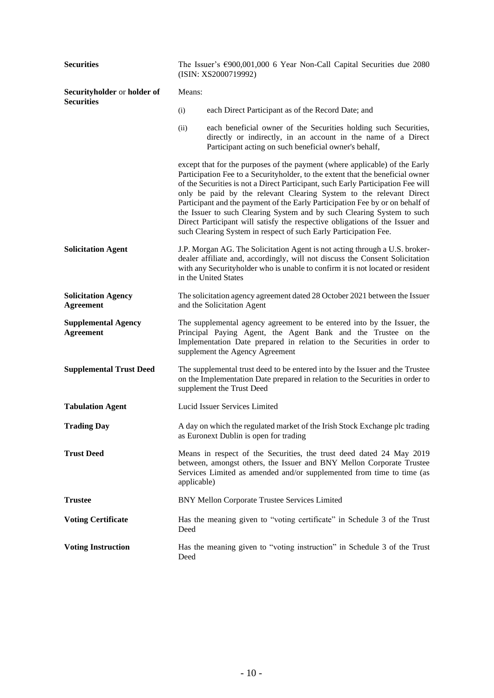| <b>Securities</b>                              | The Issuer's €900,001,000 6 Year Non-Call Capital Securities due 2080<br>(ISIN: XS2000719992) |                                                                                                                                                                                                                                                                                                                                                                                                                                                                                                                                                                                                                                         |  |
|------------------------------------------------|-----------------------------------------------------------------------------------------------|-----------------------------------------------------------------------------------------------------------------------------------------------------------------------------------------------------------------------------------------------------------------------------------------------------------------------------------------------------------------------------------------------------------------------------------------------------------------------------------------------------------------------------------------------------------------------------------------------------------------------------------------|--|
| Securityholder or holder of                    | Means:                                                                                        |                                                                                                                                                                                                                                                                                                                                                                                                                                                                                                                                                                                                                                         |  |
| <b>Securities</b>                              | (i)                                                                                           | each Direct Participant as of the Record Date; and                                                                                                                                                                                                                                                                                                                                                                                                                                                                                                                                                                                      |  |
|                                                | (ii)                                                                                          | each beneficial owner of the Securities holding such Securities,<br>directly or indirectly, in an account in the name of a Direct<br>Participant acting on such beneficial owner's behalf,                                                                                                                                                                                                                                                                                                                                                                                                                                              |  |
|                                                |                                                                                               | except that for the purposes of the payment (where applicable) of the Early<br>Participation Fee to a Securityholder, to the extent that the beneficial owner<br>of the Securities is not a Direct Participant, such Early Participation Fee will<br>only be paid by the relevant Clearing System to the relevant Direct<br>Participant and the payment of the Early Participation Fee by or on behalf of<br>the Issuer to such Clearing System and by such Clearing System to such<br>Direct Participant will satisfy the respective obligations of the Issuer and<br>such Clearing System in respect of such Early Participation Fee. |  |
| <b>Solicitation Agent</b>                      |                                                                                               | J.P. Morgan AG. The Solicitation Agent is not acting through a U.S. broker-<br>dealer affiliate and, accordingly, will not discuss the Consent Solicitation<br>with any Securityholder who is unable to confirm it is not located or resident<br>in the United States                                                                                                                                                                                                                                                                                                                                                                   |  |
| <b>Solicitation Agency</b><br><b>Agreement</b> |                                                                                               | The solicitation agency agreement dated 28 October 2021 between the Issuer<br>and the Solicitation Agent                                                                                                                                                                                                                                                                                                                                                                                                                                                                                                                                |  |
| <b>Supplemental Agency</b><br><b>Agreement</b> |                                                                                               | The supplemental agency agreement to be entered into by the Issuer, the<br>Principal Paying Agent, the Agent Bank and the Trustee on the<br>Implementation Date prepared in relation to the Securities in order to<br>supplement the Agency Agreement                                                                                                                                                                                                                                                                                                                                                                                   |  |
| <b>Supplemental Trust Deed</b>                 |                                                                                               | The supplemental trust deed to be entered into by the Issuer and the Trustee<br>on the Implementation Date prepared in relation to the Securities in order to<br>supplement the Trust Deed                                                                                                                                                                                                                                                                                                                                                                                                                                              |  |
| <b>Tabulation Agent</b>                        |                                                                                               | Lucid Issuer Services Limited                                                                                                                                                                                                                                                                                                                                                                                                                                                                                                                                                                                                           |  |
| <b>Trading Day</b>                             |                                                                                               | A day on which the regulated market of the Irish Stock Exchange plc trading<br>as Euronext Dublin is open for trading                                                                                                                                                                                                                                                                                                                                                                                                                                                                                                                   |  |
| <b>Trust Deed</b>                              | applicable)                                                                                   | Means in respect of the Securities, the trust deed dated 24 May 2019<br>between, amongst others, the Issuer and BNY Mellon Corporate Trustee<br>Services Limited as amended and/or supplemented from time to time (as                                                                                                                                                                                                                                                                                                                                                                                                                   |  |
| <b>Trustee</b>                                 |                                                                                               | BNY Mellon Corporate Trustee Services Limited                                                                                                                                                                                                                                                                                                                                                                                                                                                                                                                                                                                           |  |
| <b>Voting Certificate</b>                      | Deed                                                                                          | Has the meaning given to "voting certificate" in Schedule 3 of the Trust                                                                                                                                                                                                                                                                                                                                                                                                                                                                                                                                                                |  |
| <b>Voting Instruction</b>                      | Deed                                                                                          | Has the meaning given to "voting instruction" in Schedule 3 of the Trust                                                                                                                                                                                                                                                                                                                                                                                                                                                                                                                                                                |  |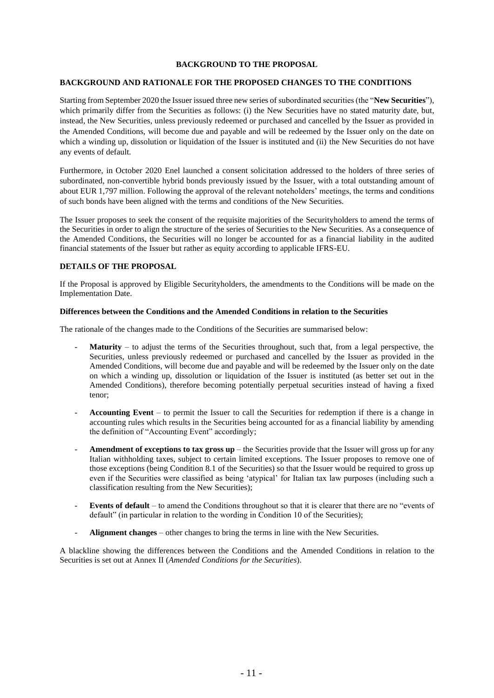# **BACKGROUND TO THE PROPOSAL**

# **BACKGROUND AND RATIONALE FOR THE PROPOSED CHANGES TO THE CONDITIONS**

Starting from September 2020 the Issuer issued three new series of subordinated securities (the "**New Securities**"), which primarily differ from the Securities as follows: (i) the New Securities have no stated maturity date, but, instead, the New Securities, unless previously redeemed or purchased and cancelled by the Issuer as provided in the Amended Conditions, will become due and payable and will be redeemed by the Issuer only on the date on which a winding up, dissolution or liquidation of the Issuer is instituted and (ii) the New Securities do not have any events of default.

Furthermore, in October 2020 Enel launched a consent solicitation addressed to the holders of three series of subordinated, non-convertible hybrid bonds previously issued by the Issuer, with a total outstanding amount of about EUR 1,797 million. Following the approval of the relevant noteholders' meetings, the terms and conditions of such bonds have been aligned with the terms and conditions of the New Securities.

The Issuer proposes to seek the consent of the requisite majorities of the Securityholders to amend the terms of the Securities in order to align the structure of the series of Securities to the New Securities. As a consequence of the Amended Conditions, the Securities will no longer be accounted for as a financial liability in the audited financial statements of the Issuer but rather as equity according to applicable IFRS-EU.

# **DETAILS OF THE PROPOSAL**

If the Proposal is approved by Eligible Securityholders, the amendments to the Conditions will be made on the Implementation Date.

#### **Differences between the Conditions and the Amended Conditions in relation to the Securities**

The rationale of the changes made to the Conditions of the Securities are summarised below:

- **Maturity** to adjust the terms of the Securities throughout, such that, from a legal perspective, the Securities, unless previously redeemed or purchased and cancelled by the Issuer as provided in the Amended Conditions, will become due and payable and will be redeemed by the Issuer only on the date on which a winding up, dissolution or liquidation of the Issuer is instituted (as better set out in the Amended Conditions), therefore becoming potentially perpetual securities instead of having a fixed tenor;
- Accounting Event to permit the Issuer to call the Securities for redemption if there is a change in accounting rules which results in the Securities being accounted for as a financial liability by amending the definition of "Accounting Event" accordingly;
- **Amendment of exceptions to tax gross up** the Securities provide that the Issuer will gross up for any Italian withholding taxes, subject to certain limited exceptions. The Issuer proposes to remove one of those exceptions (being Condition 8.1 of the Securities) so that the Issuer would be required to gross up even if the Securities were classified as being 'atypical' for Italian tax law purposes (including such a classification resulting from the New Securities);
- **Events of default** to amend the Conditions throughout so that it is clearer that there are no "events of default" (in particular in relation to the wording in Condition 10 of the Securities);
- Alignment changes other changes to bring the terms in line with the New Securities.

A blackline showing the differences between the Conditions and the Amended Conditions in relation to the Securities is set out at Annex II (*Amended Conditions for the Securities*).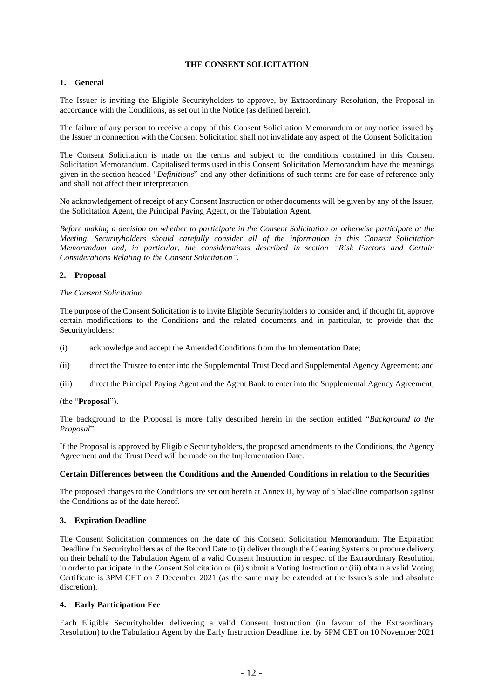# **THE CONSENT SOLICITATION**

# **1. General**

The Issuer is inviting the Eligible Securityholders to approve, by Extraordinary Resolution, the Proposal in accordance with the Conditions, as set out in the Notice (as defined herein).

The failure of any person to receive a copy of this Consent Solicitation Memorandum or any notice issued by the Issuer in connection with the Consent Solicitation shall not invalidate any aspect of the Consent Solicitation.

The Consent Solicitation is made on the terms and subject to the conditions contained in this Consent Solicitation Memorandum. Capitalised terms used in this Consent Solicitation Memorandum have the meanings given in the section headed "*Definitions*" and any other definitions of such terms are for ease of reference only and shall not affect their interpretation.

No acknowledgement of receipt of any Consent Instruction or other documents will be given by any of the Issuer, the Solicitation Agent, the Principal Paying Agent, or the Tabulation Agent.

*Before making a decision on whether to participate in the Consent Solicitation or otherwise participate at the Meeting, Securityholders should carefully consider all of the information in this Consent Solicitation Memorandum and, in particular, the considerations described in section "Risk Factors and Certain Considerations Relating to the Consent Solicitation".*

# **2. Proposal**

# *The Consent Solicitation*

The purpose of the Consent Solicitation is to invite Eligible Securityholders to consider and, if thought fit, approve certain modifications to the Conditions and the related documents and in particular, to provide that the Securityholders:

- (i) acknowledge and accept the Amended Conditions from the Implementation Date;
- (ii) direct the Trustee to enter into the Supplemental Trust Deed and Supplemental Agency Agreement; and
- (iii) direct the Principal Paying Agent and the Agent Bank to enter into the Supplemental Agency Agreement,

# (the "**Proposal**").

The background to the Proposal is more fully described herein in the section entitled "*Background to the Proposal*".

If the Proposal is approved by Eligible Securityholders, the proposed amendments to the Conditions, the Agency Agreement and the Trust Deed will be made on the Implementation Date.

# **Certain Differences between the Conditions and the Amended Conditions in relation to the Securities**

The proposed changes to the Conditions are set out herein at Annex II, by way of a blackline comparison against the Conditions as of the date hereof.

# **3. Expiration Deadline**

The Consent Solicitation commences on the date of this Consent Solicitation Memorandum. The Expiration Deadline for Securityholders as of the Record Date to (i) deliver through the Clearing Systems or procure delivery on their behalf to the Tabulation Agent of a valid Consent Instruction in respect of the Extraordinary Resolution in order to participate in the Consent Solicitation or (ii) submit a Voting Instruction or (iii) obtain a valid Voting Certificate is 3PM CET on 7 December 2021 (as the same may be extended at the Issuer's sole and absolute discretion).

# **4. Early Participation Fee**

Each Eligible Securityholder delivering a valid Consent Instruction (in favour of the Extraordinary Resolution) to the Tabulation Agent by the Early Instruction Deadline, i.e. by 5PM CET on 10 November 2021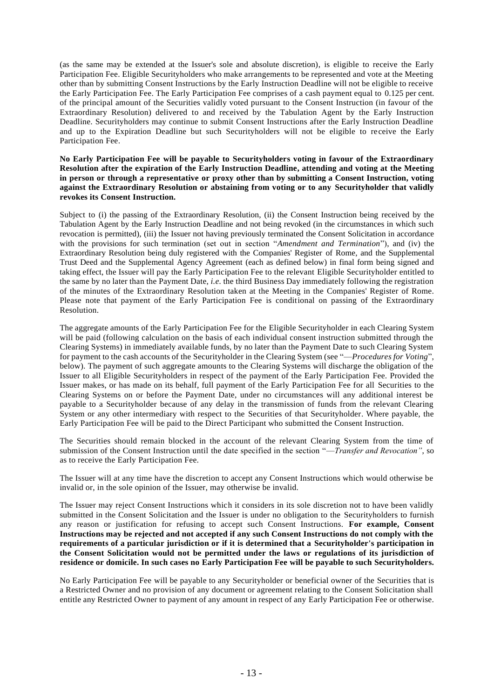(as the same may be extended at the Issuer's sole and absolute discretion), is eligible to receive the Early Participation Fee. Eligible Securityholders who make arrangements to be represented and vote at the Meeting other than by submitting Consent Instructions by the Early Instruction Deadline will not be eligible to receive the Early Participation Fee. The Early Participation Fee comprises of a cash payment equal to 0.125 per cent. of the principal amount of the Securities validly voted pursuant to the Consent Instruction (in favour of the Extraordinary Resolution) delivered to and received by the Tabulation Agent by the Early Instruction Deadline. Securityholders may continue to submit Consent Instructions after the Early Instruction Deadline and up to the Expiration Deadline but such Securityholders will not be eligible to receive the Early Participation Fee.

#### **No Early Participation Fee will be payable to Securityholders voting in favour of the Extraordinary Resolution after the expiration of the Early Instruction Deadline, attending and voting at the Meeting in person or through a representative or proxy other than by submitting a Consent Instruction, voting against the Extraordinary Resolution or abstaining from voting or to any Securityholder that validly revokes its Consent Instruction.**

Subject to (i) the passing of the Extraordinary Resolution, (ii) the Consent Instruction being received by the Tabulation Agent by the Early Instruction Deadline and not being revoked (in the circumstances in which such revocation is permitted), (iii) the Issuer not having previously terminated the Consent Solicitation in accordance with the provisions for such termination (set out in section "*Amendment and Termination*"), and (iv) the Extraordinary Resolution being duly registered with the Companies' Register of Rome, and the Supplemental Trust Deed and the Supplemental Agency Agreement (each as defined below) in final form being signed and taking effect, the Issuer will pay the Early Participation Fee to the relevant Eligible Securityholder entitled to the same by no later than the Payment Date, *i.e.* the third Business Day immediately following the registration of the minutes of the Extraordinary Resolution taken at the Meeting in the Companies' Register of Rome. Please note that payment of the Early Participation Fee is conditional on passing of the Extraordinary Resolution.

The aggregate amounts of the Early Participation Fee for the Eligible Securityholder in each Clearing System will be paid (following calculation on the basis of each individual consent instruction submitted through the Clearing Systems) in immediately available funds, by no later than the Payment Date to such Clearing System for payment to the cash accounts of the Securityholder in the Clearing System (see "—*Procedures for Voting*", below). The payment of such aggregate amounts to the Clearing Systems will discharge the obligation of the Issuer to all Eligible Securityholders in respect of the payment of the Early Participation Fee. Provided the Issuer makes, or has made on its behalf, full payment of the Early Participation Fee for all Securities to the Clearing Systems on or before the Payment Date, under no circumstances will any additional interest be payable to a Securityholder because of any delay in the transmission of funds from the relevant Clearing System or any other intermediary with respect to the Securities of that Securityholder. Where payable, the Early Participation Fee will be paid to the Direct Participant who submitted the Consent Instruction.

The Securities should remain blocked in the account of the relevant Clearing System from the time of submission of the Consent Instruction until the date specified in the section "—*Transfer and Revocation"*, so as to receive the Early Participation Fee.

The Issuer will at any time have the discretion to accept any Consent Instructions which would otherwise be invalid or, in the sole opinion of the Issuer, may otherwise be invalid.

The Issuer may reject Consent Instructions which it considers in its sole discretion not to have been validly submitted in the Consent Solicitation and the Issuer is under no obligation to the Securityholders to furnish any reason or justification for refusing to accept such Consent Instructions. **For example, Consent Instructions may be rejected and not accepted if any such Consent Instructions do not comply with the requirements of a particular jurisdiction or if it is determined that a Securityholder's participation in the Consent Solicitation would not be permitted under the laws or regulations of its jurisdiction of residence or domicile. In such cases no Early Participation Fee will be payable to such Securityholders.**

No Early Participation Fee will be payable to any Securityholder or beneficial owner of the Securities that is a Restricted Owner and no provision of any document or agreement relating to the Consent Solicitation shall entitle any Restricted Owner to payment of any amount in respect of any Early Participation Fee or otherwise.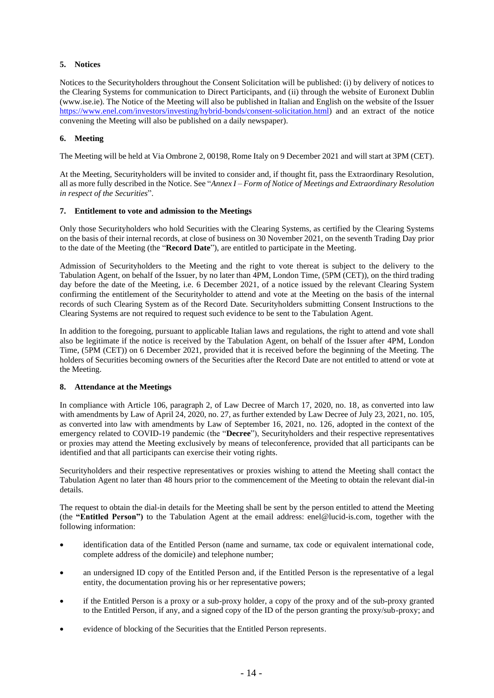# **5. Notices**

Notices to the Securityholders throughout the Consent Solicitation will be published: (i) by delivery of notices to the Clearing Systems for communication to Direct Participants, and (ii) through the website of Euronext Dublin (www.ise.ie). The Notice of the Meeting will also be published in Italian and English on the website of the Issuer [https://www.enel.com/investors/investing/hybrid-bonds/consent-solicitation.html\)](https://www.enel.com/investors/investing/hybrid-bonds/consent-solicitation.html) and an extract of the notice convening the Meeting will also be published on a daily newspaper).

# **6. Meeting**

The Meeting will be held at Via Ombrone 2, 00198, Rome Italy on 9 December 2021 and will start at 3PM (CET).

At the Meeting, Securityholders will be invited to consider and, if thought fit, pass the Extraordinary Resolution, all as more fully described in the Notice. See "*Annex I – Form of Notice of Meetings and Extraordinary Resolution in respect of the Securities*".

# **7. Entitlement to vote and admission to the Meetings**

Only those Securityholders who hold Securities with the Clearing Systems, as certified by the Clearing Systems on the basis of their internal records, at close of business on 30 November 2021, on the seventh Trading Day prior to the date of the Meeting (the "**Record Date**"), are entitled to participate in the Meeting.

Admission of Securityholders to the Meeting and the right to vote thereat is subject to the delivery to the Tabulation Agent, on behalf of the Issuer, by no later than 4PM, London Time, (5PM (CET)), on the third trading day before the date of the Meeting, i.e. 6 December 2021, of a notice issued by the relevant Clearing System confirming the entitlement of the Securityholder to attend and vote at the Meeting on the basis of the internal records of such Clearing System as of the Record Date. Securityholders submitting Consent Instructions to the Clearing Systems are not required to request such evidence to be sent to the Tabulation Agent.

In addition to the foregoing, pursuant to applicable Italian laws and regulations, the right to attend and vote shall also be legitimate if the notice is received by the Tabulation Agent, on behalf of the Issuer after 4PM, London Time, (5PM (CET)) on 6 December 2021, provided that it is received before the beginning of the Meeting. The holders of Securities becoming owners of the Securities after the Record Date are not entitled to attend or vote at the Meeting.

# **8. Attendance at the Meetings**

In compliance with Article 106, paragraph 2, of Law Decree of March 17, 2020, no. 18, as converted into law with amendments by Law of April 24, 2020, no. 27, as further extended by Law Decree of July 23, 2021, no. 105, as converted into law with amendments by Law of September 16, 2021, no. 126, adopted in the context of the emergency related to COVID-19 pandemic (the "**Decree**"), Securityholders and their respective representatives or proxies may attend the Meeting exclusively by means of teleconference, provided that all participants can be identified and that all participants can exercise their voting rights.

Securityholders and their respective representatives or proxies wishing to attend the Meeting shall contact the Tabulation Agent no later than 48 hours prior to the commencement of the Meeting to obtain the relevant dial-in details.

The request to obtain the dial-in details for the Meeting shall be sent by the person entitled to attend the Meeting (the **"Entitled Person")** to the Tabulation Agent at the email address: enel@lucid-is.com, together with the following information:

- identification data of the Entitled Person (name and surname, tax code or equivalent international code, complete address of the domicile) and telephone number;
- an undersigned ID copy of the Entitled Person and, if the Entitled Person is the representative of a legal entity, the documentation proving his or her representative powers;
- if the Entitled Person is a proxy or a sub-proxy holder, a copy of the proxy and of the sub-proxy granted to the Entitled Person, if any, and a signed copy of the ID of the person granting the proxy/sub-proxy; and
- evidence of blocking of the Securities that the Entitled Person represents.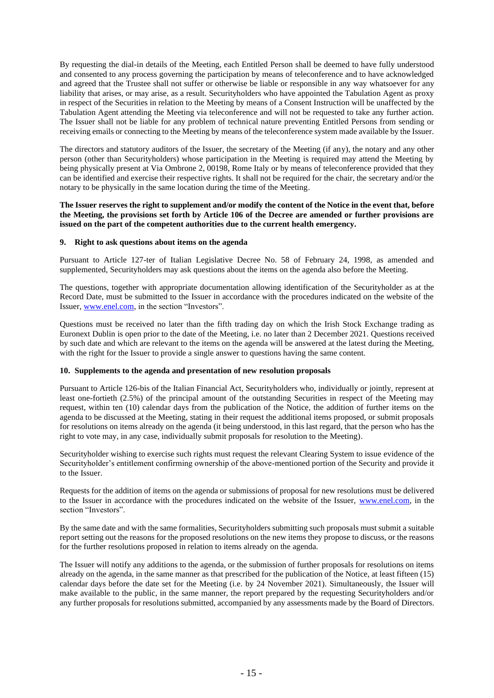By requesting the dial-in details of the Meeting, each Entitled Person shall be deemed to have fully understood and consented to any process governing the participation by means of teleconference and to have acknowledged and agreed that the Trustee shall not suffer or otherwise be liable or responsible in any way whatsoever for any liability that arises, or may arise, as a result. Securityholders who have appointed the Tabulation Agent as proxy in respect of the Securities in relation to the Meeting by means of a Consent Instruction will be unaffected by the Tabulation Agent attending the Meeting via teleconference and will not be requested to take any further action. The Issuer shall not be liable for any problem of technical nature preventing Entitled Persons from sending or receiving emails or connecting to the Meeting by means of the teleconference system made available by the Issuer.

The directors and statutory auditors of the Issuer, the secretary of the Meeting (if any), the notary and any other person (other than Securityholders) whose participation in the Meeting is required may attend the Meeting by being physically present at Via Ombrone 2, 00198, Rome Italy or by means of teleconference provided that they can be identified and exercise their respective rights. It shall not be required for the chair, the secretary and/or the notary to be physically in the same location during the time of the Meeting.

# **The Issuer reserves the right to supplement and/or modify the content of the Notice in the event that, before the Meeting, the provisions set forth by Article 106 of the Decree are amended or further provisions are issued on the part of the competent authorities due to the current health emergency.**

# **9. Right to ask questions about items on the agenda**

Pursuant to Article 127-ter of Italian Legislative Decree No. 58 of February 24, 1998, as amended and supplemented, Securityholders may ask questions about the items on the agenda also before the Meeting.

The questions, together with appropriate documentation allowing identification of the Securityholder as at the Record Date, must be submitted to the Issuer in accordance with the procedures indicated on the website of the Issuer, [www.enel.com,](http://www.enel.com/) in the section "Investors".

Questions must be received no later than the fifth trading day on which the Irish Stock Exchange trading as Euronext Dublin is open prior to the date of the Meeting, i.e. no later than 2 December 2021. Questions received by such date and which are relevant to the items on the agenda will be answered at the latest during the Meeting, with the right for the Issuer to provide a single answer to questions having the same content.

#### **10. Supplements to the agenda and presentation of new resolution proposals**

Pursuant to Article 126-bis of the Italian Financial Act, Securityholders who, individually or jointly, represent at least one-fortieth (2.5%) of the principal amount of the outstanding Securities in respect of the Meeting may request, within ten (10) calendar days from the publication of the Notice, the addition of further items on the agenda to be discussed at the Meeting, stating in their request the additional items proposed, or submit proposals for resolutions on items already on the agenda (it being understood, in this last regard, that the person who has the right to vote may, in any case, individually submit proposals for resolution to the Meeting).

Securityholder wishing to exercise such rights must request the relevant Clearing System to issue evidence of the Securityholder's entitlement confirming ownership of the above-mentioned portion of the Security and provide it to the Issuer.

Requests for the addition of items on the agenda or submissions of proposal for new resolutions must be delivered to the Issuer in accordance with the procedures indicated on the website of the Issuer, [www.enel.com,](http://www.enel.com/) in the section "Investors".

By the same date and with the same formalities, Securityholders submitting such proposals must submit a suitable report setting out the reasons for the proposed resolutions on the new items they propose to discuss, or the reasons for the further resolutions proposed in relation to items already on the agenda.

The Issuer will notify any additions to the agenda, or the submission of further proposals for resolutions on items already on the agenda, in the same manner as that prescribed for the publication of the Notice, at least fifteen (15) calendar days before the date set for the Meeting (i.e. by 24 November 2021). Simultaneously, the Issuer will make available to the public, in the same manner, the report prepared by the requesting Securityholders and/or any further proposals for resolutions submitted, accompanied by any assessments made by the Board of Directors.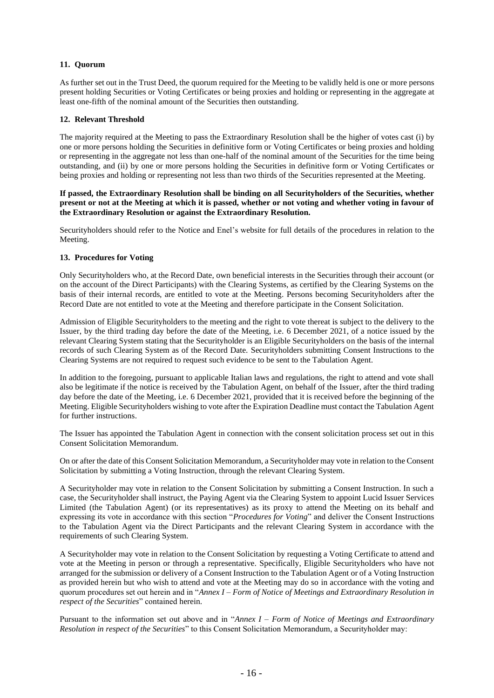# **11. Quorum**

As further set out in the Trust Deed, the quorum required for the Meeting to be validly held is one or more persons present holding Securities or Voting Certificates or being proxies and holding or representing in the aggregate at least one-fifth of the nominal amount of the Securities then outstanding.

# **12. Relevant Threshold**

The majority required at the Meeting to pass the Extraordinary Resolution shall be the higher of votes cast (i) by one or more persons holding the Securities in definitive form or Voting Certificates or being proxies and holding or representing in the aggregate not less than one-half of the nominal amount of the Securities for the time being outstanding, and (ii) by one or more persons holding the Securities in definitive form or Voting Certificates or being proxies and holding or representing not less than two thirds of the Securities represented at the Meeting.

# **If passed, the Extraordinary Resolution shall be binding on all Securityholders of the Securities, whether present or not at the Meeting at which it is passed, whether or not voting and whether voting in favour of the Extraordinary Resolution or against the Extraordinary Resolution.**

Securityholders should refer to the Notice and Enel's website for full details of the procedures in relation to the Meeting.

# **13. Procedures for Voting**

Only Securityholders who, at the Record Date, own beneficial interests in the Securities through their account (or on the account of the Direct Participants) with the Clearing Systems, as certified by the Clearing Systems on the basis of their internal records, are entitled to vote at the Meeting. Persons becoming Securityholders after the Record Date are not entitled to vote at the Meeting and therefore participate in the Consent Solicitation.

Admission of Eligible Securityholders to the meeting and the right to vote thereat is subject to the delivery to the Issuer, by the third trading day before the date of the Meeting, i.e. 6 December 2021, of a notice issued by the relevant Clearing System stating that the Securityholder is an Eligible Securityholders on the basis of the internal records of such Clearing System as of the Record Date. Securityholders submitting Consent Instructions to the Clearing Systems are not required to request such evidence to be sent to the Tabulation Agent.

In addition to the foregoing, pursuant to applicable Italian laws and regulations, the right to attend and vote shall also be legitimate if the notice is received by the Tabulation Agent, on behalf of the Issuer, after the third trading day before the date of the Meeting, i.e. 6 December 2021, provided that it is received before the beginning of the Meeting. Eligible Securityholders wishing to vote after the Expiration Deadline must contact the Tabulation Agent for further instructions.

The Issuer has appointed the Tabulation Agent in connection with the consent solicitation process set out in this Consent Solicitation Memorandum.

On or after the date of this Consent Solicitation Memorandum, a Securityholder may vote in relation to the Consent Solicitation by submitting a Voting Instruction, through the relevant Clearing System.

A Securityholder may vote in relation to the Consent Solicitation by submitting a Consent Instruction. In such a case, the Securityholder shall instruct, the Paying Agent via the Clearing System to appoint Lucid Issuer Services Limited (the Tabulation Agent) (or its representatives) as its proxy to attend the Meeting on its behalf and expressing its vote in accordance with this section "*Procedures for Voting*" and deliver the Consent Instructions to the Tabulation Agent via the Direct Participants and the relevant Clearing System in accordance with the requirements of such Clearing System.

A Securityholder may vote in relation to the Consent Solicitation by requesting a Voting Certificate to attend and vote at the Meeting in person or through a representative. Specifically, Eligible Securityholders who have not arranged for the submission or delivery of a Consent Instruction to the Tabulation Agent or of a Voting Instruction as provided herein but who wish to attend and vote at the Meeting may do so in accordance with the voting and quorum procedures set out herein and in "*Annex I – Form of Notice of Meetings and Extraordinary Resolution in respect of the Securities*" contained herein.

Pursuant to the information set out above and in "*Annex I – Form of Notice of Meetings and Extraordinary Resolution in respect of the Securities*" to this Consent Solicitation Memorandum, a Securityholder may: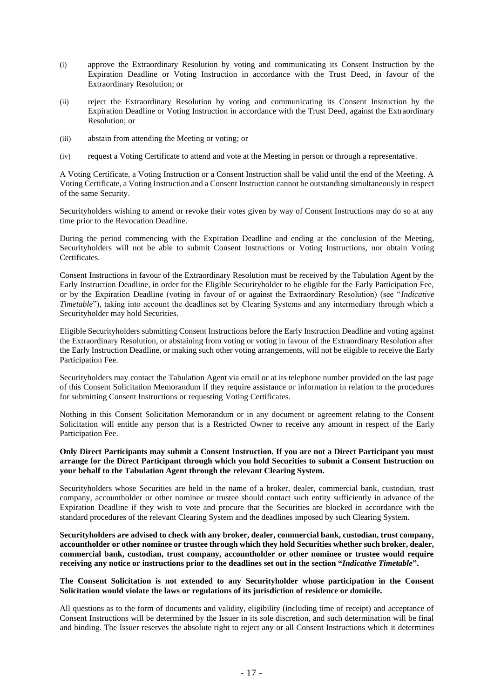- (i) approve the Extraordinary Resolution by voting and communicating its Consent Instruction by the Expiration Deadline or Voting Instruction in accordance with the Trust Deed, in favour of the Extraordinary Resolution; or
- (ii) reject the Extraordinary Resolution by voting and communicating its Consent Instruction by the Expiration Deadline or Voting Instruction in accordance with the Trust Deed, against the Extraordinary Resolution; or
- (iii) abstain from attending the Meeting or voting; or
- (iv) request a Voting Certificate to attend and vote at the Meeting in person or through a representative.

A Voting Certificate, a Voting Instruction or a Consent Instruction shall be valid until the end of the Meeting. A Voting Certificate, a Voting Instruction and a Consent Instruction cannot be outstanding simultaneously in respect of the same Security.

Securityholders wishing to amend or revoke their votes given by way of Consent Instructions may do so at any time prior to the Revocation Deadline.

During the period commencing with the Expiration Deadline and ending at the conclusion of the Meeting, Securityholders will not be able to submit Consent Instructions or Voting Instructions, nor obtain Voting Certificates.

Consent Instructions in favour of the Extraordinary Resolution must be received by the Tabulation Agent by the Early Instruction Deadline, in order for the Eligible Securityholder to be eligible for the Early Participation Fee, or by the Expiration Deadline (voting in favour of or against the Extraordinary Resolution) (see "*Indicative Timetable*"), taking into account the deadlines set by Clearing Systems and any intermediary through which a Securityholder may hold Securities.

Eligible Securityholders submitting Consent Instructions before the Early Instruction Deadline and voting against the Extraordinary Resolution, or abstaining from voting or voting in favour of the Extraordinary Resolution after the Early Instruction Deadline, or making such other voting arrangements, will not be eligible to receive the Early Participation Fee.

Securityholders may contact the Tabulation Agent via email or at its telephone number provided on the last page of this Consent Solicitation Memorandum if they require assistance or information in relation to the procedures for submitting Consent Instructions or requesting Voting Certificates.

Nothing in this Consent Solicitation Memorandum or in any document or agreement relating to the Consent Solicitation will entitle any person that is a Restricted Owner to receive any amount in respect of the Early Participation Fee.

# **Only Direct Participants may submit a Consent Instruction. If you are not a Direct Participant you must arrange for the Direct Participant through which you hold Securities to submit a Consent Instruction on your behalf to the Tabulation Agent through the relevant Clearing System.**

Securityholders whose Securities are held in the name of a broker, dealer, commercial bank, custodian, trust company, accountholder or other nominee or trustee should contact such entity sufficiently in advance of the Expiration Deadline if they wish to vote and procure that the Securities are blocked in accordance with the standard procedures of the relevant Clearing System and the deadlines imposed by such Clearing System.

**Securityholders are advised to check with any broker, dealer, commercial bank, custodian, trust company, accountholder or other nominee or trustee through which they hold Securities whether such broker, dealer, commercial bank, custodian, trust company, accountholder or other nominee or trustee would require receiving any notice or instructions prior to the deadlines set out in the section "***Indicative Timetable***".**

#### **The Consent Solicitation is not extended to any Securityholder whose participation in the Consent Solicitation would violate the laws or regulations of its jurisdiction of residence or domicile.**

All questions as to the form of documents and validity, eligibility (including time of receipt) and acceptance of Consent Instructions will be determined by the Issuer in its sole discretion, and such determination will be final and binding. The Issuer reserves the absolute right to reject any or all Consent Instructions which it determines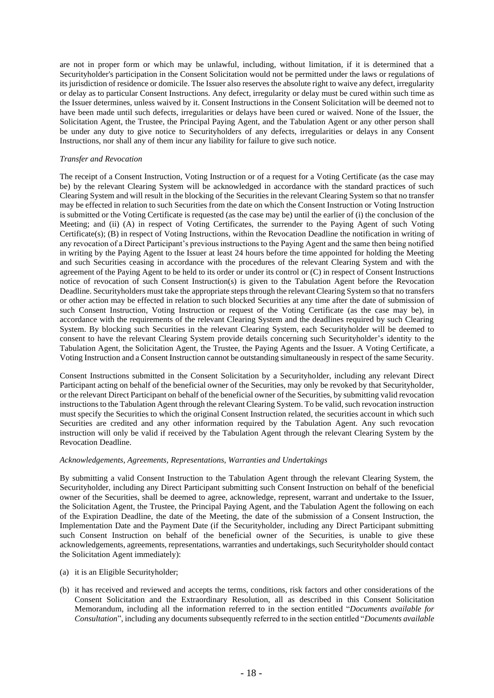are not in proper form or which may be unlawful, including, without limitation, if it is determined that a Securityholder's participation in the Consent Solicitation would not be permitted under the laws or regulations of its jurisdiction of residence or domicile. The Issuer also reserves the absolute right to waive any defect, irregularity or delay as to particular Consent Instructions. Any defect, irregularity or delay must be cured within such time as the Issuer determines, unless waived by it. Consent Instructions in the Consent Solicitation will be deemed not to have been made until such defects, irregularities or delays have been cured or waived. None of the Issuer, the Solicitation Agent, the Trustee, the Principal Paying Agent, and the Tabulation Agent or any other person shall be under any duty to give notice to Securityholders of any defects, irregularities or delays in any Consent Instructions, nor shall any of them incur any liability for failure to give such notice.

# *Transfer and Revocation*

The receipt of a Consent Instruction, Voting Instruction or of a request for a Voting Certificate (as the case may be) by the relevant Clearing System will be acknowledged in accordance with the standard practices of such Clearing System and will result in the blocking of the Securities in the relevant Clearing System so that no transfer may be effected in relation to such Securities from the date on which the Consent Instruction or Voting Instruction is submitted or the Voting Certificate is requested (as the case may be) until the earlier of (i) the conclusion of the Meeting; and (ii) (A) in respect of Voting Certificates, the surrender to the Paying Agent of such Voting Certificate(s); (B) in respect of Voting Instructions, within the Revocation Deadline the notification in writing of any revocation of a Direct Participant's previous instructions to the Paying Agent and the same then being notified in writing by the Paying Agent to the Issuer at least 24 hours before the time appointed for holding the Meeting and such Securities ceasing in accordance with the procedures of the relevant Clearing System and with the agreement of the Paying Agent to be held to its order or under its control or (C) in respect of Consent Instructions notice of revocation of such Consent Instruction(s) is given to the Tabulation Agent before the Revocation Deadline. Securityholders must take the appropriate steps through the relevant Clearing System so that no transfers or other action may be effected in relation to such blocked Securities at any time after the date of submission of such Consent Instruction, Voting Instruction or request of the Voting Certificate (as the case may be), in accordance with the requirements of the relevant Clearing System and the deadlines required by such Clearing System. By blocking such Securities in the relevant Clearing System, each Securityholder will be deemed to consent to have the relevant Clearing System provide details concerning such Securityholder's identity to the Tabulation Agent, the Solicitation Agent, the Trustee, the Paying Agents and the Issuer. A Voting Certificate, a Voting Instruction and a Consent Instruction cannot be outstanding simultaneously in respect of the same Security.

Consent Instructions submitted in the Consent Solicitation by a Securityholder, including any relevant Direct Participant acting on behalf of the beneficial owner of the Securities, may only be revoked by that Securityholder, or the relevant Direct Participant on behalf of the beneficial owner of the Securities, by submitting valid revocation instructions to the Tabulation Agent through the relevant Clearing System. To be valid, such revocation instruction must specify the Securities to which the original Consent Instruction related, the securities account in which such Securities are credited and any other information required by the Tabulation Agent. Any such revocation instruction will only be valid if received by the Tabulation Agent through the relevant Clearing System by the Revocation Deadline.

#### *Acknowledgements, Agreements, Representations, Warranties and Undertakings*

By submitting a valid Consent Instruction to the Tabulation Agent through the relevant Clearing System, the Securityholder, including any Direct Participant submitting such Consent Instruction on behalf of the beneficial owner of the Securities, shall be deemed to agree, acknowledge, represent, warrant and undertake to the Issuer, the Solicitation Agent, the Trustee, the Principal Paying Agent, and the Tabulation Agent the following on each of the Expiration Deadline, the date of the Meeting, the date of the submission of a Consent Instruction, the Implementation Date and the Payment Date (if the Securityholder, including any Direct Participant submitting such Consent Instruction on behalf of the beneficial owner of the Securities, is unable to give these acknowledgements, agreements, representations, warranties and undertakings, such Securityholder should contact the Solicitation Agent immediately):

- (a) it is an Eligible Securityholder;
- (b) it has received and reviewed and accepts the terms, conditions, risk factors and other considerations of the Consent Solicitation and the Extraordinary Resolution, all as described in this Consent Solicitation Memorandum, including all the information referred to in the section entitled "*Documents available for Consultation*", including any documents subsequently referred to in the section entitled "*Documents available*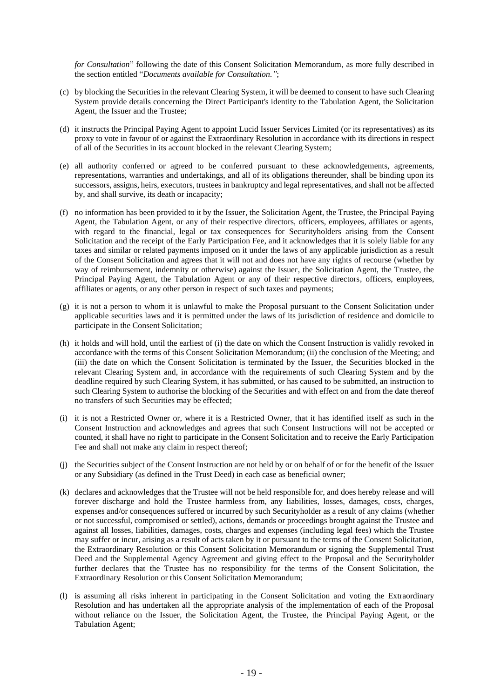*for Consultation*" following the date of this Consent Solicitation Memorandum, as more fully described in the section entitled "*Documents available for Consultation."*;

- (c) by blocking the Securities in the relevant Clearing System, it will be deemed to consent to have such Clearing System provide details concerning the Direct Participant's identity to the Tabulation Agent, the Solicitation Agent, the Issuer and the Trustee;
- (d) it instructs the Principal Paying Agent to appoint Lucid Issuer Services Limited (or its representatives) as its proxy to vote in favour of or against the Extraordinary Resolution in accordance with its directions in respect of all of the Securities in its account blocked in the relevant Clearing System;
- (e) all authority conferred or agreed to be conferred pursuant to these acknowledgements, agreements, representations, warranties and undertakings, and all of its obligations thereunder, shall be binding upon its successors, assigns, heirs, executors, trustees in bankruptcy and legal representatives, and shall not be affected by, and shall survive, its death or incapacity;
- (f) no information has been provided to it by the Issuer, the Solicitation Agent, the Trustee, the Principal Paying Agent, the Tabulation Agent, or any of their respective directors, officers, employees, affiliates or agents, with regard to the financial, legal or tax consequences for Securityholders arising from the Consent Solicitation and the receipt of the Early Participation Fee, and it acknowledges that it is solely liable for any taxes and similar or related payments imposed on it under the laws of any applicable jurisdiction as a result of the Consent Solicitation and agrees that it will not and does not have any rights of recourse (whether by way of reimbursement, indemnity or otherwise) against the Issuer, the Solicitation Agent, the Trustee, the Principal Paying Agent, the Tabulation Agent or any of their respective directors, officers, employees, affiliates or agents, or any other person in respect of such taxes and payments;
- (g) it is not a person to whom it is unlawful to make the Proposal pursuant to the Consent Solicitation under applicable securities laws and it is permitted under the laws of its jurisdiction of residence and domicile to participate in the Consent Solicitation;
- (h) it holds and will hold, until the earliest of (i) the date on which the Consent Instruction is validly revoked in accordance with the terms of this Consent Solicitation Memorandum; (ii) the conclusion of the Meeting; and (iii) the date on which the Consent Solicitation is terminated by the Issuer, the Securities blocked in the relevant Clearing System and, in accordance with the requirements of such Clearing System and by the deadline required by such Clearing System, it has submitted, or has caused to be submitted, an instruction to such Clearing System to authorise the blocking of the Securities and with effect on and from the date thereof no transfers of such Securities may be effected;
- (i) it is not a Restricted Owner or, where it is a Restricted Owner, that it has identified itself as such in the Consent Instruction and acknowledges and agrees that such Consent Instructions will not be accepted or counted, it shall have no right to participate in the Consent Solicitation and to receive the Early Participation Fee and shall not make any claim in respect thereof;
- (j) the Securities subject of the Consent Instruction are not held by or on behalf of or for the benefit of the Issuer or any Subsidiary (as defined in the Trust Deed) in each case as beneficial owner;
- (k) declares and acknowledges that the Trustee will not be held responsible for, and does hereby release and will forever discharge and hold the Trustee harmless from, any liabilities, losses, damages, costs, charges, expenses and/or consequences suffered or incurred by such Securityholder as a result of any claims (whether or not successful, compromised or settled), actions, demands or proceedings brought against the Trustee and against all losses, liabilities, damages, costs, charges and expenses (including legal fees) which the Trustee may suffer or incur, arising as a result of acts taken by it or pursuant to the terms of the Consent Solicitation, the Extraordinary Resolution or this Consent Solicitation Memorandum or signing the Supplemental Trust Deed and the Supplemental Agency Agreement and giving effect to the Proposal and the Securityholder further declares that the Trustee has no responsibility for the terms of the Consent Solicitation, the Extraordinary Resolution or this Consent Solicitation Memorandum;
- (l) is assuming all risks inherent in participating in the Consent Solicitation and voting the Extraordinary Resolution and has undertaken all the appropriate analysis of the implementation of each of the Proposal without reliance on the Issuer, the Solicitation Agent, the Trustee, the Principal Paying Agent, or the Tabulation Agent;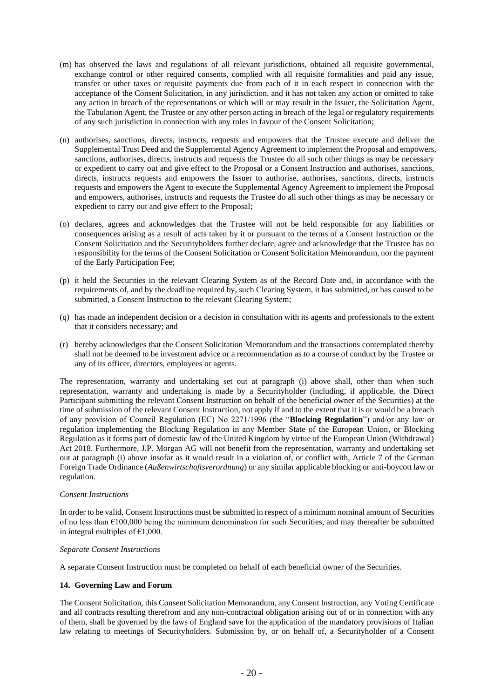- (m) has observed the laws and regulations of all relevant jurisdictions, obtained all requisite governmental, exchange control or other required consents, complied with all requisite formalities and paid any issue, transfer or other taxes or requisite payments due from each of it in each respect in connection with the acceptance of the Consent Solicitation, in any jurisdiction, and it has not taken any action or omitted to take any action in breach of the representations or which will or may result in the Issuer, the Solicitation Agent, the Tabulation Agent, the Trustee or any other person acting in breach of the legal or regulatory requirements of any such jurisdiction in connection with any roles in favour of the Consent Solicitation;
- (n) authorises, sanctions, directs, instructs, requests and empowers that the Trustee execute and deliver the Supplemental Trust Deed and the Supplemental Agency Agreement to implement the Proposal and empowers, sanctions, authorises, directs, instructs and requests the Trustee do all such other things as may be necessary or expedient to carry out and give effect to the Proposal or a Consent Instruction and authorises, sanctions, directs, instructs requests and empowers the Issuer to authorise, authorises, sanctions, directs, instructs requests and empowers the Agent to execute the Supplemental Agency Agreement to implement the Proposal and empowers, authorises, instructs and requests the Trustee do all such other things as may be necessary or expedient to carry out and give effect to the Proposal;
- (o) declares, agrees and acknowledges that the Trustee will not be held responsible for any liabilities or consequences arising as a result of acts taken by it or pursuant to the terms of a Consent Instruction or the Consent Solicitation and the Securityholders further declare, agree and acknowledge that the Trustee has no responsibility for the terms of the Consent Solicitation or Consent Solicitation Memorandum, nor the payment of the Early Participation Fee;
- (p) it held the Securities in the relevant Clearing System as of the Record Date and, in accordance with the requirements of, and by the deadline required by, such Clearing System, it has submitted, or has caused to be submitted, a Consent Instruction to the relevant Clearing System;
- (q) has made an independent decision or a decision in consultation with its agents and professionals to the extent that it considers necessary; and
- (r) hereby acknowledges that the Consent Solicitation Memorandum and the transactions contemplated thereby shall not be deemed to be investment advice or a recommendation as to a course of conduct by the Trustee or any of its officer, directors, employees or agents.

The representation, warranty and undertaking set out at paragraph (i) above shall, other than when such representation, warranty and undertaking is made by a Securityholder (including, if applicable, the Direct Participant submitting the relevant Consent Instruction on behalf of the beneficial owner of the Securities) at the time of submission of the relevant Consent Instruction, not apply if and to the extent that it is or would be a breach of any provision of Council Regulation (EC) No 2271/1996 (the "**Blocking Regulation**") and/or any law or regulation implementing the Blocking Regulation in any Member State of the European Union, or Blocking Regulation as it forms part of domestic law of the United Kingdom by virtue of the European Union (Withdrawal) Act 2018. Furthermore, J.P. Morgan AG will not benefit from the representation, warranty and undertaking set out at paragraph (i) above insofar as it would result in a violation of, or conflict with, Article 7 of the German Foreign Trade Ordinance (*Außenwirtschaftsverordnung*) or any similar applicable blocking or anti-boycott law or regulation.

#### *Consent Instructions*

In order to be valid, Consent Instructions must be submitted in respect of a minimum nominal amount of Securities of no less than  $\epsilon$ 100,000 being the minimum denomination for such Securities, and may thereafter be submitted in integral multiples of  $€1,000$ .

# *Separate Consent Instructions*

A separate Consent Instruction must be completed on behalf of each beneficial owner of the Securities.

# **14. Governing Law and Forum**

The Consent Solicitation, this Consent Solicitation Memorandum, any Consent Instruction, any Voting Certificate and all contracts resulting therefrom and any non-contractual obligation arising out of or in connection with any of them, shall be governed by the laws of England save for the application of the mandatory provisions of Italian law relating to meetings of Securityholders. Submission by, or on behalf of, a Securityholder of a Consent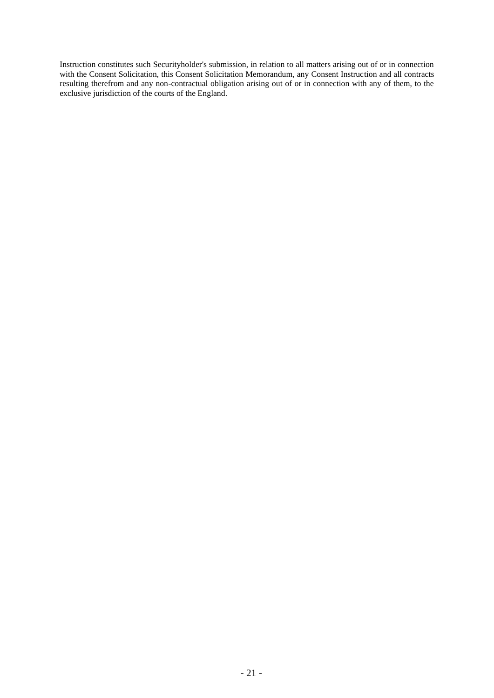Instruction constitutes such Securityholder's submission, in relation to all matters arising out of or in connection with the Consent Solicitation, this Consent Solicitation Memorandum, any Consent Instruction and all contracts resulting therefrom and any non-contractual obligation arising out of or in connection with any of them, to the exclusive jurisdiction of the courts of the England.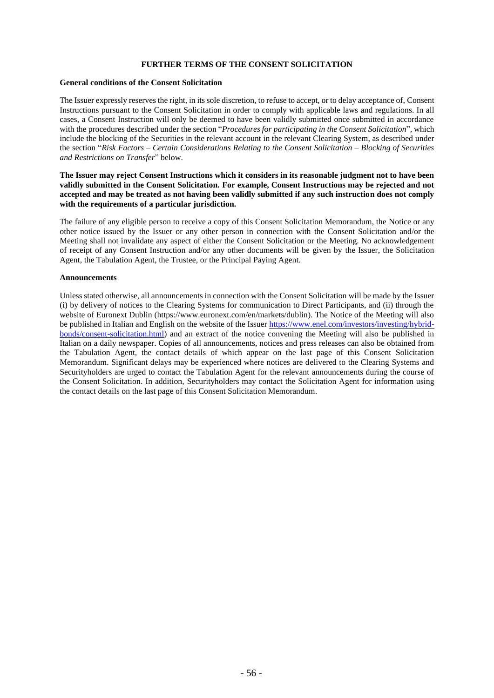# **FURTHER TERMS OF THE CONSENT SOLICITATION**

#### **General conditions of the Consent Solicitation**

The Issuer expressly reserves the right, in its sole discretion, to refuse to accept, or to delay acceptance of, Consent Instructions pursuant to the Consent Solicitation in order to comply with applicable laws and regulations. In all cases, a Consent Instruction will only be deemed to have been validly submitted once submitted in accordance with the procedures described under the section "*Procedures for participating in the Consent Solicitation*", which include the blocking of the Securities in the relevant account in the relevant Clearing System, as described under the section "*Risk Factors – Certain Considerations Relating to the Consent Solicitation – Blocking of Securities and Restrictions on Transfer*" below.

# **The Issuer may reject Consent Instructions which it considers in its reasonable judgment not to have been validly submitted in the Consent Solicitation. For example, Consent Instructions may be rejected and not accepted and may be treated as not having been validly submitted if any such instruction does not comply with the requirements of a particular jurisdiction.**

The failure of any eligible person to receive a copy of this Consent Solicitation Memorandum, the Notice or any other notice issued by the Issuer or any other person in connection with the Consent Solicitation and/or the Meeting shall not invalidate any aspect of either the Consent Solicitation or the Meeting. No acknowledgement of receipt of any Consent Instruction and/or any other documents will be given by the Issuer, the Solicitation Agent, the Tabulation Agent, the Trustee, or the Principal Paying Agent.

#### **Announcements**

Unless stated otherwise, all announcements in connection with the Consent Solicitation will be made by the Issuer (i) by delivery of notices to the Clearing Systems for communication to Direct Participants, and (ii) through the website of Euronext Dublin (https://www.euronext.com/en/markets/dublin). The Notice of the Meeting will also be published in Italian and English on the website of the Issue[r https://www.enel.com/investors/investing/hybrid](https://www.enel.com/investors/investing/hybrid-bonds/consent-solicitation.html)[bonds/consent-solicitation.html\)](https://www.enel.com/investors/investing/hybrid-bonds/consent-solicitation.html) and an extract of the notice convening the Meeting will also be published in Italian on a daily newspaper. Copies of all announcements, notices and press releases can also be obtained from the Tabulation Agent, the contact details of which appear on the last page of this Consent Solicitation Memorandum. Significant delays may be experienced where notices are delivered to the Clearing Systems and Securityholders are urged to contact the Tabulation Agent for the relevant announcements during the course of the Consent Solicitation. In addition, Securityholders may contact the Solicitation Agent for information using the contact details on the last page of this Consent Solicitation Memorandum.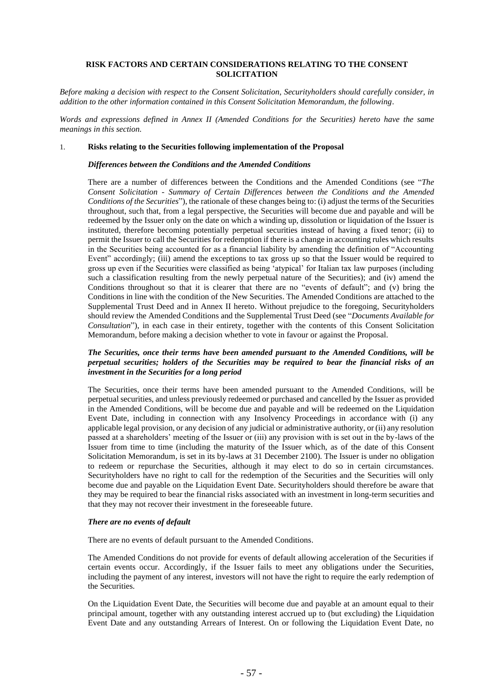# **RISK FACTORS AND CERTAIN CONSIDERATIONS RELATING TO THE CONSENT SOLICITATION**

*Before making a decision with respect to the Consent Solicitation, Securityholders should carefully consider, in addition to the other information contained in this Consent Solicitation Memorandum, the following.*

*Words and expressions defined in Annex II (Amended Conditions for the Securities) hereto have the same meanings in this section.*

#### 1. **Risks relating to the Securities following implementation of the Proposal**

#### *Differences between the Conditions and the Amended Conditions*

There are a number of differences between the Conditions and the Amended Conditions (see "*The Consent Solicitation - Summary of Certain Differences between the Conditions and the Amended Conditions of the Securities*"), the rationale of these changes being to: (i) adjust the terms of the Securities throughout, such that, from a legal perspective, the Securities will become due and payable and will be redeemed by the Issuer only on the date on which a winding up, dissolution or liquidation of the Issuer is instituted, therefore becoming potentially perpetual securities instead of having a fixed tenor; (ii) to permit the Issuer to call the Securities for redemption if there is a change in accounting rules which results in the Securities being accounted for as a financial liability by amending the definition of "Accounting Event" accordingly; (iii) amend the exceptions to tax gross up so that the Issuer would be required to gross up even if the Securities were classified as being 'atypical' for Italian tax law purposes (including such a classification resulting from the newly perpetual nature of the Securities); and (iv) amend the Conditions throughout so that it is clearer that there are no "events of default"; and (v) bring the Conditions in line with the condition of the New Securities. The Amended Conditions are attached to the Supplemental Trust Deed and in Annex II hereto. Without prejudice to the foregoing, Securityholders should review the Amended Conditions and the Supplemental Trust Deed (see "*Documents Available for Consultation*"), in each case in their entirety, together with the contents of this Consent Solicitation Memorandum, before making a decision whether to vote in favour or against the Proposal.

# *The Securities, once their terms have been amended pursuant to the Amended Conditions, will be perpetual securities; holders of the Securities may be required to bear the financial risks of an investment in the Securities for a long period*

The Securities, once their terms have been amended pursuant to the Amended Conditions, will be perpetual securities, and unless previously redeemed or purchased and cancelled by the Issuer as provided in the Amended Conditions, will be become due and payable and will be redeemed on the Liquidation Event Date, including in connection with any Insolvency Proceedings in accordance with (i) any applicable legal provision, or any decision of any judicial or administrative authority, or (ii) any resolution passed at a shareholders' meeting of the Issuer or (iii) any provision with is set out in the by-laws of the Issuer from time to time (including the maturity of the Issuer which, as of the date of this Consent Solicitation Memorandum, is set in its by-laws at 31 December 2100). The Issuer is under no obligation to redeem or repurchase the Securities, although it may elect to do so in certain circumstances. Securityholders have no right to call for the redemption of the Securities and the Securities will only become due and payable on the Liquidation Event Date. Securityholders should therefore be aware that they may be required to bear the financial risks associated with an investment in long-term securities and that they may not recover their investment in the foreseeable future.

#### *There are no events of default*

There are no events of default pursuant to the Amended Conditions.

The Amended Conditions do not provide for events of default allowing acceleration of the Securities if certain events occur. Accordingly, if the Issuer fails to meet any obligations under the Securities, including the payment of any interest, investors will not have the right to require the early redemption of the Securities.

On the Liquidation Event Date, the Securities will become due and payable at an amount equal to their principal amount, together with any outstanding interest accrued up to (but excluding) the Liquidation Event Date and any outstanding Arrears of Interest. On or following the Liquidation Event Date, no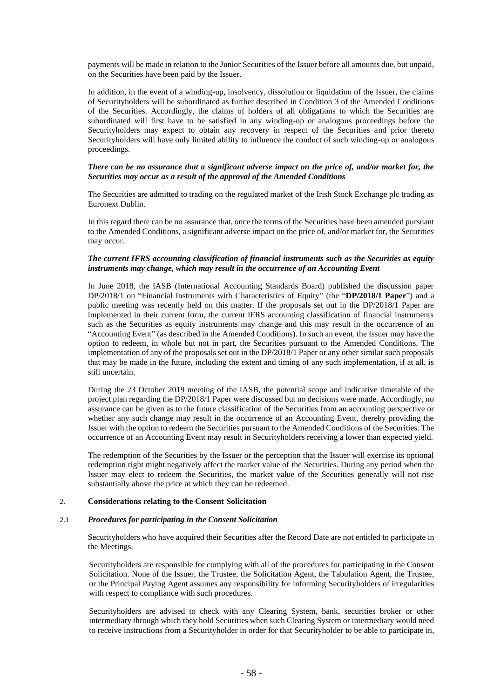payments will be made in relation to the Junior Securities of the Issuer before all amounts due, but unpaid, on the Securities have been paid by the Issuer.

In addition, in the event of a winding-up, insolvency, dissolution or liquidation of the Issuer, the claims of Securityholders will be subordinated as further described in Condition 3 of the Amended Conditions of the Securities. Accordingly, the claims of holders of all obligations to which the Securities are subordinated will first have to be satisfied in any winding-up or analogous proceedings before the Securityholders may expect to obtain any recovery in respect of the Securities and prior thereto Securityholders will have only limited ability to influence the conduct of such winding-up or analogous proceedings.

# *There can be no assurance that a significant adverse impact on the price of, and/or market for, the Securities may occur as a result of the approval of the Amended Conditions*

The Securities are admitted to trading on the regulated market of the Irish Stock Exchange plc trading as Euronext Dublin.

In this regard there can be no assurance that, once the terms of the Securities have been amended pursuant to the Amended Conditions, a significant adverse impact on the price of, and/or market for, the Securities may occur.

#### *The current IFRS accounting classification of financial instruments such as the Securities as equity instruments may change, which may result in the occurrence of an Accounting Event*

In June 2018, the IASB (International Accounting Standards Board) published the discussion paper DP/2018/1 on "Financial Instruments with Characteristics of Equity" (the "**DP/2018/1 Paper**") and a public meeting was recently held on this matter. If the proposals set out in the DP/2018/1 Paper are implemented in their current form, the current IFRS accounting classification of financial instruments such as the Securities as equity instruments may change and this may result in the occurrence of an "Accounting Event" (as described in the Amended Conditions). In such an event, the Issuer may have the option to redeem, in whole but not in part, the Securities pursuant to the Amended Conditions. The implementation of any of the proposals set out in the DP/2018/1 Paper or any other similar such proposals that may be made in the future, including the extent and timing of any such implementation, if at all, is still uncertain.

During the 23 October 2019 meeting of the IASB, the potential scope and indicative timetable of the project plan regarding the DP/2018/1 Paper were discussed but no decisions were made. Accordingly, no assurance can be given as to the future classification of the Securities from an accounting perspective or whether any such change may result in the occurrence of an Accounting Event, thereby providing the Issuer with the option to redeem the Securities pursuant to the Amended Conditions of the Securities. The occurrence of an Accounting Event may result in Securityholders receiving a lower than expected yield.

The redemption of the Securities by the Issuer or the perception that the Issuer will exercise its optional redemption right might negatively affect the market value of the Securities. During any period when the Issuer may elect to redeem the Securities, the market value of the Securities generally will not rise substantially above the price at which they can be redeemed.

#### 2. **Considerations relating to the Consent Solicitation**

#### <span id="page-32-0"></span>2.1 *Procedures for participating in the Consent Solicitation*

Securityholders who have acquired their Securities after the Record Date are not entitled to participate in the Meetings.

Securityholders are responsible for complying with all of the procedures for participating in the Consent Solicitation. None of the Issuer, the Trustee, the Solicitation Agent, the Tabulation Agent, the Trustee, or the Principal Paying Agent assumes any responsibility for informing Securityholders of irregularities with respect to compliance with such procedures.

Securityholders are advised to check with any Clearing System, bank, securities broker or other intermediary through which they hold Securities when such Clearing System or intermediary would need to receive instructions from a Securityholder in order for that Securityholder to be able to participate in,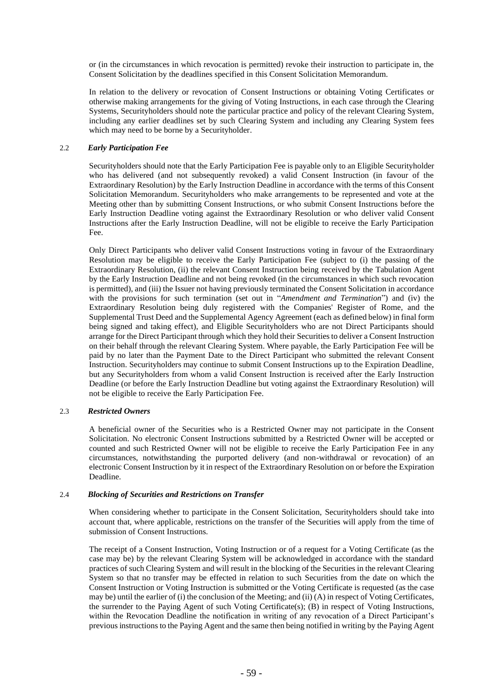or (in the circumstances in which revocation is permitted) revoke their instruction to participate in, the Consent Solicitation by the deadlines specified in this Consent Solicitation Memorandum.

In relation to the delivery or revocation of Consent Instructions or obtaining Voting Certificates or otherwise making arrangements for the giving of Voting Instructions, in each case through the Clearing Systems, Securityholders should note the particular practice and policy of the relevant Clearing System, including any earlier deadlines set by such Clearing System and including any Clearing System fees which may need to be borne by a Securityholder.

#### 2.2 *Early Participation Fee*

Securityholders should note that the Early Participation Fee is payable only to an Eligible Securityholder who has delivered (and not subsequently revoked) a valid Consent Instruction (in favour of the Extraordinary Resolution) by the Early Instruction Deadline in accordance with the terms of this Consent Solicitation Memorandum. Securityholders who make arrangements to be represented and vote at the Meeting other than by submitting Consent Instructions, or who submit Consent Instructions before the Early Instruction Deadline voting against the Extraordinary Resolution or who deliver valid Consent Instructions after the Early Instruction Deadline, will not be eligible to receive the Early Participation Fee.

Only Direct Participants who deliver valid Consent Instructions voting in favour of the Extraordinary Resolution may be eligible to receive the Early Participation Fee (subject to (i) the passing of the Extraordinary Resolution, (ii) the relevant Consent Instruction being received by the Tabulation Agent by the Early Instruction Deadline and not being revoked (in the circumstances in which such revocation is permitted), and (iii) the Issuer not having previously terminated the Consent Solicitation in accordance with the provisions for such termination (set out in "*Amendment and Termination*") and (iv) the Extraordinary Resolution being duly registered with the Companies' Register of Rome, and the Supplemental Trust Deed and the Supplemental Agency Agreement (each as defined below) in final form being signed and taking effect), and Eligible Securityholders who are not Direct Participants should arrange for the Direct Participant through which they hold their Securitiesto deliver a Consent Instruction on their behalf through the relevant Clearing System. Where payable, the Early Participation Fee will be paid by no later than the Payment Date to the Direct Participant who submitted the relevant Consent Instruction. Securityholders may continue to submit Consent Instructions up to the Expiration Deadline, but any Securityholders from whom a valid Consent Instruction is received after the Early Instruction Deadline (or before the Early Instruction Deadline but voting against the Extraordinary Resolution) will not be eligible to receive the Early Participation Fee.

#### 2.3 *Restricted Owners*

A beneficial owner of the Securities who is a Restricted Owner may not participate in the Consent Solicitation. No electronic Consent Instructions submitted by a Restricted Owner will be accepted or counted and such Restricted Owner will not be eligible to receive the Early Participation Fee in any circumstances, notwithstanding the purported delivery (and non-withdrawal or revocation) of an electronic Consent Instruction by it in respect of the Extraordinary Resolution on or before the Expiration Deadline.

#### 2.4 *Blocking of Securities and Restrictions on Transfer*

When considering whether to participate in the Consent Solicitation, Securityholders should take into account that, where applicable, restrictions on the transfer of the Securities will apply from the time of submission of Consent Instructions.

The receipt of a Consent Instruction, Voting Instruction or of a request for a Voting Certificate (as the case may be) by the relevant Clearing System will be acknowledged in accordance with the standard practices of such Clearing System and will result in the blocking of the Securities in the relevant Clearing System so that no transfer may be effected in relation to such Securities from the date on which the Consent Instruction or Voting Instruction is submitted or the Voting Certificate is requested (as the case may be) until the earlier of (i) the conclusion of the Meeting; and (ii) (A) in respect of Voting Certificates, the surrender to the Paying Agent of such Voting Certificate(s); (B) in respect of Voting Instructions, within the Revocation Deadline the notification in writing of any revocation of a Direct Participant's previous instructions to the Paying Agent and the same then being notified in writing by the Paying Agent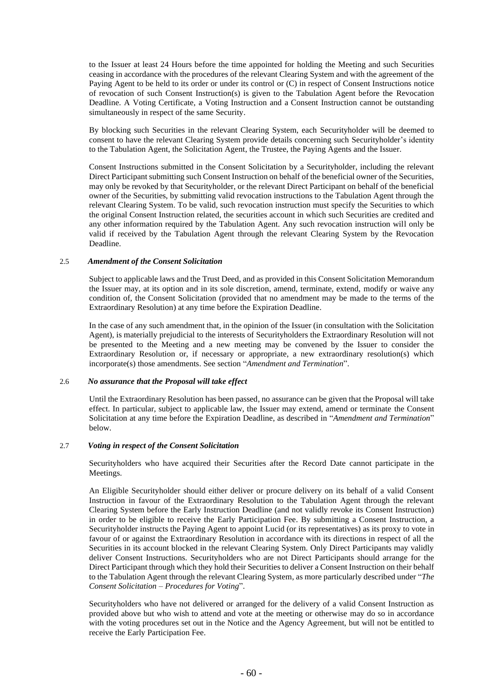to the Issuer at least 24 Hours before the time appointed for holding the Meeting and such Securities ceasing in accordance with the procedures of the relevant Clearing System and with the agreement of the Paying Agent to be held to its order or under its control or (C) in respect of Consent Instructions notice of revocation of such Consent Instruction(s) is given to the Tabulation Agent before the Revocation Deadline. A Voting Certificate, a Voting Instruction and a Consent Instruction cannot be outstanding simultaneously in respect of the same Security.

By blocking such Securities in the relevant Clearing System, each Securityholder will be deemed to consent to have the relevant Clearing System provide details concerning such Securityholder's identity to the Tabulation Agent, the Solicitation Agent, the Trustee, the Paying Agents and the Issuer.

Consent Instructions submitted in the Consent Solicitation by a Securityholder, including the relevant Direct Participant submitting such Consent Instruction on behalf of the beneficial owner of the Securities, may only be revoked by that Securityholder, or the relevant Direct Participant on behalf of the beneficial owner of the Securities, by submitting valid revocation instructions to the Tabulation Agent through the relevant Clearing System. To be valid, such revocation instruction must specify the Securities to which the original Consent Instruction related, the securities account in which such Securities are credited and any other information required by the Tabulation Agent. Any such revocation instruction will only be valid if received by the Tabulation Agent through the relevant Clearing System by the Revocation Deadline.

#### 2.5 *Amendment of the Consent Solicitation*

Subject to applicable laws and the Trust Deed, and as provided in this Consent Solicitation Memorandum the Issuer may, at its option and in its sole discretion, amend, terminate, extend, modify or waive any condition of, the Consent Solicitation (provided that no amendment may be made to the terms of the Extraordinary Resolution) at any time before the Expiration Deadline.

In the case of any such amendment that, in the opinion of the Issuer (in consultation with the Solicitation Agent), is materially prejudicial to the interests of Securityholders the Extraordinary Resolution will not be presented to the Meeting and a new meeting may be convened by the Issuer to consider the Extraordinary Resolution or, if necessary or appropriate, a new extraordinary resolution(s) which incorporate(s) those amendments. See section "*Amendment and Termination*".

# 2.6 *No assurance that the Proposal will take effect*

Until the Extraordinary Resolution has been passed, no assurance can be given that the Proposal will take effect. In particular, subject to applicable law, the Issuer may extend, amend or terminate the Consent Solicitation at any time before the Expiration Deadline, as described in "*Amendment and Termination*" below.

#### 2.7 *Voting in respect of the Consent Solicitation*

Securityholders who have acquired their Securities after the Record Date cannot participate in the Meetings.

An Eligible Securityholder should either deliver or procure delivery on its behalf of a valid Consent Instruction in favour of the Extraordinary Resolution to the Tabulation Agent through the relevant Clearing System before the Early Instruction Deadline (and not validly revoke its Consent Instruction) in order to be eligible to receive the Early Participation Fee. By submitting a Consent Instruction, a Securityholder instructs the Paying Agent to appoint Lucid (or its representatives) as its proxy to vote in favour of or against the Extraordinary Resolution in accordance with its directions in respect of all the Securities in its account blocked in the relevant Clearing System. Only Direct Participants may validly deliver Consent Instructions. Securityholders who are not Direct Participants should arrange for the Direct Participant through which they hold their Securities to deliver a Consent Instruction on their behalf to the Tabulation Agent through the relevant Clearing System, as more particularly described under "*The Consent Solicitation – Procedures for Voting*".

Securityholders who have not delivered or arranged for the delivery of a valid Consent Instruction as provided above but who wish to attend and vote at the meeting or otherwise may do so in accordance with the voting procedures set out in the Notice and the Agency Agreement, but will not be entitled to receive the Early Participation Fee.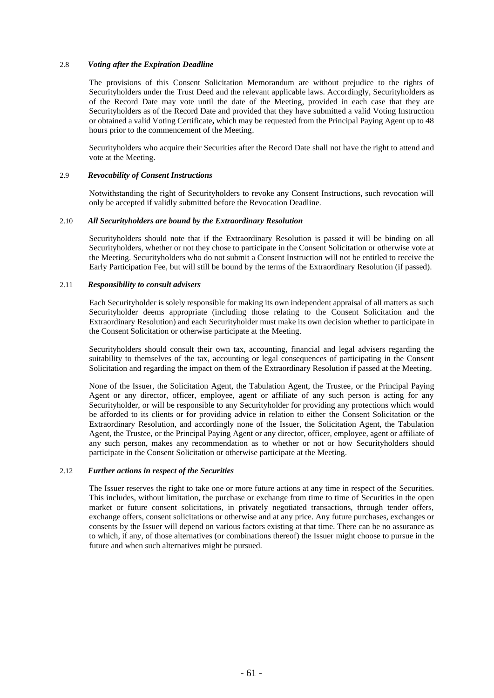#### 2.8 *Voting after the Expiration Deadline*

The provisions of this Consent Solicitation Memorandum are without prejudice to the rights of Securityholders under the Trust Deed and the relevant applicable laws. Accordingly, Securityholders as of the Record Date may vote until the date of the Meeting, provided in each case that they are Securityholders as of the Record Date and provided that they have submitted a valid Voting Instruction or obtained a valid Voting Certificate**,** which may be requested from the Principal Paying Agent up to 48 hours prior to the commencement of the Meeting.

Securityholders who acquire their Securities after the Record Date shall not have the right to attend and vote at the Meeting.

#### 2.9 *Revocability of Consent Instructions*

Notwithstanding the right of Securityholders to revoke any Consent Instructions, such revocation will only be accepted if validly submitted before the Revocation Deadline.

#### 2.10 *All Securityholders are bound by the Extraordinary Resolution*

Securityholders should note that if the Extraordinary Resolution is passed it will be binding on all Securityholders, whether or not they chose to participate in the Consent Solicitation or otherwise vote at the Meeting. Securityholders who do not submit a Consent Instruction will not be entitled to receive the Early Participation Fee, but will still be bound by the terms of the Extraordinary Resolution (if passed).

#### 2.11 *Responsibility to consult advisers*

Each Securityholder is solely responsible for making its own independent appraisal of all matters as such Securityholder deems appropriate (including those relating to the Consent Solicitation and the Extraordinary Resolution) and each Securityholder must make its own decision whether to participate in the Consent Solicitation or otherwise participate at the Meeting.

Securityholders should consult their own tax, accounting, financial and legal advisers regarding the suitability to themselves of the tax, accounting or legal consequences of participating in the Consent Solicitation and regarding the impact on them of the Extraordinary Resolution if passed at the Meeting.

None of the Issuer, the Solicitation Agent, the Tabulation Agent, the Trustee, or the Principal Paying Agent or any director, officer, employee, agent or affiliate of any such person is acting for any Securityholder, or will be responsible to any Securityholder for providing any protections which would be afforded to its clients or for providing advice in relation to either the Consent Solicitation or the Extraordinary Resolution, and accordingly none of the Issuer, the Solicitation Agent, the Tabulation Agent, the Trustee, or the Principal Paying Agent or any director, officer, employee, agent or affiliate of any such person, makes any recommendation as to whether or not or how Securityholders should participate in the Consent Solicitation or otherwise participate at the Meeting.

#### 2.12 *Further actions in respect of the Securities*

The Issuer reserves the right to take one or more future actions at any time in respect of the Securities. This includes, without limitation, the purchase or exchange from time to time of Securities in the open market or future consent solicitations, in privately negotiated transactions, through tender offers, exchange offers, consent solicitations or otherwise and at any price. Any future purchases, exchanges or consents by the Issuer will depend on various factors existing at that time. There can be no assurance as to which, if any, of those alternatives (or combinations thereof) the Issuer might choose to pursue in the future and when such alternatives might be pursued.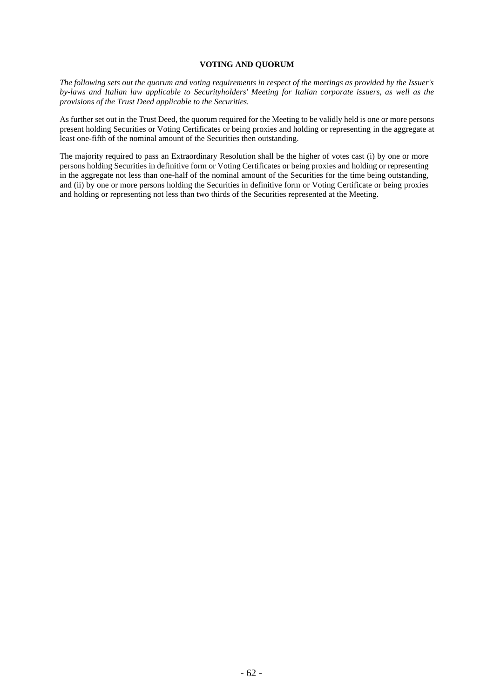### **VOTING AND QUORUM**

*The following sets out the quorum and voting requirements in respect of the meetings as provided by the Issuer's by-laws and Italian law applicable to Securityholders' Meeting for Italian corporate issuers, as well as the provisions of the Trust Deed applicable to the Securities.*

As further set out in the Trust Deed, the quorum required for the Meeting to be validly held is one or more persons present holding Securities or Voting Certificates or being proxies and holding or representing in the aggregate at least one-fifth of the nominal amount of the Securities then outstanding.

The majority required to pass an Extraordinary Resolution shall be the higher of votes cast (i) by one or more persons holding Securities in definitive form or Voting Certificates or being proxies and holding or representing in the aggregate not less than one-half of the nominal amount of the Securities for the time being outstanding, and (ii) by one or more persons holding the Securities in definitive form or Voting Certificate or being proxies and holding or representing not less than two thirds of the Securities represented at the Meeting.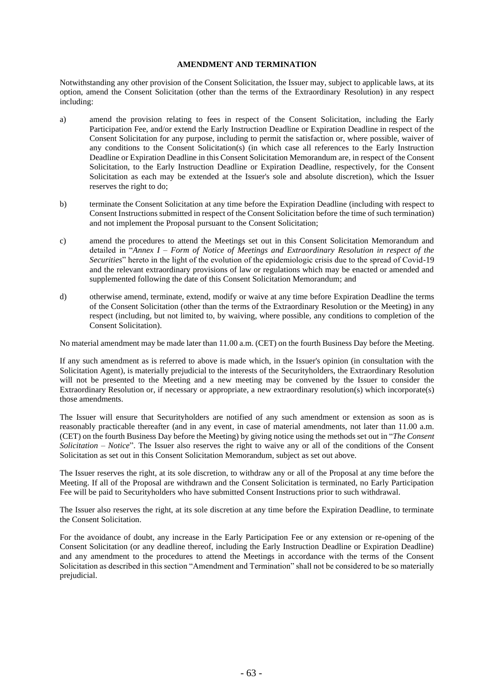### **AMENDMENT AND TERMINATION**

Notwithstanding any other provision of the Consent Solicitation, the Issuer may, subject to applicable laws, at its option, amend the Consent Solicitation (other than the terms of the Extraordinary Resolution) in any respect including:

- a) amend the provision relating to fees in respect of the Consent Solicitation, including the Early Participation Fee, and/or extend the Early Instruction Deadline or Expiration Deadline in respect of the Consent Solicitation for any purpose, including to permit the satisfaction or, where possible, waiver of any conditions to the Consent Solicitation(s) (in which case all references to the Early Instruction Deadline or Expiration Deadline in this Consent Solicitation Memorandum are, in respect of the Consent Solicitation, to the Early Instruction Deadline or Expiration Deadline, respectively, for the Consent Solicitation as each may be extended at the Issuer's sole and absolute discretion), which the Issuer reserves the right to do;
- b) terminate the Consent Solicitation at any time before the Expiration Deadline (including with respect to Consent Instructions submitted in respect of the Consent Solicitation before the time of such termination) and not implement the Proposal pursuant to the Consent Solicitation;
- c) amend the procedures to attend the Meetings set out in this Consent Solicitation Memorandum and detailed in "*Annex I – Form of Notice of Meetings and Extraordinary Resolution in respect of the Securities*" hereto in the light of the evolution of the epidemiologic crisis due to the spread of Covid-19 and the relevant extraordinary provisions of law or regulations which may be enacted or amended and supplemented following the date of this Consent Solicitation Memorandum; and
- d) otherwise amend, terminate, extend, modify or waive at any time before Expiration Deadline the terms of the Consent Solicitation (other than the terms of the Extraordinary Resolution or the Meeting) in any respect (including, but not limited to, by waiving, where possible, any conditions to completion of the Consent Solicitation).

No material amendment may be made later than 11.00 a.m. (CET) on the fourth Business Day before the Meeting.

If any such amendment as is referred to above is made which, in the Issuer's opinion (in consultation with the Solicitation Agent), is materially prejudicial to the interests of the Securityholders, the Extraordinary Resolution will not be presented to the Meeting and a new meeting may be convened by the Issuer to consider the Extraordinary Resolution or, if necessary or appropriate, a new extraordinary resolution(s) which incorporate(s) those amendments.

The Issuer will ensure that Securityholders are notified of any such amendment or extension as soon as is reasonably practicable thereafter (and in any event, in case of material amendments, not later than 11.00 a.m. (CET) on the fourth Business Day before the Meeting) by giving notice using the methods set out in "*The Consent Solicitation – Notice*". The Issuer also reserves the right to waive any or all of the conditions of the Consent Solicitation as set out in this Consent Solicitation Memorandum, subject as set out above.

The Issuer reserves the right, at its sole discretion, to withdraw any or all of the Proposal at any time before the Meeting. If all of the Proposal are withdrawn and the Consent Solicitation is terminated, no Early Participation Fee will be paid to Securityholders who have submitted Consent Instructions prior to such withdrawal.

The Issuer also reserves the right, at its sole discretion at any time before the Expiration Deadline, to terminate the Consent Solicitation.

For the avoidance of doubt, any increase in the Early Participation Fee or any extension or re-opening of the Consent Solicitation (or any deadline thereof, including the Early Instruction Deadline or Expiration Deadline) and any amendment to the procedures to attend the Meetings in accordance with the terms of the Consent Solicitation as described in this section "Amendment and Termination" shall not be considered to be so materially prejudicial.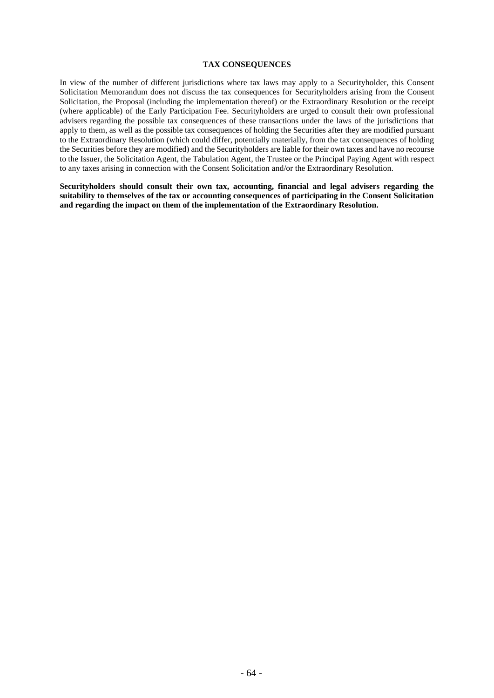### **TAX CONSEQUENCES**

In view of the number of different jurisdictions where tax laws may apply to a Securityholder, this Consent Solicitation Memorandum does not discuss the tax consequences for Securityholders arising from the Consent Solicitation, the Proposal (including the implementation thereof) or the Extraordinary Resolution or the receipt (where applicable) of the Early Participation Fee. Securityholders are urged to consult their own professional advisers regarding the possible tax consequences of these transactions under the laws of the jurisdictions that apply to them, as well as the possible tax consequences of holding the Securities after they are modified pursuant to the Extraordinary Resolution (which could differ, potentially materially, from the tax consequences of holding the Securities before they are modified) and the Securityholders are liable for their own taxes and have no recourse to the Issuer, the Solicitation Agent, the Tabulation Agent, the Trustee or the Principal Paying Agent with respect to any taxes arising in connection with the Consent Solicitation and/or the Extraordinary Resolution.

**Securityholders should consult their own tax, accounting, financial and legal advisers regarding the suitability to themselves of the tax or accounting consequences of participating in the Consent Solicitation and regarding the impact on them of the implementation of the Extraordinary Resolution.**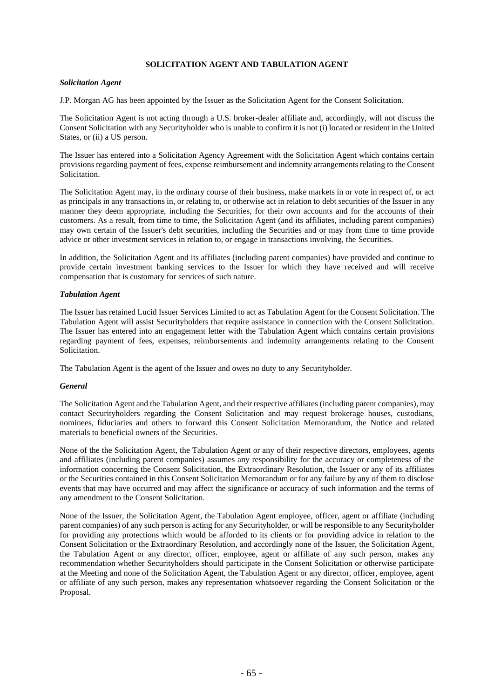# **SOLICITATION AGENT AND TABULATION AGENT**

### *Solicitation Agent*

J.P. Morgan AG has been appointed by the Issuer as the Solicitation Agent for the Consent Solicitation.

The Solicitation Agent is not acting through a U.S. broker-dealer affiliate and, accordingly, will not discuss the Consent Solicitation with any Securityholder who is unable to confirm it is not (i) located or resident in the United States, or (ii) a US person.

The Issuer has entered into a Solicitation Agency Agreement with the Solicitation Agent which contains certain provisions regarding payment of fees, expense reimbursement and indemnity arrangements relating to the Consent Solicitation.

The Solicitation Agent may, in the ordinary course of their business, make markets in or vote in respect of, or act as principals in any transactions in, or relating to, or otherwise act in relation to debt securities of the Issuer in any manner they deem appropriate, including the Securities, for their own accounts and for the accounts of their customers. As a result, from time to time, the Solicitation Agent (and its affiliates, including parent companies) may own certain of the Issuer's debt securities, including the Securities and or may from time to time provide advice or other investment services in relation to, or engage in transactions involving, the Securities.

In addition, the Solicitation Agent and its affiliates (including parent companies) have provided and continue to provide certain investment banking services to the Issuer for which they have received and will receive compensation that is customary for services of such nature.

### *Tabulation Agent*

The Issuer has retained Lucid Issuer Services Limited to act as Tabulation Agent for the Consent Solicitation. The Tabulation Agent will assist Securityholders that require assistance in connection with the Consent Solicitation. The Issuer has entered into an engagement letter with the Tabulation Agent which contains certain provisions regarding payment of fees, expenses, reimbursements and indemnity arrangements relating to the Consent Solicitation.

The Tabulation Agent is the agent of the Issuer and owes no duty to any Securityholder.

### *General*

The Solicitation Agent and the Tabulation Agent, and their respective affiliates (including parent companies), may contact Securityholders regarding the Consent Solicitation and may request brokerage houses, custodians, nominees, fiduciaries and others to forward this Consent Solicitation Memorandum, the Notice and related materials to beneficial owners of the Securities.

None of the the Solicitation Agent, the Tabulation Agent or any of their respective directors, employees, agents and affiliates (including parent companies) assumes any responsibility for the accuracy or completeness of the information concerning the Consent Solicitation, the Extraordinary Resolution, the Issuer or any of its affiliates or the Securities contained in this Consent Solicitation Memorandum or for any failure by any of them to disclose events that may have occurred and may affect the significance or accuracy of such information and the terms of any amendment to the Consent Solicitation.

None of the Issuer, the Solicitation Agent, the Tabulation Agent employee, officer, agent or affiliate (including parent companies) of any such person is acting for any Securityholder, or will be responsible to any Securityholder for providing any protections which would be afforded to its clients or for providing advice in relation to the Consent Solicitation or the Extraordinary Resolution, and accordingly none of the Issuer, the Solicitation Agent, the Tabulation Agent or any director, officer, employee, agent or affiliate of any such person, makes any recommendation whether Securityholders should participate in the Consent Solicitation or otherwise participate at the Meeting and none of the Solicitation Agent, the Tabulation Agent or any director, officer, employee, agent or affiliate of any such person, makes any representation whatsoever regarding the Consent Solicitation or the Proposal.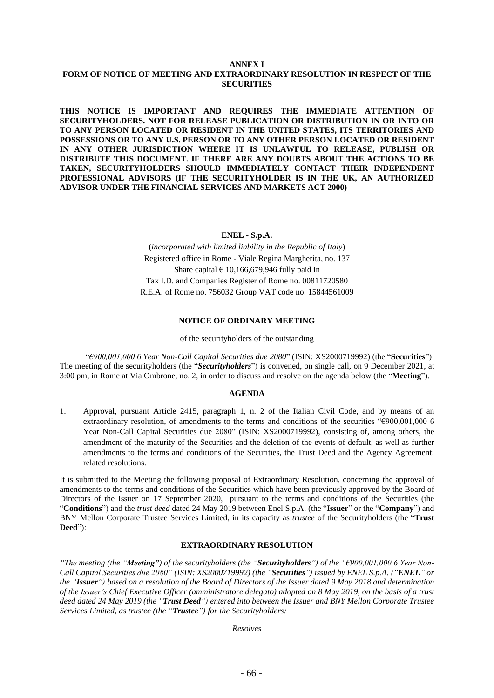### **ANNEX I FORM OF NOTICE OF MEETING AND EXTRAORDINARY RESOLUTION IN RESPECT OF THE SECURITIES**

**THIS NOTICE IS IMPORTANT AND REQUIRES THE IMMEDIATE ATTENTION OF SECURITYHOLDERS. NOT FOR RELEASE PUBLICATION OR DISTRIBUTION IN OR INTO OR TO ANY PERSON LOCATED OR RESIDENT IN THE UNITED STATES, ITS TERRITORIES AND POSSESSIONS OR TO ANY U.S. PERSON OR TO ANY OTHER PERSON LOCATED OR RESIDENT IN ANY OTHER JURISDICTION WHERE IT IS UNLAWFUL TO RELEASE, PUBLISH OR DISTRIBUTE THIS DOCUMENT. IF THERE ARE ANY DOUBTS ABOUT THE ACTIONS TO BE TAKEN, SECURITYHOLDERS SHOULD IMMEDIATELY CONTACT THEIR INDEPENDENT PROFESSIONAL ADVISORS (IF THE SECURITYHOLDER IS IN THE UK, AN AUTHORIZED ADVISOR UNDER THE FINANCIAL SERVICES AND MARKETS ACT 2000)**

### **ENEL - S.p.A.**

(*incorporated with limited liability in the Republic of Italy*) Registered office in Rome - Viale Regina Margherita, no. 137 Share capital  $\epsilon$  10,166,679,946 fully paid in Tax I.D. and Companies Register of Rome no. 00811720580 R.E.A. of Rome no. 756032 Group VAT code no. 15844561009

# **NOTICE OF ORDINARY MEETING**

of the securityholders of the outstanding

"*€900,001,000 6 Year Non-Call Capital Securities due 2080*" (ISIN: XS2000719992) (the "**Securities**") The meeting of the securityholders (the "*Securityholders*") is convened, on single call, on 9 December 2021, at 3:00 pm, in Rome at Via Ombrone, no. 2, in order to discuss and resolve on the agenda below (the "**Meeting**").

### **AGENDA**

1. Approval, pursuant Article 2415, paragraph 1, n. 2 of the Italian Civil Code, and by means of an extraordinary resolution, of amendments to the terms and conditions of the securities "€900,001,000 6 Year Non-Call Capital Securities due 2080" (ISIN: XS2000719992), consisting of, among others, the amendment of the maturity of the Securities and the deletion of the events of default, as well as further amendments to the terms and conditions of the Securities, the Trust Deed and the Agency Agreement; related resolutions.

It is submitted to the Meeting the following proposal of Extraordinary Resolution, concerning the approval of amendments to the terms and conditions of the Securities which have been previously approved by the Board of Directors of the Issuer on 17 September 2020, pursuant to the terms and conditions of the Securities (the "**Conditions**") and the *trust deed* dated 24 May 2019 between Enel S.p.A. (the "**Issuer**" or the "**Company**") and BNY Mellon Corporate Trustee Services Limited, in its capacity as *trustee* of the Securityholders (the "**Trust Deed**"):

### **EXTRAORDINARY RESOLUTION**

*"The meeting (the "Meeting") of the securityholders (the "Securityholders") of the "€900,001,000 6 Year Non-Call Capital Securities due 2080" (ISIN: XS2000719992) (the "Securities") issued by ENEL S.p.A. ("ENEL" or* the "Issuer") based on a resolution of the Board of Directors of the Issuer dated 9 May 2018 and determination of the Issuer's Chief Executive Officer (amministratore delegato) adopted on 8 May 2019, on the basis of a trust deed dated 24 May 2019 (the "Trust Deed") entered into between the Issuer and BNY Mellon Corporate Trustee *Services Limited, as trustee (the "Trustee") for the Securityholders:*

*Resolves*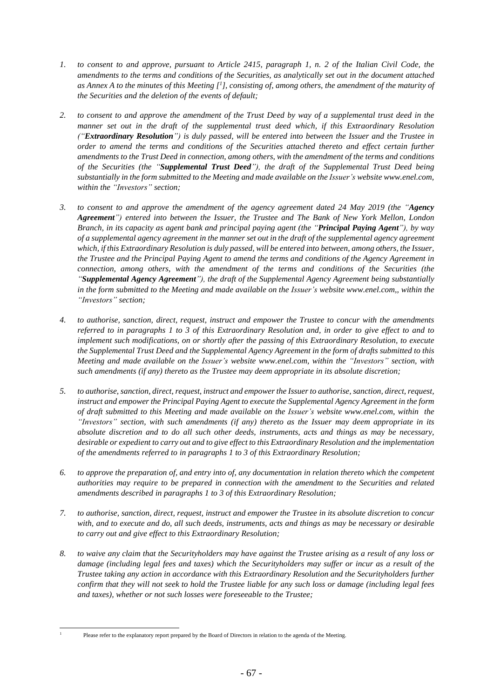- 1. to consent to and approve, pursuant to Article 2415, paragraph 1, n. 2 of the Italian Civil Code, the amendments to the terms and conditions of the Securities, as analytically set out in the document attached as Annex A to the minutes of this Meeting  $[1]$ , consisting of, among others, the amendment of the maturity of *the Securities and the deletion of the events of default;*
- 2. to consent to and approve the amendment of the Trust Deed by way of a supplemental trust deed in the *manner set out in the draft of the supplemental trust deed which, if this Extraordinary Resolution ("Extraordinary Resolution") is duly passed, will be entered into between the Issuer and the Trustee in order to amend the terms and conditions of the Securities attached thereto and effect certain further amendments to the Trust Deed in connection, among others, with the amendment of the terms and conditions of the Securities (the "Supplemental Trust Deed"), the draft of the Supplemental Trust Deed being substantially in the form submitted to the Meeting and made available on the Issuer's website www.enel.com, within the "Investors" section;*
- 3. to consent to and approve the amendment of the agency agreement dated 24 May 2019 (the "Agency *Agreement") entered into between the Issuer, the Trustee and The Bank of New York Mellon, London* Branch, in its capacity as agent bank and principal paying agent (the "Principal Paying Agent"), by way of a supplemental agency agreement in the manner set out in the draft of the supplemental agency agreement which, if this Extraordinary Resolution is duly passed, will be entered into between, among others, the Issuer, the Trustee and the Principal Paying Agent to amend the terms and conditions of the Agency Agreement in *connection, among others, with the amendment of the terms and conditions of the Securities (the "Supplemental Agency Agreement"), the draft of the Supplemental Agency Agreement being substantially in the form submitted to the Meeting and made available on the Issuer's website www.enel.com,, within the "Investors" section;*
- *4. to authorise, sanction, direct, request, instruct and empower the Trustee to concur with the amendments* referred to in paragraphs 1 to 3 of this Extraordinary Resolution and, in order to give effect to and to *implement such modifications, on or shortly after the passing of this Extraordinary Resolution, to execute the Supplemental Trust Deed and the Supplemental Agency Agreement in the form of drafts submitted to this Meeting and made available on the Issuer's website www.enel.com, within the "Investors" section, with such amendments (if any) thereto as the Trustee may deem appropriate in its absolute discretion;*
- *5. to authorise, sanction, direct, request, instruct and empowerthe Issuerto authorise, sanction, direct, request, instruct and empower the Principal Paying Agent to execute the Supplemental Agency Agreement in the form of draft submitted to this Meeting and made available on the Issuer's website www.enel.com, within the "Investors" section, with such amendments (if any) thereto as the Issuer may deem appropriate in its absolute discretion and to do all such other deeds, instruments, acts and things as may be necessary,* desirable or expedient to carry out and to give effect to this Extraordinary Resolution and the implementation *of the amendments referred to in paragraphs 1 to 3 of this Extraordinary Resolution;*
- 6. to approve the preparation of, and entry into of, any documentation in relation thereto which the competent *authorities may require to be prepared in connection with the amendment to the Securities and related amendments described in paragraphs 1 to 3 of this Extraordinary Resolution;*
- 7. to authorise, sanction, direct, request, instruct and empower the Trustee in its absolute discretion to concur with, and to execute and do, all such deeds, instruments, acts and things as may be necessary or desirable *to carry out and give effect to this Extraordinary Resolution;*
- 8. to waive any claim that the Securityholders may have against the Trustee arising as a result of any loss or damage (including legal fees and taxes) which the Securityholders may suffer or incur as a result of the *Trustee taking any action in accordance with this Extraordinary Resolution and the Securityholders further* confirm that they will not seek to hold the Trustee liable for any such loss or damage (including legal fees *and taxes), whether or not such losses were foreseeable to the Trustee;*

<sup>1</sup> Please refer to the explanatory report prepared by the Board of Directors in relation to the agenda of the Meeting.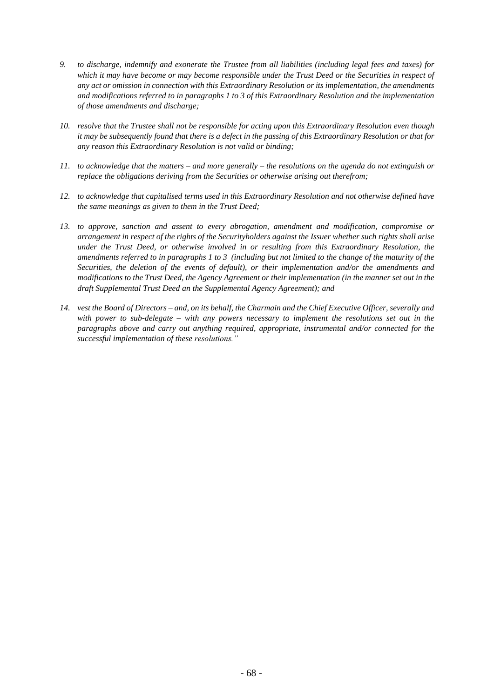- 9. to discharge, indemnify and exonerate the Trustee from all liabilities (including legal fees and taxes) for which it may have become or may become responsible under the Trust Deed or the Securities in respect of *any act or omission in connection with this Extraordinary Resolution or its implementation, the amendments and modifications referred to in paragraphs 1 to 3 of this Extraordinary Resolution and the implementation of those amendments and discharge;*
- 10. resolve that the Trustee shall not be responsible for acting upon this Extraordinary Resolution even though it may be subsequently found that there is a defect in the passing of this Extraordinary Resolution or that for *any reason this Extraordinary Resolution is not valid or binding;*
- 11. to acknowledge that the matters and more generally the resolutions on the agenda do not extinguish or *replace the obligations deriving from the Securities or otherwise arising out therefrom;*
- *12. to acknowledge that capitalised terms used in this Extraordinary Resolution and not otherwise defined have the same meanings as given to them in the Trust Deed;*
- *13. to approve, sanction and assent to every abrogation, amendment and modification, compromise or* arrangement in respect of the rights of the Securityholders against the Issuer whether such rights shall arise *under the Trust Deed, or otherwise involved in or resulting from this Extraordinary Resolution, the* amendments referred to in paragraphs 1 to 3 (including but not limited to the change of the maturity of the *Securities, the deletion of the events of default), or their implementation and/or the amendments and* modifications to the Trust Deed, the Agency Agreement or their implementation (in the manner set out in the *draft Supplemental Trust Deed an the Supplemental Agency Agreement); and*
- 14. vest the Board of Directors and, on its behalf, the Charmain and the Chief Executive Officer, severally and *with power to sub-delegate – with any powers necessary to implement the resolutions set out in the paragraphs above and carry out anything required, appropriate, instrumental and/or connected for the successful implementation of these resolutions."*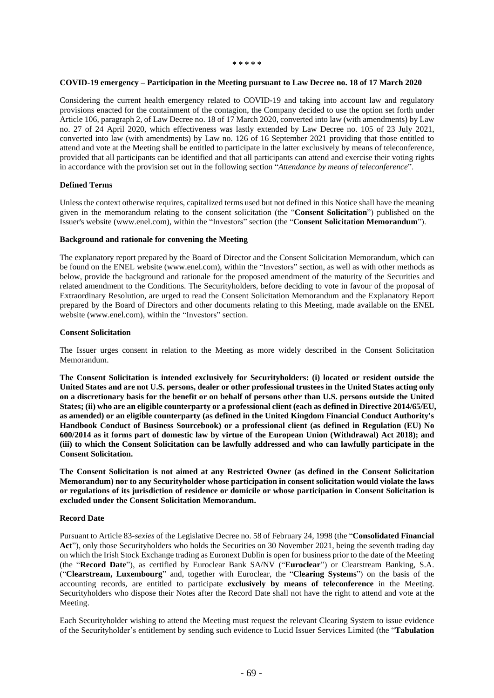#### **COVID-19 emergency – Participation in the Meeting pursuant to Law Decree no. 18 of 17 March 2020**

Considering the current health emergency related to COVID-19 and taking into account law and regulatory provisions enacted for the containment of the contagion, the Company decided to use the option set forth under Article 106, paragraph 2, of Law Decree no. 18 of 17 March 2020, converted into law (with amendments) by Law no. 27 of 24 April 2020, which effectiveness was lastly extended by Law Decree no. 105 of 23 July 2021, converted into law (with amendments) by Law no. 126 of 16 September 2021 providing that those entitled to attend and vote at the Meeting shall be entitled to participate in the latter exclusively by means of teleconference, provided that all participants can be identified and that all participants can attend and exercise their voting rights in accordance with the provision set out in the following section "*Attendance by means of teleconference*".

#### **Defined Terms**

Unless the context otherwise requires, capitalized terms used but not defined in this Notice shall have the meaning given in the memorandum relating to the consent solicitation (the "**Consent Solicitation**") published on the Issuer's website (www.enel.com), within the "Investors" section (the "**Consent Solicitation Memorandum**").

#### **Background and rationale for convening the Meeting**

The explanatory report prepared by the Board of Director and the Consent Solicitation Memorandum, which can be found on the ENEL website (www.enel.com), within the "Investors" section, as well as with other methods as below, provide the background and rationale for the proposed amendment of the maturity of the Securities and related amendment to the Conditions. The Securityholders, before deciding to vote in favour of the proposal of Extraordinary Resolution, are urged to read the Consent Solicitation Memorandum and the Explanatory Report prepared by the Board of Directors and other documents relating to this Meeting, made available on the ENEL website (www.enel.com), within the "Investors" section.

#### **Consent Solicitation**

The Issuer urges consent in relation to the Meeting as more widely described in the Consent Solicitation Memorandum.

**The Consent Solicitation is intended exclusively for Securityholders: (i) located or resident outside the** United States and are not U.S. persons, dealer or other professional trustees in the United States acting only on a discretionary basis for the benefit or on behalf of persons other than U.S. persons outside the United States; (ii) who are an eligible counterparty or a professional client (each as defined in Directive 2014/65/EU, **as amended) or an eligible counterparty (as defined in the United Kingdom Financial Conduct Authority's Handbook Conduct of Business Sourcebook) or a professional client (as defined in Regulation (EU) No** 600/2014 as it forms part of domestic law by virtue of the European Union (Withdrawal) Act 2018); and **(iii) to which the Consent Solicitation can be lawfully addressed and who can lawfully participate in the Consent Solicitation.**

**The Consent Solicitation is not aimed at any Restricted Owner (as defined in the Consent Solicitation Memorandum) nor to any Securityholder whose participation in consent solicitation would violate the laws or regulations of its jurisdiction of residence or domicile or whose participation in Consent Solicitation is excluded under the Consent Solicitation Memorandum.**

#### **Record Date**

Pursuant to Article 83-*sexies* of the Legislative Decree no. 58 of February 24, 1998 (the "**Consolidated Financial Act**"), only those Securityholders who holds the Securities on 30 November 2021, being the seventh trading day on which the Irish Stock Exchange trading as Euronext Dublin is open for business prior to the date of the Meeting (the "**Record Date**"), as certified by Euroclear Bank SA/NV ("**Euroclear**") or Clearstream Banking, S.A. ("**Clearstream, Luxembourg**" and, together with Euroclear, the "**Clearing Systems**") on the basis of the accounting records, are entitled to participate **exclusively by means of teleconference** in the Meeting. Securityholders who dispose their Notes after the Record Date shall not have the right to attend and vote at the Meeting.

Each Securityholder wishing to attend the Meeting must request the relevant Clearing System to issue evidence of the Securityholder's entitlement by sending such evidence to Lucid Issuer Services Limited (the "**Tabulation**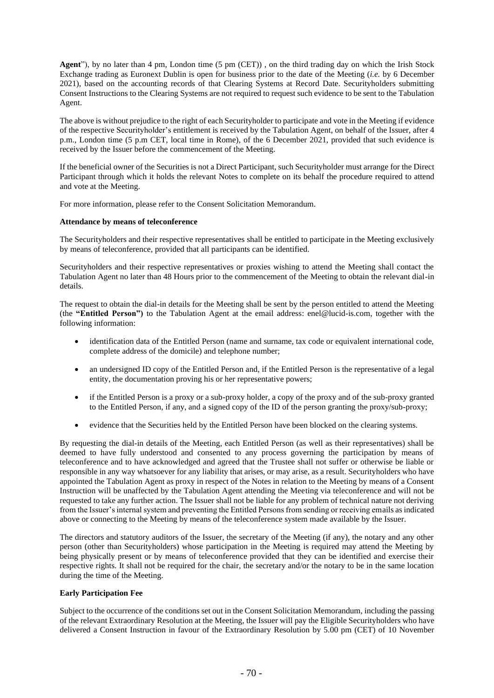**Agent**"), by no later than 4 pm, London time (5 pm (CET)) , on the third trading day on which the Irish Stock Exchange trading as Euronext Dublin is open for business prior to the date of the Meeting (*i.e.* by 6 December 2021), based on the accounting records of that Clearing Systems at Record Date. Securityholders submitting Consent Instructions to the Clearing Systems are not required to request such evidence to be sent to the Tabulation Agent.

The above is without prejudice to the right of each Securityholder to participate and vote in the Meeting if evidence of the respective Securityholder's entitlement is received by the Tabulation Agent, on behalf of the Issuer, after 4 p.m., London time (5 p.m CET, local time in Rome), of the 6 December 2021, provided that such evidence is received by the Issuer before the commencement of the Meeting.

If the beneficial owner of the Securities is not a Direct Participant, such Securityholder must arrange for the Direct Participant through which it holds the relevant Notes to complete on its behalf the procedure required to attend and vote at the Meeting.

For more information, please refer to the Consent Solicitation Memorandum.

#### **Attendance by means of teleconference**

The Securityholders and their respective representatives shall be entitled to participate in the Meeting exclusively by means of teleconference, provided that all participants can be identified.

Securityholders and their respective representatives or proxies wishing to attend the Meeting shall contact the Tabulation Agent no later than 48 Hours prior to the commencement of the Meeting to obtain the relevant dial-in details.

The request to obtain the dial-in details for the Meeting shall be sent by the person entitled to attend the Meeting (the **"Entitled Person")** to the Tabulation Agent at the email address: enel@lucid-is.com, together with the following information:

- identification data of the Entitled Person (name and surname, tax code or equivalent international code, complete address of the domicile) and telephone number;
- an undersigned ID copy of the Entitled Person and, if the Entitled Person is the representative of a legal entity, the documentation proving his or her representative powers;
- if the Entitled Person is a proxy or a sub-proxy holder, a copy of the proxy and of the sub-proxy granted to the Entitled Person, if any, and a signed copy of the ID of the person granting the proxy/sub-proxy;
- evidence that the Securities held by the Entitled Person have been blocked on the clearing systems.

By requesting the dial-in details of the Meeting, each Entitled Person (as well as their representatives) shall be deemed to have fully understood and consented to any process governing the participation by means of teleconference and to have acknowledged and agreed that the Trustee shall not suffer or otherwise be liable or responsible in any way whatsoever for any liability that arises, or may arise, as a result. Securityholders who have appointed the Tabulation Agent as proxy in respect of the Notes in relation to the Meeting by means of a Consent Instruction will be unaffected by the Tabulation Agent attending the Meeting via teleconference and will not be requested to take any further action. The Issuer shall not be liable for any problem of technical nature not deriving from the Issuer's internal system and preventing the Entitled Persons from sending or receiving emails as indicated above or connecting to the Meeting by means of the teleconference system made available by the Issuer.

The directors and statutory auditors of the Issuer, the secretary of the Meeting (if any), the notary and any other person (other than Securityholders) whose participation in the Meeting is required may attend the Meeting by being physically present or by means of teleconference provided that they can be identified and exercise their respective rights. It shall not be required for the chair, the secretary and/or the notary to be in the same location during the time of the Meeting.

#### **Early Participation Fee**

Subject to the occurrence of the conditions set out in the Consent Solicitation Memorandum, including the passing of the relevant Extraordinary Resolution at the Meeting, the Issuer will pay the Eligible Securityholders who have delivered a Consent Instruction in favour of the Extraordinary Resolution by 5.00 pm (CET) of 10 November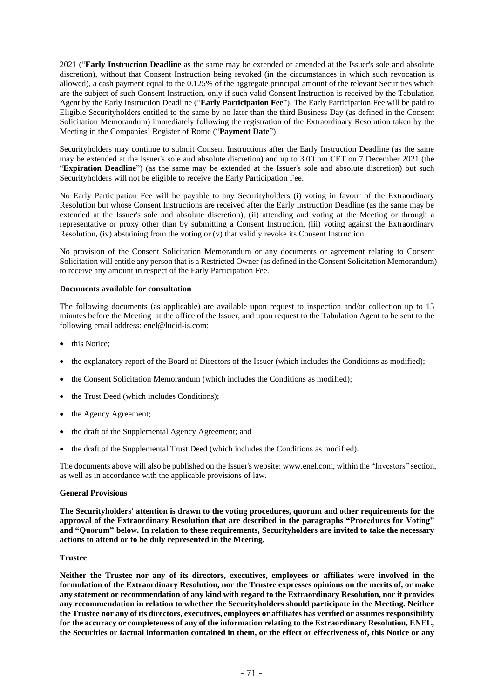2021 ("**Early Instruction Deadline** as the same may be extended or amended at the Issuer's sole and absolute discretion), without that Consent Instruction being revoked (in the circumstances in which such revocation is allowed), a cash payment equal to the 0.125% of the aggregate principal amount of the relevant Securities which are the subject of such Consent Instruction, only if such valid Consent Instruction is received by the Tabulation Agent by the Early Instruction Deadline ("**Early Participation Fee**"). The Early Participation Fee will be paid to Eligible Securityholders entitled to the same by no later than the third Business Day (as defined in the Consent Solicitation Memorandum) immediately following the registration of the Extraordinary Resolution taken by the Meeting in the Companies' Register of Rome ("**Payment Date**").

Securityholders may continue to submit Consent Instructions after the Early Instruction Deadline (as the same may be extended at the Issuer's sole and absolute discretion) and up to 3.00 pm CET on 7 December 2021 (the "**Expiration Deadline**") (as the same may be extended at the Issuer's sole and absolute discretion) but such Securityholders will not be eligible to receive the Early Participation Fee.

No Early Participation Fee will be payable to any Securityholders (i) voting in favour of the Extraordinary Resolution but whose Consent Instructions are received after the Early Instruction Deadline (as the same may be extended at the Issuer's sole and absolute discretion), (ii) attending and voting at the Meeting or through a representative or proxy other than by submitting a Consent Instruction, (iii) voting against the Extraordinary Resolution, (iv) abstaining from the voting or (v) that validly revoke its Consent Instruction.

No provision of the Consent Solicitation Memorandum or any documents or agreement relating to Consent Solicitation will entitle any person that is a Restricted Owner (as defined in the Consent Solicitation Memorandum) to receive any amount in respect of the Early Participation Fee.

### **Documents available for consultation**

The following documents (as applicable) are available upon request to inspection and/or collection up to 15 minutes before the Meeting at the office of the Issuer, and upon request to the Tabulation Agent to be sent to the following email address: enel@lucid-is.com:

- this Notice;
- the explanatory report of the Board of Directors of the Issuer (which includes the Conditions as modified);
- the Consent Solicitation Memorandum (which includes the Conditions as modified);
- the Trust Deed (which includes Conditions);
- the Agency Agreement:
- the draft of the Supplemental Agency Agreement; and
- the draft of the Supplemental Trust Deed (which includes the Conditions as modified).

The documents above will also be published on the Issuer's website: www.enel.com, within the "Investors" section, as well as in accordance with the applicable provisions of law.

#### **General Provisions**

**The Securityholders' attention is drawn to the voting procedures, quorum and other requirements for the approval of the Extraordinary Resolution that are described in the paragraphs "Procedures for Voting" and "Quorum" below. In relation to these requirements, Securityholders are invited to take the necessary actions to attend or to be duly represented in the Meeting.**

#### **Trustee**

**Neither the Trustee nor any of its directors, executives, employees or affiliates were involved in the formulation of the Extraordinary Resolution, nor the Trustee expresses opinions on the merits of, or make any statement or recommendation of any kind with regard to the Extraordinary Resolution, nor it provides any recommendation in relation to whether the Securityholders should participate in the Meeting. Neither the Trustee nor any of its directors, executives, employees or affiliates has verified or assumes responsibility for the accuracy or completeness of any of the information relating to the Extraordinary Resolution, ENEL,** the Securities or factual information contained in them, or the effect or effectiveness of, this Notice or any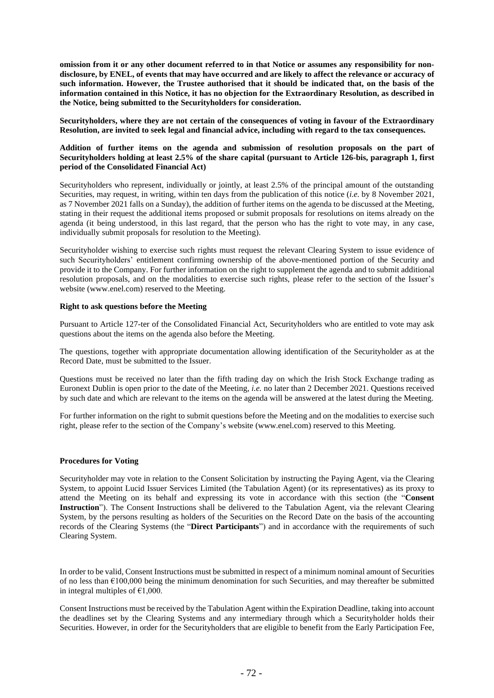omission from it or any other document referred to in that Notice or assumes any responsibility for nondisclosure, by ENEL, of events that may have occurred and are likely to affect the relevance or accuracy of **such information. However, the Trustee authorised that it should be indicated that, on the basis of the information contained in this Notice, it has no objection for the Extraordinary Resolution, as described in the Notice, being submitted to the Securityholders for consideration.**

**Securityholders, where they are not certain of the consequences of voting in favour of the Extraordinary Resolution, are invited to seek legal and financial advice, including with regard to the tax consequences.**

### **Addition of further items on the agenda and submission of resolution proposals on the part of Securityholders holding at least 2.5% of the share capital (pursuant to Article 126-bis, paragraph 1, first period of the Consolidated Financial Act)**

Securityholders who represent, individually or jointly, at least 2.5% of the principal amount of the outstanding Securities, may request, in writing, within ten days from the publication of this notice (*i.e.* by 8 November 2021, as 7 November 2021 falls on a Sunday), the addition of further items on the agenda to be discussed at the Meeting, stating in their request the additional items proposed or submit proposals for resolutions on items already on the agenda (it being understood, in this last regard, that the person who has the right to vote may, in any case, individually submit proposals for resolution to the Meeting).

Securityholder wishing to exercise such rights must request the relevant Clearing System to issue evidence of such Securityholders' entitlement confirming ownership of the above-mentioned portion of the Security and provide it to the Company. For further information on the right to supplement the agenda and to submit additional resolution proposals, and on the modalities to exercise such rights, please refer to the section of the Issuer's website (www.enel.com) reserved to the Meeting.

#### **Right to ask questions before the Meeting**

Pursuant to Article 127-ter of the Consolidated Financial Act, Securityholders who are entitled to vote may ask questions about the items on the agenda also before the Meeting.

The questions, together with appropriate documentation allowing identification of the Securityholder as at the Record Date, must be submitted to the Issuer.

Questions must be received no later than the fifth trading day on which the Irish Stock Exchange trading as Euronext Dublin is open prior to the date of the Meeting, *i.e.* no later than 2 December 2021. Questions received by such date and which are relevant to the items on the agenda will be answered at the latest during the Meeting.

For further information on the right to submit questions before the Meeting and on the modalities to exercise such right, please refer to the section of the Company's website (www.enel.com) reserved to this Meeting.

#### **Procedures for Voting**

Securityholder may vote in relation to the Consent Solicitation by instructing the Paying Agent, via the Clearing System, to appoint Lucid Issuer Services Limited (the Tabulation Agent) (or its representatives) as its proxy to attend the Meeting on its behalf and expressing its vote in accordance with this section (the "**Consent Instruction**"). The Consent Instructions shall be delivered to the Tabulation Agent, via the relevant Clearing System, by the persons resulting as holders of the Securities on the Record Date on the basis of the accounting records of the Clearing Systems (the "**Direct Participants**") and in accordance with the requirements of such Clearing System.

In order to be valid, Consent Instructions must be submitted in respect of a minimum nominal amount of Securities of no less than  $\epsilon$ 100,000 being the minimum denomination for such Securities, and may thereafter be submitted in integral multiples of  $\epsilon$ 1,000.

Consent Instructions must be received by the Tabulation Agent within the Expiration Deadline, taking into account the deadlines set by the Clearing Systems and any intermediary through which a Securityholder holds their Securities. However, in order for the Securityholders that are eligible to benefit from the Early Participation Fee,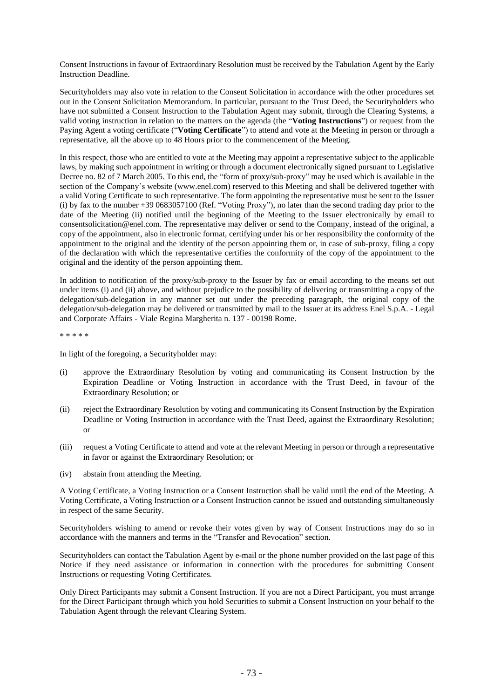Consent Instructions in favour of Extraordinary Resolution must be received by the Tabulation Agent by the Early Instruction Deadline.

Securityholders may also vote in relation to the Consent Solicitation in accordance with the other procedures set out in the Consent Solicitation Memorandum. In particular, pursuant to the Trust Deed, the Securityholders who have not submitted a Consent Instruction to the Tabulation Agent may submit, through the Clearing Systems, a valid voting instruction in relation to the matters on the agenda (the "**Voting Instructions**") or request from the Paying Agent a voting certificate ("**Voting Certificate**") to attend and vote at the Meeting in person or through a representative, all the above up to 48 Hours prior to the commencement of the Meeting.

In this respect, those who are entitled to vote at the Meeting may appoint a representative subject to the applicable laws, by making such appointment in writing or through a document electronically signed pursuant to Legislative Decree no. 82 of 7 March 2005. To this end, the "form of proxy/sub-proxy" may be used which is available in the section of the Company's website (www.enel.com) reserved to this Meeting and shall be delivered together with a valid Voting Certificate to such representative. The form appointing the representative must be sent to the Issuer (i) by fax to the number +39 0683057100 (Ref. "Voting Proxy"), no later than the second trading day prior to the date of the Meeting (ii) notified until the beginning of the Meeting to the Issuer electronically by email to consentsolicitation@enel.com. The representative may deliver or send to the Company, instead of the original, a copy of the appointment, also in electronic format, certifying under his or her responsibility the conformity of the appointment to the original and the identity of the person appointing them or, in case of sub-proxy, filing a copy of the declaration with which the representative certifies the conformity of the copy of the appointment to the original and the identity of the person appointing them.

In addition to notification of the proxy/sub-proxy to the Issuer by fax or email according to the means set out under items (i) and (ii) above, and without prejudice to the possibility of delivering or transmitting a copy of the delegation/sub-delegation in any manner set out under the preceding paragraph, the original copy of the delegation/sub-delegation may be delivered or transmitted by mail to the Issuer at its address Enel S.p.A. - Legal and Corporate Affairs - Viale Regina Margherita n. 137 - 00198 Rome.

\* \* \* \* \*

In light of the foregoing, a Securityholder may:

- (i) approve the Extraordinary Resolution by voting and communicating its Consent Instruction by the Expiration Deadline or Voting Instruction in accordance with the Trust Deed, in favour of the Extraordinary Resolution; or
- (ii) reject the Extraordinary Resolution by voting and communicating its Consent Instruction by the Expiration Deadline or Voting Instruction in accordance with the Trust Deed, against the Extraordinary Resolution; or
- (iii) request a Voting Certificate to attend and vote at the relevant Meeting in person or through a representative in favor or against the Extraordinary Resolution; or
- (iv) abstain from attending the Meeting.

A Voting Certificate, a Voting Instruction or a Consent Instruction shall be valid until the end of the Meeting. A Voting Certificate, a Voting Instruction or a Consent Instruction cannot be issued and outstanding simultaneously in respect of the same Security.

Securityholders wishing to amend or revoke their votes given by way of Consent Instructions may do so in accordance with the manners and terms in the "Transfer and Revocation" section.

Securityholders can contact the Tabulation Agent by e-mail or the phone number provided on the last page of this Notice if they need assistance or information in connection with the procedures for submitting Consent Instructions or requesting Voting Certificates.

Only Direct Participants may submit a Consent Instruction. If you are not a Direct Participant, you must arrange for the Direct Participant through which you hold Securities to submit a Consent Instruction on your behalf to the Tabulation Agent through the relevant Clearing System.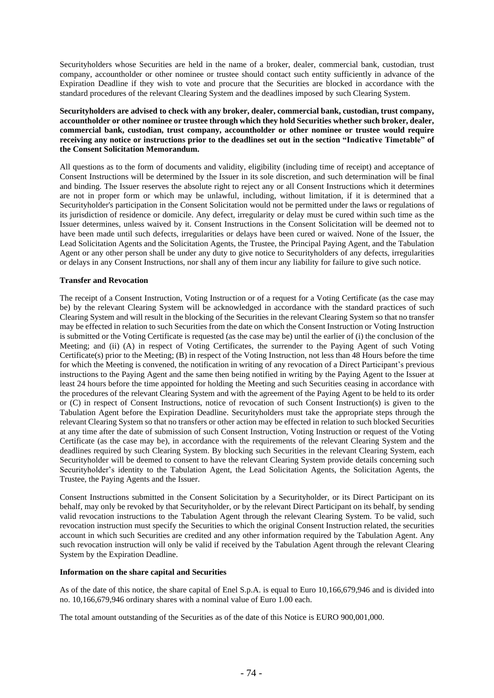Securityholders whose Securities are held in the name of a broker, dealer, commercial bank, custodian, trust company, accountholder or other nominee or trustee should contact such entity sufficiently in advance of the Expiration Deadline if they wish to vote and procure that the Securities are blocked in accordance with the standard procedures of the relevant Clearing System and the deadlines imposed by such Clearing System.

**Securityholders are advised to check with any broker, dealer, commercial bank, custodian, trust company, accountholder or other nominee or trustee through which they hold Securities whether such broker, dealer, commercial bank, custodian, trust company, accountholder or other nominee or trustee would require** receiving any notice or instructions prior to the deadlines set out in the section "Indicative Timetable" of **the Consent Solicitation Memorandum.**

All questions as to the form of documents and validity, eligibility (including time of receipt) and acceptance of Consent Instructions will be determined by the Issuer in its sole discretion, and such determination will be final and binding. The Issuer reserves the absolute right to reject any or all Consent Instructions which it determines are not in proper form or which may be unlawful, including, without limitation, if it is determined that a Securityholder's participation in the Consent Solicitation would not be permitted under the laws or regulations of its jurisdiction of residence or domicile. Any defect, irregularity or delay must be cured within such time as the Issuer determines, unless waived by it. Consent Instructions in the Consent Solicitation will be deemed not to have been made until such defects, irregularities or delays have been cured or waived. None of the Issuer, the Lead Solicitation Agents and the Solicitation Agents, the Trustee, the Principal Paying Agent, and the Tabulation Agent or any other person shall be under any duty to give notice to Securityholders of any defects, irregularities or delays in any Consent Instructions, nor shall any of them incur any liability for failure to give such notice.

#### **Transfer and Revocation**

The receipt of a Consent Instruction, Voting Instruction or of a request for a Voting Certificate (as the case may be) by the relevant Clearing System will be acknowledged in accordance with the standard practices of such Clearing System and will result in the blocking of the Securities in the relevant Clearing System so that no transfer may be effected in relation to such Securities from the date on which the Consent Instruction or Voting Instruction is submitted or the Voting Certificate is requested (as the case may be) until the earlier of (i) the conclusion of the Meeting; and (ii) (A) in respect of Voting Certificates, the surrender to the Paying Agent of such Voting Certificate(s) prior to the Meeting; (B) in respect of the Voting Instruction, not less than 48 Hours before the time for which the Meeting is convened, the notification in writing of any revocation of a Direct Participant's previous instructions to the Paying Agent and the same then being notified in writing by the Paying Agent to the Issuer at least 24 hours before the time appointed for holding the Meeting and such Securities ceasing in accordance with the procedures of the relevant Clearing System and with the agreement of the Paying Agent to be held to its order or (C) in respect of Consent Instructions, notice of revocation of such Consent Instruction(s) is given to the Tabulation Agent before the Expiration Deadline. Securityholders must take the appropriate steps through the relevant Clearing System so that no transfers or other action may be effected in relation to such blocked Securities at any time after the date of submission of such Consent Instruction, Voting Instruction or request of the Voting Certificate (as the case may be), in accordance with the requirements of the relevant Clearing System and the deadlines required by such Clearing System. By blocking such Securities in the relevant Clearing System, each Securityholder will be deemed to consent to have the relevant Clearing System provide details concerning such Securityholder's identity to the Tabulation Agent, the Lead Solicitation Agents, the Solicitation Agents, the Trustee, the Paying Agents and the Issuer.

Consent Instructions submitted in the Consent Solicitation by a Securityholder, or its Direct Participant on its behalf, may only be revoked by that Securityholder, or by the relevant Direct Participant on its behalf, by sending valid revocation instructions to the Tabulation Agent through the relevant Clearing System. To be valid, such revocation instruction must specify the Securities to which the original Consent Instruction related, the securities account in which such Securities are credited and any other information required by the Tabulation Agent. Any such revocation instruction will only be valid if received by the Tabulation Agent through the relevant Clearing System by the Expiration Deadline.

#### **Information on the share capital and Securities**

As of the date of this notice, the share capital of Enel S.p.A. is equal to Euro 10,166,679,946 and is divided into no. 10,166,679,946 ordinary shares with a nominal value of Euro 1.00 each.

The total amount outstanding of the Securities as of the date of this Notice is EURO 900,001,000.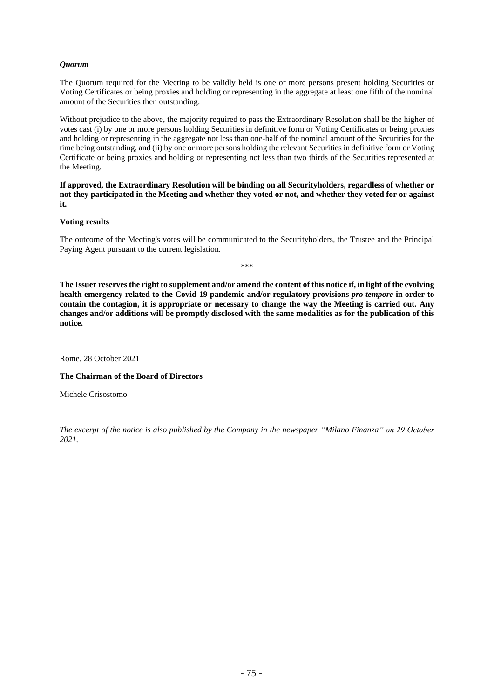# *Quorum*

The Quorum required for the Meeting to be validly held is one or more persons present holding Securities or Voting Certificates or being proxies and holding or representing in the aggregate at least one fifth of the nominal amount of the Securities then outstanding.

Without prejudice to the above, the majority required to pass the Extraordinary Resolution shall be the higher of votes cast (i) by one or more persons holding Securities in definitive form or Voting Certificates or being proxies and holding or representing in the aggregate not less than one-half of the nominal amount of the Securities for the time being outstanding, and (ii) by one or more persons holding the relevant Securities in definitive form or Voting Certificate or being proxies and holding or representing not less than two thirds of the Securities represented at the Meeting.

**If approved, the Extraordinary Resolution will be binding on all Securityholders, regardless of whether or** not they participated in the Meeting and whether they voted or not, and whether they voted for or against **it.**

#### **Voting results**

The outcome of the Meeting's votes will be communicated to the Securityholders, the Trustee and the Principal Paying Agent pursuant to the current legislation.

\*\*\*

The Issuer reserves the right to supplement and/or amend the content of this notice if, in light of the evolving **health emergency related to the Covid-19 pandemic and/or regulatory provisions** *pro tempore* **in order to** contain the contagion, it is appropriate or necessary to change the way the Meeting is carried out. Any changes and/or additions will be promptly disclosed with the same modalities as for the publication of this **notice.**

Rome, 28 October 2021

**The Chairman of the Board of Directors**

Michele Crisostomo

*The excerpt of the notice is also published by the Company in the newspaper "Milano Finanza" on 29 October 2021.*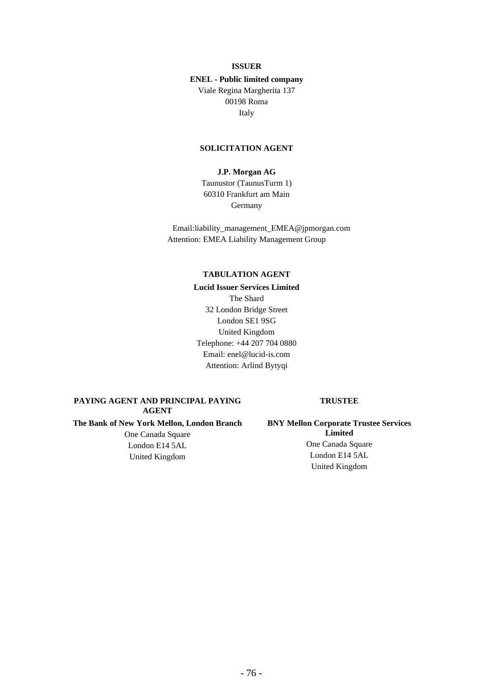# **ISSUER**

# **ENEL - Public limited company** Viale Regina Margherita 137 00198 Roma

Italy

### **SOLICITATION AGENT**

# **J.P. Morgan AG**

Taunustor (TaunusTurm 1) 60310 Frankfurt am Main Germany

Email:liability\_management\_EMEA@jpmorgan.com Attention: EMEA Liability Management Group

### **TABULATION AGENT**

**Lucid Issuer Services Limited** The Shard 32 London Bridge Street London SE1 9SG United Kingdom Telephone: +44 207 704 0880 Email: enel@lucid-is.com Attention: Arlind Bytyqi

# **PAYING AGENT AND PRINCIPAL PAYING AGENT**

**The Bank of New York Mellon, London Branch**

One Canada Square London E14 5AL United Kingdom

#### **TRUSTEE**

**BNY Mellon Corporate Trustee Services Limited** One Canada Square London E14 5AL United Kingdom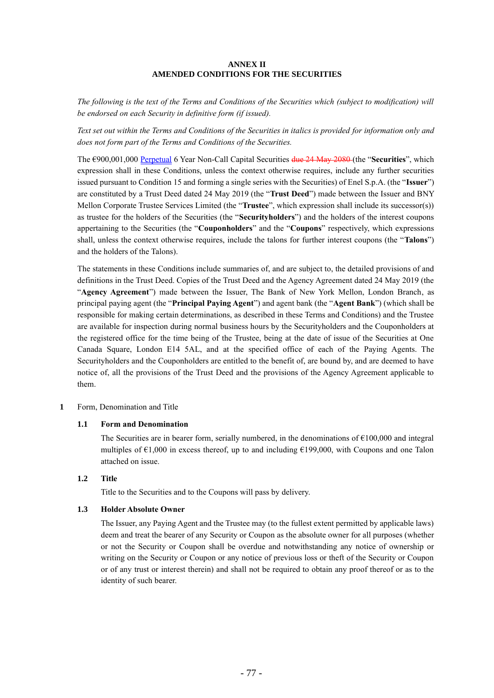# **ANNEX II AMENDED CONDITIONS FOR THE SECURITIES**

*The following is the text of the Terms and Conditions of the Securities which (subject to modification) will be endorsed on each Security in definitive form (if issued).* 

*Text set out within the Terms and Conditions of the Securities in italics is provided for information only and does not form part of the Terms and Conditions of the Securities.*

The €900,001,000 Perpetual 6 Year Non-Call Capital Securities due 24 May 2080 (the "**Securities**", which expression shall in these Conditions, unless the context otherwise requires, include any further securities issued pursuant to Condition 15 and forming a single series with the Securities) of Enel S.p.A. (the "**Issuer**") are constituted by a Trust Deed dated 24 May 2019 (the "**Trust Deed**") made between the Issuer and BNY Mellon Corporate Trustee Services Limited (the "**Trustee**", which expression shall include its successor(s)) as trustee for the holders of the Securities (the "**Securityholders**") and the holders of the interest coupons appertaining to the Securities (the "**Couponholders**" and the "**Coupons**" respectively, which expressions shall, unless the context otherwise requires, include the talons for further interest coupons (the "**Talons**") and the holders of the Talons).

The statements in these Conditions include summaries of, and are subject to, the detailed provisions of and definitions in the Trust Deed. Copies of the Trust Deed and the Agency Agreement dated 24 May 2019 (the "**Agency Agreement**") made between the Issuer, The Bank of New York Mellon, London Branch, as principal paying agent (the "**Principal Paying Agent**") and agent bank (the "**Agent Bank**") (which shall be responsible for making certain determinations, as described in these Terms and Conditions) and the Trustee are available for inspection during normal business hours by the Securityholders and the Couponholders at the registered office for the time being of the Trustee, being at the date of issue of the Securities at One Canada Square, London E14 5AL, and at the specified office of each of the Paying Agents. The Securityholders and the Couponholders are entitled to the benefit of, are bound by, and are deemed to have notice of, all the provisions of the Trust Deed and the provisions of the Agency Agreement applicable to them.

### **1** Form, Denomination and Title

### **1.1 Form and Denomination**

The Securities are in bearer form, serially numbered, in the denominations of  $\epsilon$ 100,000 and integral multiples of  $\epsilon$ 1,000 in excess thereof, up to and including  $\epsilon$ 199,000, with Coupons and one Talon attached on issue.

# **1.2 Title**

Title to the Securities and to the Coupons will pass by delivery.

### **1.3 Holder Absolute Owner**

The Issuer, any Paying Agent and the Trustee may (to the fullest extent permitted by applicable laws) deem and treat the bearer of any Security or Coupon as the absolute owner for all purposes (whether or not the Security or Coupon shall be overdue and notwithstanding any notice of ownership or writing on the Security or Coupon or any notice of previous loss or theft of the Security or Coupon or of any trust or interest therein) and shall not be required to obtain any proof thereof or as to the identity of such bearer.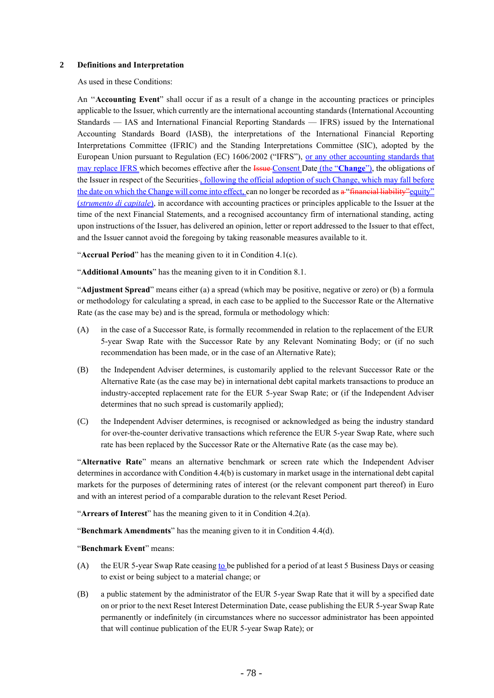### **2 Definitions and Interpretation**

As used in these Conditions:

An ''**Accounting Event**" shall occur if as a result of a change in the accounting practices or principles applicable to the Issuer, which currently are the international accounting standards (International Accounting Standards — IAS and International Financial Reporting Standards — IFRS) issued by the International Accounting Standards Board (IASB), the interpretations of the International Financial Reporting Interpretations Committee (IFRIC) and the Standing Interpretations Committee (SIC), adopted by the European Union pursuant to Regulation (EC) 1606/2002 ("IFRS"), or any other accounting standards that may replace IFRS which becomes effective after the Issue Consent Date (the "**Change**"), the obligations of the Issuer in respect of the Securities-, following the official adoption of such Change, which may fall before the date on which the Change will come into effect, can no longer be recorded as a "financial liability" equity" (*strumento di capitale*), in accordance with accounting practices or principles applicable to the Issuer at the time of the next Financial Statements, and a recognised accountancy firm of international standing, acting upon instructions of the Issuer, has delivered an opinion, letter or report addressed to the Issuer to that effect, and the Issuer cannot avoid the foregoing by taking reasonable measures available to it.

"**Accrual Period**" has the meaning given to it in Condition 4.1(c).

"**Additional Amounts**" has the meaning given to it in Condition 8.1.

"**Adjustment Spread**" means either (a) a spread (which may be positive, negative or zero) or (b) a formula or methodology for calculating a spread, in each case to be applied to the Successor Rate or the Alternative Rate (as the case may be) and is the spread, formula or methodology which:

- (A) in the case of a Successor Rate, is formally recommended in relation to the replacement of the EUR 5-year Swap Rate with the Successor Rate by any Relevant Nominating Body; or (if no such recommendation has been made, or in the case of an Alternative Rate);
- (B) the Independent Adviser determines, is customarily applied to the relevant Successor Rate or the Alternative Rate (as the case may be) in international debt capital markets transactions to produce an industry-accepted replacement rate for the EUR 5-year Swap Rate; or (if the Independent Adviser determines that no such spread is customarily applied);
- (C) the Independent Adviser determines, is recognised or acknowledged as being the industry standard for over-the-counter derivative transactions which reference the EUR 5-year Swap Rate, where such rate has been replaced by the Successor Rate or the Alternative Rate (as the case may be).

"**Alternative Rate**" means an alternative benchmark or screen rate which the Independent Adviser determines in accordance with Condition 4.4(b) is customary in market usage in the international debt capital markets for the purposes of determining rates of interest (or the relevant component part thereof) in Euro and with an interest period of a comparable duration to the relevant Reset Period.

"**Arrears of Interest**" has the meaning given to it in Condition 4.2(a).

"**Benchmark Amendments**" has the meaning given to it in Condition 4.4(d).

"**Benchmark Event**" means:

- (A) the EUR 5-year Swap Rate ceasing to be published for a period of at least 5 Business Days or ceasing to exist or being subject to a material change; or
- (B) a public statement by the administrator of the EUR 5-year Swap Rate that it will by a specified date on or prior to the next Reset Interest Determination Date, cease publishing the EUR 5-year Swap Rate permanently or indefinitely (in circumstances where no successor administrator has been appointed that will continue publication of the EUR 5-year Swap Rate); or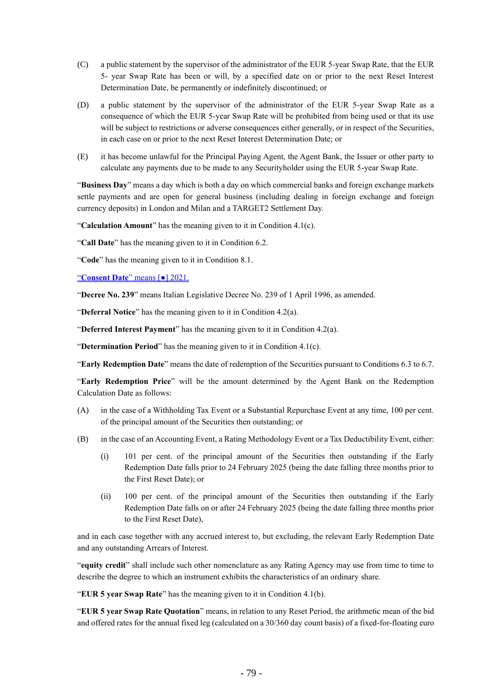- (C) a public statement by the supervisor of the administrator of the EUR 5-year Swap Rate, that the EUR 5- year Swap Rate has been or will, by a specified date on or prior to the next Reset Interest Determination Date, be permanently or indefinitely discontinued; or
- (D) a public statement by the supervisor of the administrator of the EUR 5-year Swap Rate as a consequence of which the EUR 5-year Swap Rate will be prohibited from being used or that its use will be subject to restrictions or adverse consequences either generally, or in respect of the Securities, in each case on or prior to the next Reset Interest Determination Date; or
- (E) it has become unlawful for the Principal Paying Agent, the Agent Bank, the Issuer or other party to calculate any payments due to be made to any Securityholder using the EUR 5-year Swap Rate.

"**Business Day**" means a day which is both a day on which commercial banks and foreign exchange markets settle payments and are open for general business (including dealing in foreign exchange and foreign currency deposits) in London and Milan and a TARGET2 Settlement Day.

"**Calculation Amount**" has the meaning given to it in Condition 4.1(c).

"**Call Date**" has the meaning given to it in Condition 6.2.

"**Code**" has the meaning given to it in Condition 8.1.

"**Consent Date**" means [●] 2021.

"**Decree No. 239**" means Italian Legislative Decree No. 239 of 1 April 1996, as amended.

"**Deferral Notice**" has the meaning given to it in Condition 4.2(a).

"**Deferred Interest Payment**" has the meaning given to it in Condition 4.2(a).

"**Determination Period**" has the meaning given to it in Condition 4.1(c).

"**Early Redemption Date**" means the date of redemption of the Securities pursuant to Conditions 6.3 to 6.7.

"**Early Redemption Price**" will be the amount determined by the Agent Bank on the Redemption Calculation Date as follows:

- (A) in the case of a Withholding Tax Event or a Substantial Repurchase Event at any time, 100 per cent. of the principal amount of the Securities then outstanding; or
- (B) in the case of an Accounting Event, a Rating Methodology Event or a Tax Deductibility Event, either:
	- (i) 101 per cent. of the principal amount of the Securities then outstanding if the Early Redemption Date falls prior to 24 February 2025 (being the date falling three months prior to the First Reset Date); or
	- (ii) 100 per cent. of the principal amount of the Securities then outstanding if the Early Redemption Date falls on or after 24 February 2025 (being the date falling three months prior to the First Reset Date),

and in each case together with any accrued interest to, but excluding, the relevant Early Redemption Date and any outstanding Arrears of Interest.

"**equity credit**" shall include such other nomenclature as any Rating Agency may use from time to time to describe the degree to which an instrument exhibits the characteristics of an ordinary share.

"**EUR 5 year Swap Rate**" has the meaning given to it in Condition 4.1(b).

"**EUR 5 year Swap Rate Quotation**" means, in relation to any Reset Period, the arithmetic mean of the bid and offered rates for the annual fixed leg (calculated on a 30/360 day count basis) of a fixed-for-floating euro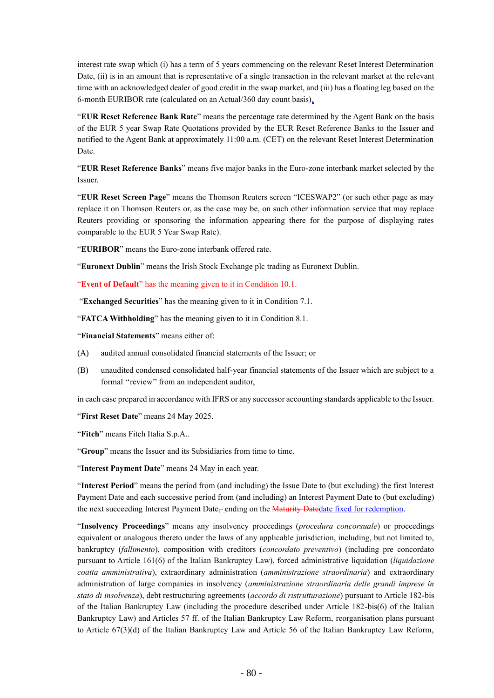interest rate swap which (i) has a term of 5 years commencing on the relevant Reset Interest Determination Date, (ii) is in an amount that is representative of a single transaction in the relevant market at the relevant time with an acknowledged dealer of good credit in the swap market, and (iii) has a floating leg based on the 6-month EURIBOR rate (calculated on an Actual/360 day count basis).

"**EUR Reset Reference Bank Rate**" means the percentage rate determined by the Agent Bank on the basis of the EUR 5 year Swap Rate Quotations provided by the EUR Reset Reference Banks to the Issuer and notified to the Agent Bank at approximately 11:00 a.m. (CET) on the relevant Reset Interest Determination Date.

"**EUR Reset Reference Banks**" means five major banks in the Euro-zone interbank market selected by the Issuer.

"**EUR Reset Screen Page**" means the Thomson Reuters screen "ICESWAP2" (or such other page as may replace it on Thomson Reuters or, as the case may be, on such other information service that may replace Reuters providing or sponsoring the information appearing there for the purpose of displaying rates comparable to the EUR 5 Year Swap Rate).

"**EURIBOR**" means the Euro-zone interbank offered rate.

"**Euronext Dublin**" means the Irish Stock Exchange plc trading as Euronext Dublin.

"**Event of Default**" has the meaning given to it in Condition 10.1.

"**Exchanged Securities**" has the meaning given to it in Condition 7.1.

"**FATCA Withholding**" has the meaning given to it in Condition 8.1.

"**Financial Statements**" means either of:

- (A) audited annual consolidated financial statements of the Issuer; or
- (B) unaudited condensed consolidated half-year financial statements of the Issuer which are subject to a formal "review" from an independent auditor,

in each case prepared in accordance with IFRS or any successor accounting standards applicable to the Issuer.

"**First Reset Date**" means 24 May 2025.

"**Fitch**" means Fitch Italia S.p.A..

"**Group**" means the Issuer and its Subsidiaries from time to time.

"**Interest Payment Date**" means 24 May in each year.

"**Interest Period**" means the period from (and including) the Issue Date to (but excluding) the first Interest Payment Date and each successive period from (and including) an Interest Payment Date to (but excluding) the next succeeding Interest Payment Date<sub>,</sub> ending on the Maturity Datedate fixed for redemption.

"**Insolvency Proceedings**" means any insolvency proceedings (*procedura concorsuale*) or proceedings equivalent or analogous thereto under the laws of any applicable jurisdiction, including, but not limited to, bankruptcy (*fallimento*), composition with creditors (*concordato preventivo*) (including pre concordato pursuant to Article 161(6) of the Italian Bankruptcy Law), forced administrative liquidation (*liquidazione coatta amministrativa*), extraordinary administration (*amministrazione straordinaria*) and extraordinary administration of large companies in insolvency (*amministrazione straordinaria delle grandi imprese in stato di insolvenza*), debt restructuring agreements (*accordo di ristrutturazione*) pursuant to Article 182-bis of the Italian Bankruptcy Law (including the procedure described under Article 182-bis(6) of the Italian Bankruptcy Law) and Articles 57 ff. of the Italian Bankruptcy Law Reform, reorganisation plans pursuant to Article 67(3)(d) of the Italian Bankruptcy Law and Article 56 of the Italian Bankruptcy Law Reform,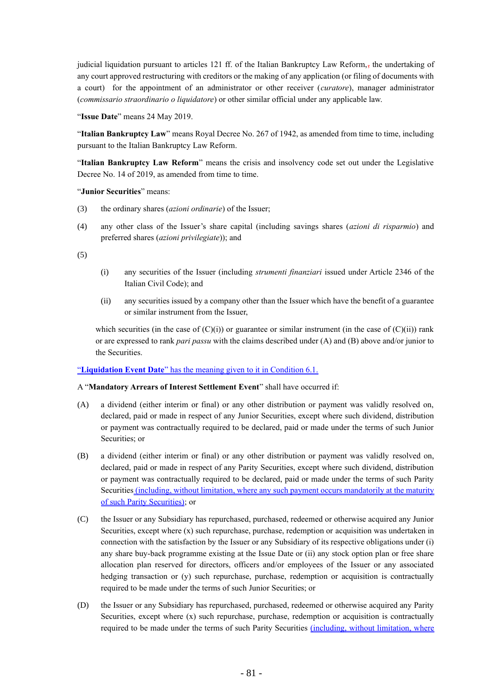judicial liquidation pursuant to articles 121 ff. of the Italian Bankruptcy Law Reform,, the undertaking of any court approved restructuring with creditors or the making of any application (or filing of documents with a court) for the appointment of an administrator or other receiver (*curatore*), manager administrator (*commissario straordinario o liquidatore*) or other similar official under any applicable law.

"**Issue Date**" means 24 May 2019.

"**Italian Bankruptcy Law**" means Royal Decree No. 267 of 1942, as amended from time to time, including pursuant to the Italian Bankruptcy Law Reform.

"**Italian Bankruptcy Law Reform**" means the crisis and insolvency code set out under the Legislative Decree No. 14 of 2019, as amended from time to time.

"**Junior Securities**" means:

- (3) the ordinary shares (*azioni ordinarie*) of the Issuer;
- (4) any other class of the Issuer's share capital (including savings shares (*azioni di risparmio*) and preferred shares (*azioni privilegiate*)); and

(5)

- (i) any securities of the Issuer (including *strumenti finanziari* issued under Article 2346 of the Italian Civil Code); and
- (ii) any securities issued by a company other than the Issuer which have the benefit of a guarantee or similar instrument from the Issuer,

which securities (in the case of  $(C)(i)$ ) or guarantee or similar instrument (in the case of  $(C)(ii)$ ) rank or are expressed to rank *pari passu* with the claims described under (A) and (B) above and/or junior to the Securities.

### "**Liquidation Event Date**" has the meaning given to it in Condition 6.1.

### A "**Mandatory Arrears of Interest Settlement Event**" shall have occurred if:

- (A) a dividend (either interim or final) or any other distribution or payment was validly resolved on, declared, paid or made in respect of any Junior Securities, except where such dividend, distribution or payment was contractually required to be declared, paid or made under the terms of such Junior Securities; or
- (B) a dividend (either interim or final) or any other distribution or payment was validly resolved on, declared, paid or made in respect of any Parity Securities, except where such dividend, distribution or payment was contractually required to be declared, paid or made under the terms of such Parity Securities (including, without limitation, where any such payment occurs mandatorily at the maturity of such Parity Securities); or
- (C) the Issuer or any Subsidiary has repurchased, purchased, redeemed or otherwise acquired any Junior Securities, except where (x) such repurchase, purchase, redemption or acquisition was undertaken in connection with the satisfaction by the Issuer or any Subsidiary of its respective obligations under (i) any share buy-back programme existing at the Issue Date or (ii) any stock option plan or free share allocation plan reserved for directors, officers and/or employees of the Issuer or any associated hedging transaction or (y) such repurchase, purchase, redemption or acquisition is contractually required to be made under the terms of such Junior Securities; or
- (D) the Issuer or any Subsidiary has repurchased, purchased, redeemed or otherwise acquired any Parity Securities, except where (x) such repurchase, purchase, redemption or acquisition is contractually required to be made under the terms of such Parity Securities (including, without limitation, where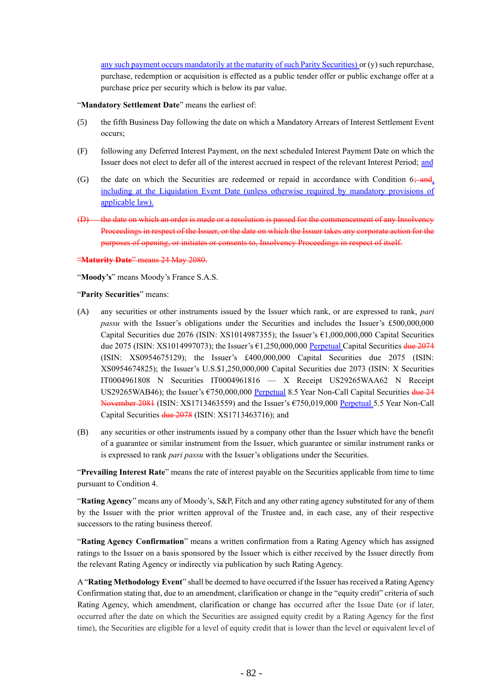any such payment occurs mandatorily at the maturity of such Parity Securities) or (y) such repurchase, purchase, redemption or acquisition is effected as a public tender offer or public exchange offer at a purchase price per security which is below its par value.

"**Mandatory Settlement Date**" means the earliest of:

- (5) the fifth Business Day following the date on which a Mandatory Arrears of Interest Settlement Event occurs;
- (F) following any Deferred Interest Payment, on the next scheduled Interest Payment Date on which the Issuer does not elect to defer all of the interest accrued in respect of the relevant Interest Period; and
- (G) the date on which the Securities are redeemed or repaid in accordance with Condition  $6 \div \theta$ including at the Liquidation Event Date (unless otherwise required by mandatory provisions of applicable law).
- (D) the date on which an order is made or a resolution is passed for the commencement of any Insolvency Proceedings in respect of the Issuer, or the date on which the Issuer takes any corporate action for the purposes of opening, or initiates or consents to, Insolvency Proceedings in respect of itself.

"**Maturity Date**" means 24 May 2080.

"**Moody's**" means Moody's France S.A.S.

"**Parity Securities**" means:

- (A) any securities or other instruments issued by the Issuer which rank, or are expressed to rank, *pari passu* with the Issuer's obligations under the Securities and includes the Issuer's £500,000,000 Capital Securities due 2076 (ISIN: XS1014987355); the Issuer's €1,000,000,000 Capital Securities due 2075 (ISIN: XS1014997073); the Issuer's  $\epsilon$ 1,250,000,000 Perpetual Capital Securities due 2074 (ISIN: XS0954675129); the Issuer's £400,000,000 Capital Securities due 2075 (ISIN: XS0954674825); the Issuer's U.S.\$1,250,000,000 Capital Securities due 2073 (ISIN: X Securities IT0004961808 N Securities IT0004961816 — X Receipt US29265WAA62 N Receipt US29265WAB46); the Issuer's €750,000,000 Perpetual 8.5 Year Non-Call Capital Securities due 24 November 2081 (ISIN: XS1713463559) and the Issuer's €750,019,000 Perpetual 5.5 Year Non-Call Capital Securities due 2078 (ISIN: XS1713463716); and
- (B) any securities or other instruments issued by a company other than the Issuer which have the benefit of a guarantee or similar instrument from the Issuer, which guarantee or similar instrument ranks or is expressed to rank *pari passu* with the Issuer's obligations under the Securities.

"**Prevailing Interest Rate**" means the rate of interest payable on the Securities applicable from time to time pursuant to Condition 4.

"**Rating Agency**" means any of Moody's, S&P, Fitch and any other rating agency substituted for any of them by the Issuer with the prior written approval of the Trustee and, in each case, any of their respective successors to the rating business thereof.

"**Rating Agency Confirmation**" means a written confirmation from a Rating Agency which has assigned ratings to the Issuer on a basis sponsored by the Issuer which is either received by the Issuer directly from the relevant Rating Agency or indirectly via publication by such Rating Agency.

A "**Rating Methodology Event**" shall be deemed to have occurred if the Issuer has received a Rating Agency Confirmation stating that, due to an amendment, clarification or change in the "equity credit" criteria of such Rating Agency, which amendment, clarification or change has occurred after the Issue Date (or if later, occurred after the date on which the Securities are assigned equity credit by a Rating Agency for the first time), the Securities are eligible for a level of equity credit that is lower than the level or equivalent level of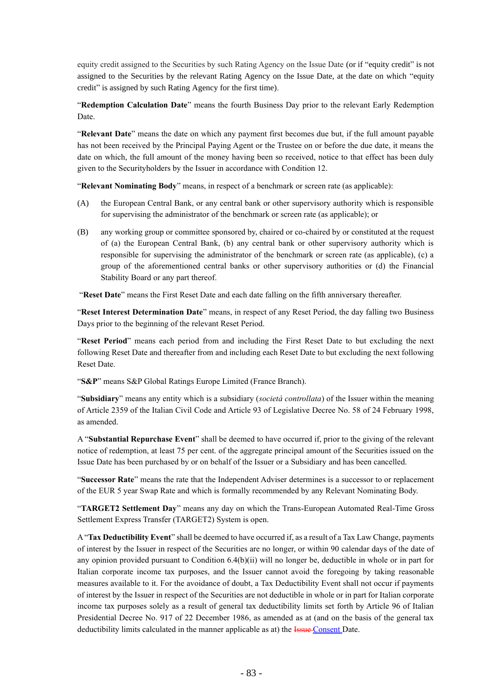equity credit assigned to the Securities by such Rating Agency on the Issue Date (or if "equity credit" is not assigned to the Securities by the relevant Rating Agency on the Issue Date, at the date on which "equity credit" is assigned by such Rating Agency for the first time).

"**Redemption Calculation Date**" means the fourth Business Day prior to the relevant Early Redemption Date.

"**Relevant Date**" means the date on which any payment first becomes due but, if the full amount payable has not been received by the Principal Paying Agent or the Trustee on or before the due date, it means the date on which, the full amount of the money having been so received, notice to that effect has been duly given to the Securityholders by the Issuer in accordance with Condition 12.

"**Relevant Nominating Body**" means, in respect of a benchmark or screen rate (as applicable):

- (A) the European Central Bank, or any central bank or other supervisory authority which is responsible for supervising the administrator of the benchmark or screen rate (as applicable); or
- (B) any working group or committee sponsored by, chaired or co-chaired by or constituted at the request of (a) the European Central Bank, (b) any central bank or other supervisory authority which is responsible for supervising the administrator of the benchmark or screen rate (as applicable), (c) a group of the aforementioned central banks or other supervisory authorities or (d) the Financial Stability Board or any part thereof.

"**Reset Date**" means the First Reset Date and each date falling on the fifth anniversary thereafter.

"**Reset Interest Determination Date**" means, in respect of any Reset Period, the day falling two Business Days prior to the beginning of the relevant Reset Period.

"**Reset Period**" means each period from and including the First Reset Date to but excluding the next following Reset Date and thereafter from and including each Reset Date to but excluding the next following Reset Date.

"**S&P**" means S&P Global Ratings Europe Limited (France Branch).

"**Subsidiary**" means any entity which is a subsidiary (*società controllata*) of the Issuer within the meaning of Article 2359 of the Italian Civil Code and Article 93 of Legislative Decree No. 58 of 24 February 1998, as amended.

A "**Substantial Repurchase Event**" shall be deemed to have occurred if, prior to the giving of the relevant notice of redemption, at least 75 per cent. of the aggregate principal amount of the Securities issued on the Issue Date has been purchased by or on behalf of the Issuer or a Subsidiary and has been cancelled.

"**Successor Rate**" means the rate that the Independent Adviser determines is a successor to or replacement of the EUR 5 year Swap Rate and which is formally recommended by any Relevant Nominating Body.

"**TARGET2 Settlement Day**" means any day on which the Trans-European Automated Real-Time Gross Settlement Express Transfer (TARGET2) System is open.

A "**Tax Deductibility Event**" shall be deemed to have occurred if, as a result of a Tax Law Change, payments of interest by the Issuer in respect of the Securities are no longer, or within 90 calendar days of the date of any opinion provided pursuant to Condition 6.4(b)(ii) will no longer be, deductible in whole or in part for Italian corporate income tax purposes, and the Issuer cannot avoid the foregoing by taking reasonable measures available to it. For the avoidance of doubt, a Tax Deductibility Event shall not occur if payments of interest by the Issuer in respect of the Securities are not deductible in whole or in part for Italian corporate income tax purposes solely as a result of general tax deductibility limits set forth by Article 96 of Italian Presidential Decree No. 917 of 22 December 1986, as amended as at (and on the basis of the general tax deductibility limits calculated in the manner applicable as at) the **Issue Consent** Date.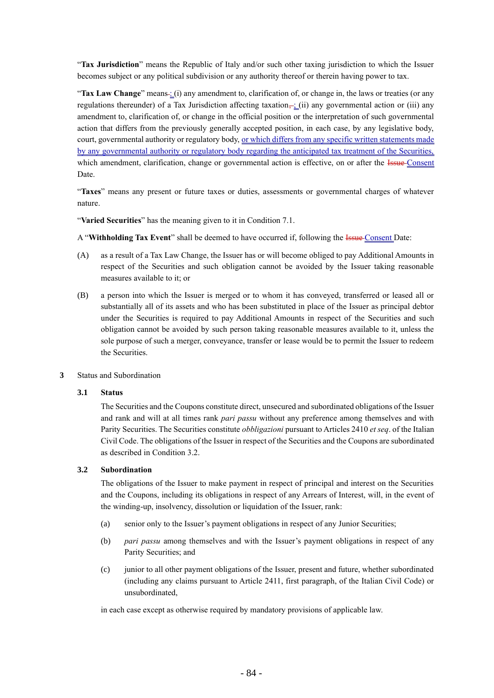"**Tax Jurisdiction**" means the Republic of Italy and/or such other taxing jurisdiction to which the Issuer becomes subject or any political subdivision or any authority thereof or therein having power to tax.

"**Tax Law Change**" means-: (i) any amendment to, clarification of, or change in, the laws or treaties (or any regulations thereunder) of a Tax Jurisdiction affecting taxation,  $\frac{1}{2}$  (ii) any governmental action or (iii) any amendment to, clarification of, or change in the official position or the interpretation of such governmental action that differs from the previously generally accepted position, in each case, by any legislative body, court, governmental authority or regulatory body, or which differs from any specific written statements made by any governmental authority or regulatory body regarding the anticipated tax treatment of the Securities, which amendment, clarification, change or governmental action is effective, on or after the Issue-Consent Date.

"**Taxes**" means any present or future taxes or duties, assessments or governmental charges of whatever nature.

"**Varied Securities**" has the meaning given to it in Condition 7.1.

A "**Withholding Tax Event**" shall be deemed to have occurred if, following the Issue Consent Date:

- (A) as a result of a Tax Law Change, the Issuer has or will become obliged to pay Additional Amounts in respect of the Securities and such obligation cannot be avoided by the Issuer taking reasonable measures available to it; or
- (B) a person into which the Issuer is merged or to whom it has conveyed, transferred or leased all or substantially all of its assets and who has been substituted in place of the Issuer as principal debtor under the Securities is required to pay Additional Amounts in respect of the Securities and such obligation cannot be avoided by such person taking reasonable measures available to it, unless the sole purpose of such a merger, conveyance, transfer or lease would be to permit the Issuer to redeem the Securities.
- **3** Status and Subordination

### **3.1 Status**

The Securities and the Coupons constitute direct, unsecured and subordinated obligations of the Issuer and rank and will at all times rank *pari passu* without any preference among themselves and with Parity Securities. The Securities constitute *obbligazioni* pursuant to Articles 2410 *et seq*. of the Italian Civil Code. The obligations of the Issuer in respect of the Securities and the Coupons are subordinated as described in Condition 3.2.

# **3.2 Subordination**

The obligations of the Issuer to make payment in respect of principal and interest on the Securities and the Coupons, including its obligations in respect of any Arrears of Interest, will, in the event of the winding-up, insolvency, dissolution or liquidation of the Issuer, rank:

- (a) senior only to the Issuer's payment obligations in respect of any Junior Securities;
- (b) *pari passu* among themselves and with the Issuer's payment obligations in respect of any Parity Securities; and
- (c) junior to all other payment obligations of the Issuer, present and future, whether subordinated (including any claims pursuant to Article 2411, first paragraph, of the Italian Civil Code) or unsubordinated,

in each case except as otherwise required by mandatory provisions of applicable law.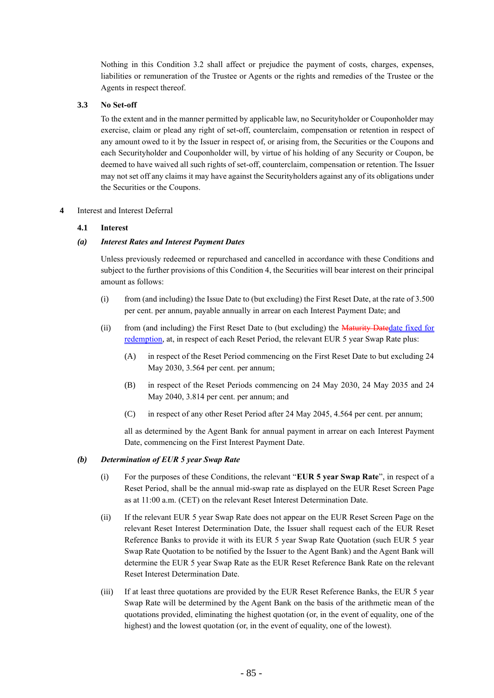Nothing in this Condition 3.2 shall affect or prejudice the payment of costs, charges, expenses, liabilities or remuneration of the Trustee or Agents or the rights and remedies of the Trustee or the Agents in respect thereof.

# **3.3 No Set-off**

To the extent and in the manner permitted by applicable law, no Securityholder or Couponholder may exercise, claim or plead any right of set-off, counterclaim, compensation or retention in respect of any amount owed to it by the Issuer in respect of, or arising from, the Securities or the Coupons and each Securityholder and Couponholder will, by virtue of his holding of any Security or Coupon, be deemed to have waived all such rights of set-off, counterclaim, compensation or retention. The Issuer may not set off any claims it may have against the Securityholders against any of its obligations under the Securities or the Coupons.

# **4** Interest and Interest Deferral

# **4.1 Interest**

# *(a) Interest Rates and Interest Payment Dates*

Unless previously redeemed or repurchased and cancelled in accordance with these Conditions and subject to the further provisions of this Condition 4, the Securities will bear interest on their principal amount as follows:

- (i) from (and including) the Issue Date to (but excluding) the First Reset Date, at the rate of 3.500 per cent. per annum, payable annually in arrear on each Interest Payment Date; and
- (ii) from (and including) the First Reset Date to (but excluding) the Maturity Datedate fixed for redemption, at, in respect of each Reset Period, the relevant EUR 5 year Swap Rate plus:
	- (A) in respect of the Reset Period commencing on the First Reset Date to but excluding 24 May 2030, 3.564 per cent. per annum;
	- (B) in respect of the Reset Periods commencing on 24 May 2030, 24 May 2035 and 24 May 2040, 3.814 per cent. per annum; and
	- (C) in respect of any other Reset Period after 24 May 2045, 4.564 per cent. per annum;

all as determined by the Agent Bank for annual payment in arrear on each Interest Payment Date, commencing on the First Interest Payment Date.

# *(b) Determination of EUR 5 year Swap Rate*

- (i) For the purposes of these Conditions, the relevant "**EUR 5 year Swap Rate**", in respect of a Reset Period, shall be the annual mid-swap rate as displayed on the EUR Reset Screen Page as at 11:00 a.m. (CET) on the relevant Reset Interest Determination Date.
- (ii) If the relevant EUR 5 year Swap Rate does not appear on the EUR Reset Screen Page on the relevant Reset Interest Determination Date, the Issuer shall request each of the EUR Reset Reference Banks to provide it with its EUR 5 year Swap Rate Quotation (such EUR 5 year Swap Rate Quotation to be notified by the Issuer to the Agent Bank) and the Agent Bank will determine the EUR 5 year Swap Rate as the EUR Reset Reference Bank Rate on the relevant Reset Interest Determination Date.
- (iii) If at least three quotations are provided by the EUR Reset Reference Banks, the EUR 5 year Swap Rate will be determined by the Agent Bank on the basis of the arithmetic mean of the quotations provided, eliminating the highest quotation (or, in the event of equality, one of the highest) and the lowest quotation (or, in the event of equality, one of the lowest).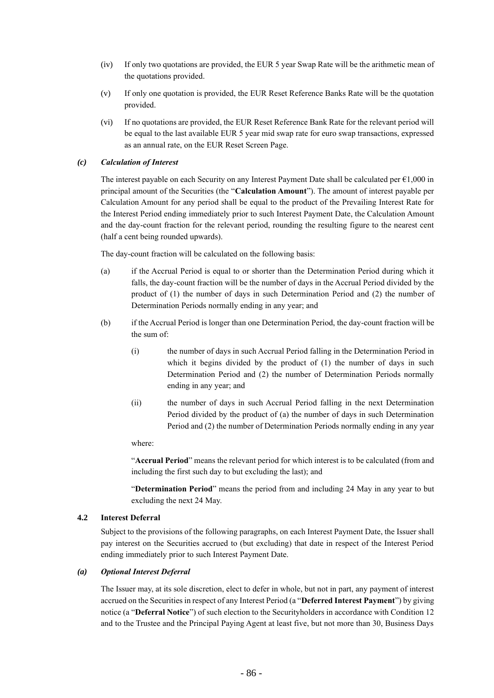- (iv) If only two quotations are provided, the EUR 5 year Swap Rate will be the arithmetic mean of the quotations provided.
- (v) If only one quotation is provided, the EUR Reset Reference Banks Rate will be the quotation provided.
- (vi) If no quotations are provided, the EUR Reset Reference Bank Rate for the relevant period will be equal to the last available EUR 5 year mid swap rate for euro swap transactions, expressed as an annual rate, on the EUR Reset Screen Page.

### *(c) Calculation of Interest*

The interest payable on each Security on any Interest Payment Date shall be calculated per  $\epsilon$ 1,000 in principal amount of the Securities (the "**Calculation Amount**"). The amount of interest payable per Calculation Amount for any period shall be equal to the product of the Prevailing Interest Rate for the Interest Period ending immediately prior to such Interest Payment Date, the Calculation Amount and the day-count fraction for the relevant period, rounding the resulting figure to the nearest cent (half a cent being rounded upwards).

The day-count fraction will be calculated on the following basis:

- (a) if the Accrual Period is equal to or shorter than the Determination Period during which it falls, the day-count fraction will be the number of days in the Accrual Period divided by the product of (1) the number of days in such Determination Period and (2) the number of Determination Periods normally ending in any year; and
- (b) if the Accrual Period is longer than one Determination Period, the day-count fraction will be the sum of:
	- (i) the number of days in such Accrual Period falling in the Determination Period in which it begins divided by the product of (1) the number of days in such Determination Period and (2) the number of Determination Periods normally ending in any year; and
	- (ii) the number of days in such Accrual Period falling in the next Determination Period divided by the product of (a) the number of days in such Determination Period and (2) the number of Determination Periods normally ending in any year

# where:

"**Accrual Period**" means the relevant period for which interest is to be calculated (from and including the first such day to but excluding the last); and

"**Determination Period**" means the period from and including 24 May in any year to but excluding the next 24 May.

### **4.2 Interest Deferral**

Subject to the provisions of the following paragraphs, on each Interest Payment Date, the Issuer shall pay interest on the Securities accrued to (but excluding) that date in respect of the Interest Period ending immediately prior to such Interest Payment Date.

### *(a) Optional Interest Deferral*

The Issuer may, at its sole discretion, elect to defer in whole, but not in part, any payment of interest accrued on the Securities in respect of any Interest Period (a "**Deferred Interest Payment**") by giving notice (a "**Deferral Notice**") of such election to the Securityholders in accordance with Condition 12 and to the Trustee and the Principal Paying Agent at least five, but not more than 30, Business Days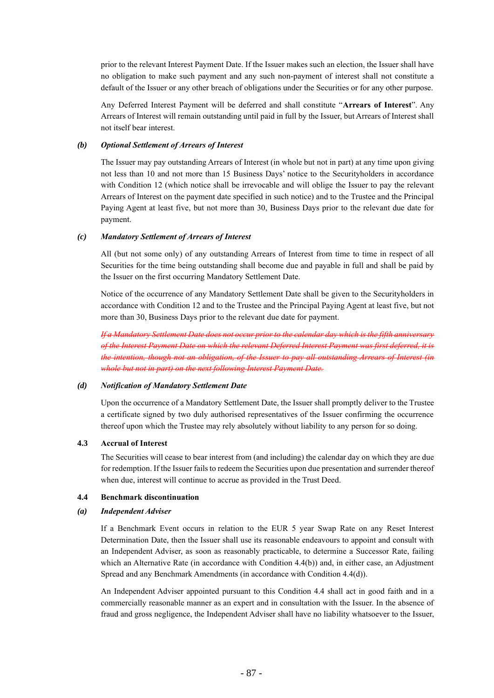prior to the relevant Interest Payment Date. If the Issuer makes such an election, the Issuer shall have no obligation to make such payment and any such non-payment of interest shall not constitute a default of the Issuer or any other breach of obligations under the Securities or for any other purpose.

Any Deferred Interest Payment will be deferred and shall constitute "**Arrears of Interest**". Any Arrears of Interest will remain outstanding until paid in full by the Issuer, but Arrears of Interest shall not itself bear interest.

### *(b) Optional Settlement of Arrears of Interest*

The Issuer may pay outstanding Arrears of Interest (in whole but not in part) at any time upon giving not less than 10 and not more than 15 Business Days' notice to the Securityholders in accordance with Condition 12 (which notice shall be irrevocable and will oblige the Issuer to pay the relevant Arrears of Interest on the payment date specified in such notice) and to the Trustee and the Principal Paying Agent at least five, but not more than 30, Business Days prior to the relevant due date for payment.

### *(c) Mandatory Settlement of Arrears of Interest*

All (but not some only) of any outstanding Arrears of Interest from time to time in respect of all Securities for the time being outstanding shall become due and payable in full and shall be paid by the Issuer on the first occurring Mandatory Settlement Date.

Notice of the occurrence of any Mandatory Settlement Date shall be given to the Securityholders in accordance with Condition 12 and to the Trustee and the Principal Paying Agent at least five, but not more than 30, Business Days prior to the relevant due date for payment.

*If a Mandatory Settlement Date does not occur prior to the calendar day which is the fifth anniversary of the Interest Payment Date on which the relevant Deferred Interest Payment was first deferred, it is the intention, though not an obligation, of the Issuer to pay all outstanding Arrears of Interest (in whole but not in part) on the next following Interest Payment Date.*

### *(d) Notification of Mandatory Settlement Date*

Upon the occurrence of a Mandatory Settlement Date, the Issuer shall promptly deliver to the Trustee a certificate signed by two duly authorised representatives of the Issuer confirming the occurrence thereof upon which the Trustee may rely absolutely without liability to any person for so doing.

### **4.3 Accrual of Interest**

The Securities will cease to bear interest from (and including) the calendar day on which they are due for redemption. If the Issuer fails to redeem the Securities upon due presentation and surrender thereof when due, interest will continue to accrue as provided in the Trust Deed.

# **4.4 Benchmark discontinuation**

### *(a) Independent Adviser*

If a Benchmark Event occurs in relation to the EUR 5 year Swap Rate on any Reset Interest Determination Date, then the Issuer shall use its reasonable endeavours to appoint and consult with an Independent Adviser, as soon as reasonably practicable, to determine a Successor Rate, failing which an Alternative Rate (in accordance with Condition 4.4(b)) and, in either case, an Adjustment Spread and any Benchmark Amendments (in accordance with Condition 4.4(d)).

An Independent Adviser appointed pursuant to this Condition 4.4 shall act in good faith and in a commercially reasonable manner as an expert and in consultation with the Issuer. In the absence of fraud and gross negligence, the Independent Adviser shall have no liability whatsoever to the Issuer,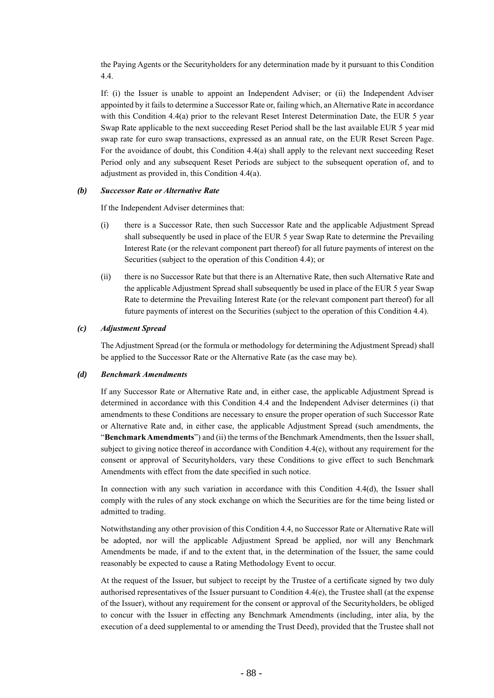the Paying Agents or the Securityholders for any determination made by it pursuant to this Condition 4.4.

If: (i) the Issuer is unable to appoint an Independent Adviser; or (ii) the Independent Adviser appointed by it fails to determine a Successor Rate or, failing which, an Alternative Rate in accordance with this Condition 4.4(a) prior to the relevant Reset Interest Determination Date, the EUR 5 year Swap Rate applicable to the next succeeding Reset Period shall be the last available EUR 5 year mid swap rate for euro swap transactions, expressed as an annual rate, on the EUR Reset Screen Page. For the avoidance of doubt, this Condition 4.4(a) shall apply to the relevant next succeeding Reset Period only and any subsequent Reset Periods are subject to the subsequent operation of, and to adjustment as provided in, this Condition 4.4(a).

#### *(b) Successor Rate or Alternative Rate*

If the Independent Adviser determines that:

- (i) there is a Successor Rate, then such Successor Rate and the applicable Adjustment Spread shall subsequently be used in place of the EUR 5 year Swap Rate to determine the Prevailing Interest Rate (or the relevant component part thereof) for all future payments of interest on the Securities (subject to the operation of this Condition 4.4); or
- (ii) there is no Successor Rate but that there is an Alternative Rate, then such Alternative Rate and the applicable Adjustment Spread shall subsequently be used in place of the EUR 5 year Swap Rate to determine the Prevailing Interest Rate (or the relevant component part thereof) for all future payments of interest on the Securities (subject to the operation of this Condition 4.4).

### *(c) Adjustment Spread*

The Adjustment Spread (or the formula or methodology for determining the Adjustment Spread) shall be applied to the Successor Rate or the Alternative Rate (as the case may be).

#### *(d) Benchmark Amendments*

If any Successor Rate or Alternative Rate and, in either case, the applicable Adjustment Spread is determined in accordance with this Condition 4.4 and the Independent Adviser determines (i) that amendments to these Conditions are necessary to ensure the proper operation of such Successor Rate or Alternative Rate and, in either case, the applicable Adjustment Spread (such amendments, the "**Benchmark Amendments**") and (ii) the terms of the Benchmark Amendments, then the Issuer shall, subject to giving notice thereof in accordance with Condition 4.4(e), without any requirement for the consent or approval of Securityholders, vary these Conditions to give effect to such Benchmark Amendments with effect from the date specified in such notice.

In connection with any such variation in accordance with this Condition 4.4(d), the Issuer shall comply with the rules of any stock exchange on which the Securities are for the time being listed or admitted to trading.

Notwithstanding any other provision of this Condition 4.4, no Successor Rate or Alternative Rate will be adopted, nor will the applicable Adjustment Spread be applied, nor will any Benchmark Amendments be made, if and to the extent that, in the determination of the Issuer, the same could reasonably be expected to cause a Rating Methodology Event to occur.

At the request of the Issuer, but subject to receipt by the Trustee of a certificate signed by two duly authorised representatives of the Issuer pursuant to Condition  $4.4(e)$ , the Trustee shall (at the expense of the Issuer), without any requirement for the consent or approval of the Securityholders, be obliged to concur with the Issuer in effecting any Benchmark Amendments (including, inter alia, by the execution of a deed supplemental to or amending the Trust Deed), provided that the Trustee shall not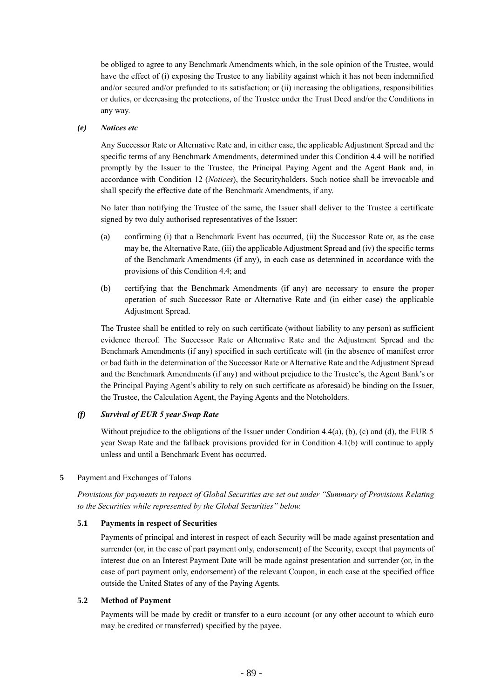be obliged to agree to any Benchmark Amendments which, in the sole opinion of the Trustee, would have the effect of (i) exposing the Trustee to any liability against which it has not been indemnified and/or secured and/or prefunded to its satisfaction; or (ii) increasing the obligations, responsibilities or duties, or decreasing the protections, of the Trustee under the Trust Deed and/or the Conditions in any way.

### *(e) Notices etc*

Any Successor Rate or Alternative Rate and, in either case, the applicable Adjustment Spread and the specific terms of any Benchmark Amendments, determined under this Condition 4.4 will be notified promptly by the Issuer to the Trustee, the Principal Paying Agent and the Agent Bank and, in accordance with Condition 12 (*Notices*), the Securityholders. Such notice shall be irrevocable and shall specify the effective date of the Benchmark Amendments, if any.

No later than notifying the Trustee of the same, the Issuer shall deliver to the Trustee a certificate signed by two duly authorised representatives of the Issuer:

- (a) confirming (i) that a Benchmark Event has occurred, (ii) the Successor Rate or, as the case may be, the Alternative Rate, (iii) the applicable Adjustment Spread and (iv) the specific terms of the Benchmark Amendments (if any), in each case as determined in accordance with the provisions of this Condition 4.4; and
- (b) certifying that the Benchmark Amendments (if any) are necessary to ensure the proper operation of such Successor Rate or Alternative Rate and (in either case) the applicable Adjustment Spread.

The Trustee shall be entitled to rely on such certificate (without liability to any person) as sufficient evidence thereof. The Successor Rate or Alternative Rate and the Adjustment Spread and the Benchmark Amendments (if any) specified in such certificate will (in the absence of manifest error or bad faith in the determination of the Successor Rate or Alternative Rate and the Adjustment Spread and the Benchmark Amendments (if any) and without prejudice to the Trustee's, the Agent Bank's or the Principal Paying Agent's ability to rely on such certificate as aforesaid) be binding on the Issuer, the Trustee, the Calculation Agent, the Paying Agents and the Noteholders.

#### *(f) Survival of EUR 5 year Swap Rate*

Without prejudice to the obligations of the Issuer under Condition 4.4(a), (b), (c) and (d), the EUR 5 year Swap Rate and the fallback provisions provided for in Condition 4.1(b) will continue to apply unless and until a Benchmark Event has occurred.

#### **5** Payment and Exchanges of Talons

*Provisions for payments in respect of Global Securities are set out under "Summary of Provisions Relating to the Securities while represented by the Global Securities" below.*

#### **5.1 Payments in respect of Securities**

Payments of principal and interest in respect of each Security will be made against presentation and surrender (or, in the case of part payment only, endorsement) of the Security, except that payments of interest due on an Interest Payment Date will be made against presentation and surrender (or, in the case of part payment only, endorsement) of the relevant Coupon, in each case at the specified office outside the United States of any of the Paying Agents.

#### **5.2 Method of Payment**

Payments will be made by credit or transfer to a euro account (or any other account to which euro may be credited or transferred) specified by the payee.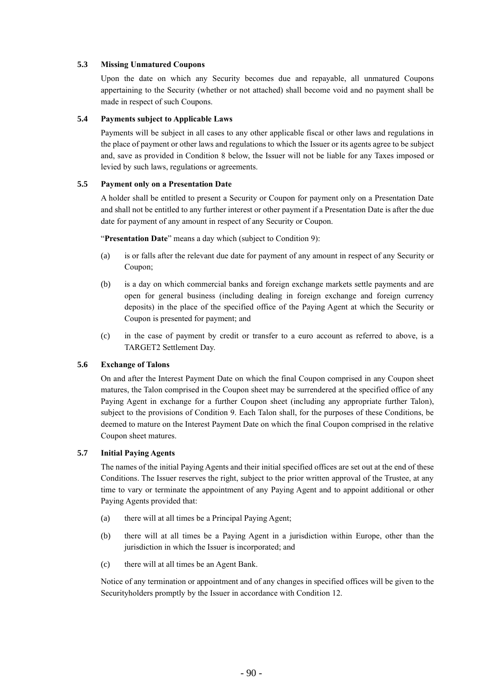# **5.3 Missing Unmatured Coupons**

Upon the date on which any Security becomes due and repayable, all unmatured Coupons appertaining to the Security (whether or not attached) shall become void and no payment shall be made in respect of such Coupons.

## **5.4 Payments subject to Applicable Laws**

Payments will be subject in all cases to any other applicable fiscal or other laws and regulations in the place of payment or other laws and regulations to which the Issuer or its agents agree to be subject and, save as provided in Condition 8 below, the Issuer will not be liable for any Taxes imposed or levied by such laws, regulations or agreements.

# **5.5 Payment only on a Presentation Date**

A holder shall be entitled to present a Security or Coupon for payment only on a Presentation Date and shall not be entitled to any further interest or other payment if a Presentation Date is after the due date for payment of any amount in respect of any Security or Coupon.

"**Presentation Date**" means a day which (subject to Condition 9):

- (a) is or falls after the relevant due date for payment of any amount in respect of any Security or Coupon;
- (b) is a day on which commercial banks and foreign exchange markets settle payments and are open for general business (including dealing in foreign exchange and foreign currency deposits) in the place of the specified office of the Paying Agent at which the Security or Coupon is presented for payment; and
- (c) in the case of payment by credit or transfer to a euro account as referred to above, is a TARGET2 Settlement Day.

### **5.6 Exchange of Talons**

On and after the Interest Payment Date on which the final Coupon comprised in any Coupon sheet matures, the Talon comprised in the Coupon sheet may be surrendered at the specified office of any Paying Agent in exchange for a further Coupon sheet (including any appropriate further Talon), subject to the provisions of Condition 9. Each Talon shall, for the purposes of these Conditions, be deemed to mature on the Interest Payment Date on which the final Coupon comprised in the relative Coupon sheet matures.

### **5.7 Initial Paying Agents**

The names of the initial Paying Agents and their initial specified offices are set out at the end of these Conditions. The Issuer reserves the right, subject to the prior written approval of the Trustee, at any time to vary or terminate the appointment of any Paying Agent and to appoint additional or other Paying Agents provided that:

- (a) there will at all times be a Principal Paying Agent;
- (b) there will at all times be a Paying Agent in a jurisdiction within Europe, other than the jurisdiction in which the Issuer is incorporated; and
- (c) there will at all times be an Agent Bank.

Notice of any termination or appointment and of any changes in specified offices will be given to the Securityholders promptly by the Issuer in accordance with Condition 12.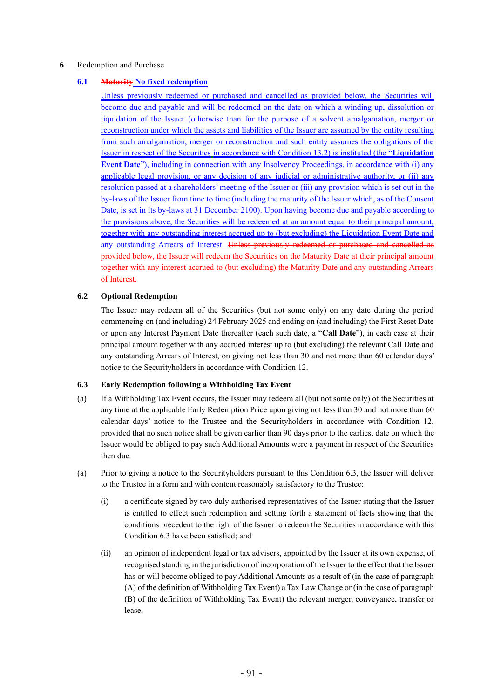# **6** Redemption and Purchase

# **6.1 Maturity No fixed redemption**

Unless previously redeemed or purchased and cancelled as provided below, the Securities will become due and payable and will be redeemed on the date on which a winding up, dissolution or liquidation of the Issuer (otherwise than for the purpose of a solvent amalgamation, merger or reconstruction under which the assets and liabilities of the Issuer are assumed by the entity resulting from such amalgamation, merger or reconstruction and such entity assumes the obligations of the Issuer in respect of the Securities in accordance with Condition 13.2) is instituted (the "**Liquidation Event Date**"), including in connection with any Insolvency Proceedings, in accordance with (i) any applicable legal provision, or any decision of any judicial or administrative authority, or (ii) any resolution passed at a shareholders' meeting of the Issuer or (iii) any provision which is set out in the by-laws of the Issuer from time to time (including the maturity of the Issuer which, as of the Consent Date, is set in its by-laws at 31 December 2100). Upon having become due and payable according to the provisions above, the Securities will be redeemed at an amount equal to their principal amount, together with any outstanding interest accrued up to (but excluding) the Liquidation Event Date and any outstanding Arrears of Interest. Unless previously redeemed or purchased and cancelled as provided below, the Issuer will redeem the Securities on the Maturity Date at their principal amount together with any interest accrued to (but excluding) the Maturity Date and any outstanding Arrears of Interest.

# **6.2 Optional Redemption**

The Issuer may redeem all of the Securities (but not some only) on any date during the period commencing on (and including) 24 February 2025 and ending on (and including) the First Reset Date or upon any Interest Payment Date thereafter (each such date, a "**Call Date**"), in each case at their principal amount together with any accrued interest up to (but excluding) the relevant Call Date and any outstanding Arrears of Interest, on giving not less than 30 and not more than 60 calendar days' notice to the Securityholders in accordance with Condition 12.

### **6.3 Early Redemption following a Withholding Tax Event**

- (a) If a Withholding Tax Event occurs, the Issuer may redeem all (but not some only) of the Securities at any time at the applicable Early Redemption Price upon giving not less than 30 and not more than 60 calendar days' notice to the Trustee and the Securityholders in accordance with Condition 12, provided that no such notice shall be given earlier than 90 days prior to the earliest date on which the Issuer would be obliged to pay such Additional Amounts were a payment in respect of the Securities then due.
- (a) Prior to giving a notice to the Securityholders pursuant to this Condition 6.3, the Issuer will deliver to the Trustee in a form and with content reasonably satisfactory to the Trustee:
	- (i) a certificate signed by two duly authorised representatives of the Issuer stating that the Issuer is entitled to effect such redemption and setting forth a statement of facts showing that the conditions precedent to the right of the Issuer to redeem the Securities in accordance with this Condition 6.3 have been satisfied; and
	- (ii) an opinion of independent legal or tax advisers, appointed by the Issuer at its own expense, of recognised standing in the jurisdiction of incorporation of the Issuer to the effect that the Issuer has or will become obliged to pay Additional Amounts as a result of (in the case of paragraph (A) of the definition of Withholding Tax Event) a Tax Law Change or (in the case of paragraph (B) of the definition of Withholding Tax Event) the relevant merger, conveyance, transfer or lease,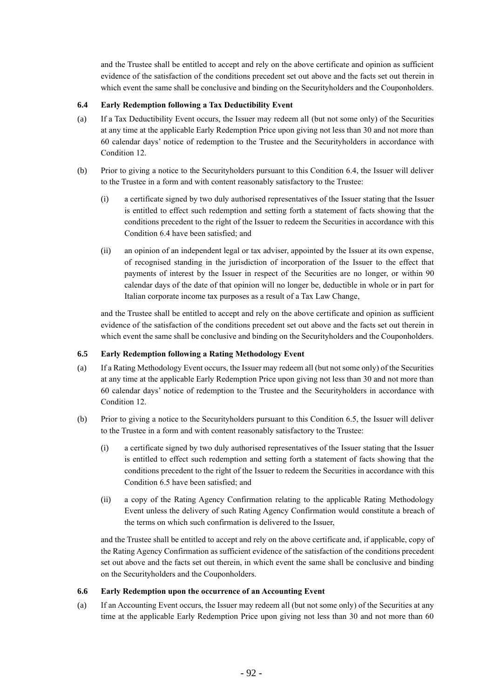and the Trustee shall be entitled to accept and rely on the above certificate and opinion as sufficient evidence of the satisfaction of the conditions precedent set out above and the facts set out therein in which event the same shall be conclusive and binding on the Securityholders and the Couponholders.

# **6.4 Early Redemption following a Tax Deductibility Event**

- (a) If a Tax Deductibility Event occurs, the Issuer may redeem all (but not some only) of the Securities at any time at the applicable Early Redemption Price upon giving not less than 30 and not more than 60 calendar days' notice of redemption to the Trustee and the Securityholders in accordance with Condition 12.
- (b) Prior to giving a notice to the Securityholders pursuant to this Condition 6.4, the Issuer will deliver to the Trustee in a form and with content reasonably satisfactory to the Trustee:
	- (i) a certificate signed by two duly authorised representatives of the Issuer stating that the Issuer is entitled to effect such redemption and setting forth a statement of facts showing that the conditions precedent to the right of the Issuer to redeem the Securities in accordance with this Condition 6.4 have been satisfied; and
	- (ii) an opinion of an independent legal or tax adviser, appointed by the Issuer at its own expense, of recognised standing in the jurisdiction of incorporation of the Issuer to the effect that payments of interest by the Issuer in respect of the Securities are no longer, or within 90 calendar days of the date of that opinion will no longer be, deductible in whole or in part for Italian corporate income tax purposes as a result of a Tax Law Change,

and the Trustee shall be entitled to accept and rely on the above certificate and opinion as sufficient evidence of the satisfaction of the conditions precedent set out above and the facts set out therein in which event the same shall be conclusive and binding on the Securityholders and the Couponholders.

# **6.5 Early Redemption following a Rating Methodology Event**

- (a) If a Rating Methodology Event occurs, the Issuer may redeem all (but not some only) of the Securities at any time at the applicable Early Redemption Price upon giving not less than 30 and not more than 60 calendar days' notice of redemption to the Trustee and the Securityholders in accordance with Condition 12.
- (b) Prior to giving a notice to the Securityholders pursuant to this Condition 6.5, the Issuer will deliver to the Trustee in a form and with content reasonably satisfactory to the Trustee:
	- (i) a certificate signed by two duly authorised representatives of the Issuer stating that the Issuer is entitled to effect such redemption and setting forth a statement of facts showing that the conditions precedent to the right of the Issuer to redeem the Securities in accordance with this Condition 6.5 have been satisfied; and
	- (ii) a copy of the Rating Agency Confirmation relating to the applicable Rating Methodology Event unless the delivery of such Rating Agency Confirmation would constitute a breach of the terms on which such confirmation is delivered to the Issuer,

and the Trustee shall be entitled to accept and rely on the above certificate and, if applicable, copy of the Rating Agency Confirmation as sufficient evidence of the satisfaction of the conditions precedent set out above and the facts set out therein, in which event the same shall be conclusive and binding on the Securityholders and the Couponholders.

### **6.6 Early Redemption upon the occurrence of an Accounting Event**

(a) If an Accounting Event occurs, the Issuer may redeem all (but not some only) of the Securities at any time at the applicable Early Redemption Price upon giving not less than 30 and not more than 60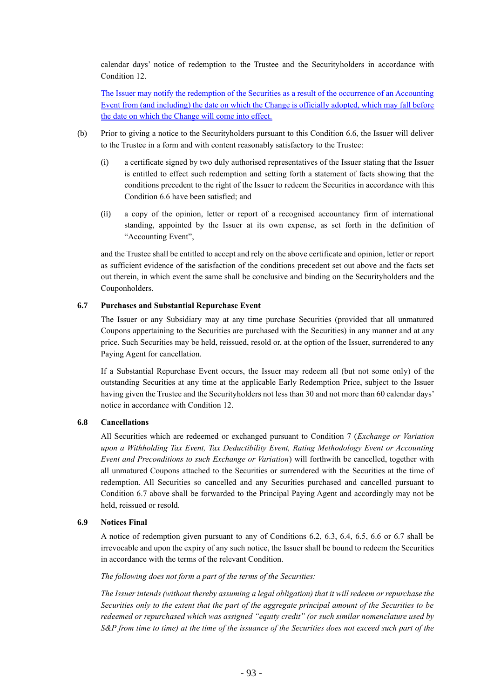calendar days' notice of redemption to the Trustee and the Securityholders in accordance with Condition 12.

The Issuer may notify the redemption of the Securities as a result of the occurrence of an Accounting Event from (and including) the date on which the Change is officially adopted, which may fall before the date on which the Change will come into effect.

- (b) Prior to giving a notice to the Securityholders pursuant to this Condition 6.6, the Issuer will deliver to the Trustee in a form and with content reasonably satisfactory to the Trustee:
	- (i) a certificate signed by two duly authorised representatives of the Issuer stating that the Issuer is entitled to effect such redemption and setting forth a statement of facts showing that the conditions precedent to the right of the Issuer to redeem the Securities in accordance with this Condition 6.6 have been satisfied; and
	- (ii) a copy of the opinion, letter or report of a recognised accountancy firm of international standing, appointed by the Issuer at its own expense, as set forth in the definition of "Accounting Event",

and the Trustee shall be entitled to accept and rely on the above certificate and opinion, letter or report as sufficient evidence of the satisfaction of the conditions precedent set out above and the facts set out therein, in which event the same shall be conclusive and binding on the Securityholders and the Couponholders.

### **6.7 Purchases and Substantial Repurchase Event**

The Issuer or any Subsidiary may at any time purchase Securities (provided that all unmatured Coupons appertaining to the Securities are purchased with the Securities) in any manner and at any price. Such Securities may be held, reissued, resold or, at the option of the Issuer, surrendered to any Paying Agent for cancellation.

If a Substantial Repurchase Event occurs, the Issuer may redeem all (but not some only) of the outstanding Securities at any time at the applicable Early Redemption Price, subject to the Issuer having given the Trustee and the Securityholders not less than 30 and not more than 60 calendar days' notice in accordance with Condition 12.

## **6.8 Cancellations**

All Securities which are redeemed or exchanged pursuant to Condition 7 (*Exchange or Variation upon a Withholding Tax Event, Tax Deductibility Event, Rating Methodology Event or Accounting Event and Preconditions to such Exchange or Variation*) will forthwith be cancelled, together with all unmatured Coupons attached to the Securities or surrendered with the Securities at the time of redemption. All Securities so cancelled and any Securities purchased and cancelled pursuant to Condition 6.7 above shall be forwarded to the Principal Paying Agent and accordingly may not be held, reissued or resold.

# **6.9 Notices Final**

A notice of redemption given pursuant to any of Conditions 6.2, 6.3, 6.4, 6.5, 6.6 or 6.7 shall be irrevocable and upon the expiry of any such notice, the Issuer shall be bound to redeem the Securities in accordance with the terms of the relevant Condition.

#### *The following does not form a part of the terms of the Securities:*

*The Issuer intends (without thereby assuming a legal obligation) that it will redeem or repurchase the Securities only to the extent that the part of the aggregate principal amount of the Securities to be redeemed or repurchased which was assigned "equity credit" (or such similar nomenclature used by S&P from time to time) at the time of the issuance of the Securities does not exceed such part of the*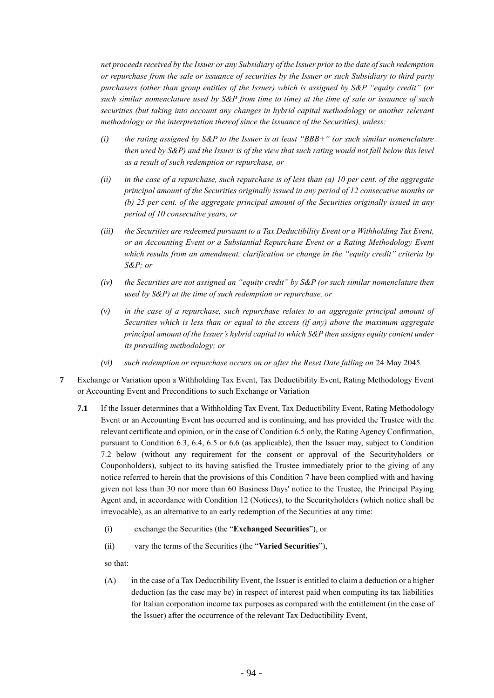*net proceeds received by the Issuer or any Subsidiary of the Issuer prior to the date of such redemption or repurchase from the sale or issuance of securities by the Issuer or such Subsidiary to third party purchasers (other than group entities of the Issuer) which is assigned by S&P "equity credit" (or such similar nomenclature used by S&P from time to time) at the time of sale or issuance of such securities (but taking into account any changes in hybrid capital methodology or another relevant methodology or the interpretation thereof since the issuance of the Securities), unless:*

- *(i) the rating assigned by S&P to the Issuer is at least "BBB+" (or such similar nomenclature then used by S&P) and the Issuer is of the view that such rating would not fall below this level as a result of such redemption or repurchase, or*
- *(ii) in the case of a repurchase, such repurchase is of less than (a) 10 per cent. of the aggregate principal amount of the Securities originally issued in any period of 12 consecutive months or (b) 25 per cent. of the aggregate principal amount of the Securities originally issued in any period of 10 consecutive years, or*
- *(iii) the Securities are redeemed pursuant to a Tax Deductibility Event or a Withholding Tax Event, or an Accounting Event or a Substantial Repurchase Event or a Rating Methodology Event which results from an amendment, clarification or change in the "equity credit" criteria by S&P; or*
- *(iv) the Securities are not assigned an "equity credit" by S&P (or such similar nomenclature then used by S&P) at the time of such redemption or repurchase, or*
- *(v) in the case of a repurchase, such repurchase relates to an aggregate principal amount of Securities which is less than or equal to the excess (if any) above the maximum aggregate principal amount of the Issuer's hybrid capital to which S&P then assigns equity content under its prevailing methodology; or*
- *(vi) such redemption or repurchase occurs on or after the Reset Date falling on* 24 May 2045.
- **7** Exchange or Variation upon a Withholding Tax Event, Tax Deductibility Event, Rating Methodology Event or Accounting Event and Preconditions to such Exchange or Variation
	- **7.1** If the Issuer determines that a Withholding Tax Event, Tax Deductibility Event, Rating Methodology Event or an Accounting Event has occurred and is continuing, and has provided the Trustee with the relevant certificate and opinion, or in the case of Condition 6.5 only, the Rating Agency Confirmation, pursuant to Condition 6.3, 6.4, 6.5 or 6.6 (as applicable), then the Issuer may, subject to Condition 7.2 below (without any requirement for the consent or approval of the Securityholders or Couponholders), subject to its having satisfied the Trustee immediately prior to the giving of any notice referred to herein that the provisions of this Condition 7 have been complied with and having given not less than 30 nor more than 60 Business Days' notice to the Trustee, the Principal Paying Agent and, in accordance with Condition 12 (Notices), to the Securityholders (which notice shall be irrevocable), as an alternative to an early redemption of the Securities at any time:
		- (i) exchange the Securities (the "**Exchanged Securities**"), or
		- (ii) vary the terms of the Securities (the "**Varied Securities**"),

so that:

(A) in the case of a Tax Deductibility Event, the Issuer is entitled to claim a deduction or a higher deduction (as the case may be) in respect of interest paid when computing its tax liabilities for Italian corporation income tax purposes as compared with the entitlement (in the case of the Issuer) after the occurrence of the relevant Tax Deductibility Event,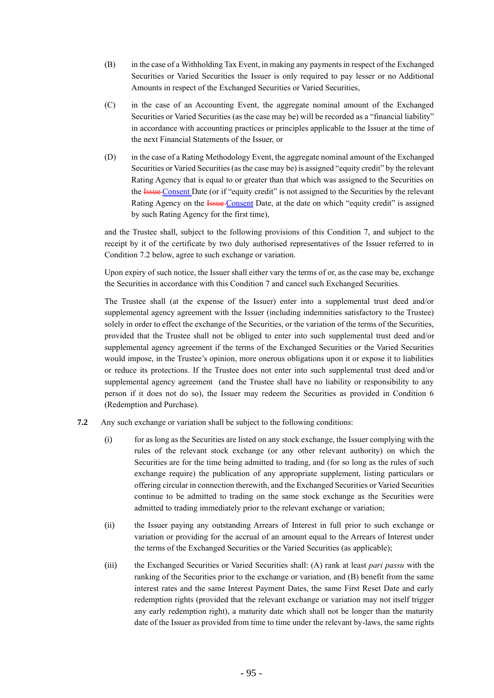- (B) in the case of a Withholding Tax Event, in making any payments in respect of the Exchanged Securities or Varied Securities the Issuer is only required to pay lesser or no Additional Amounts in respect of the Exchanged Securities or Varied Securities,
- (C) in the case of an Accounting Event, the aggregate nominal amount of the Exchanged Securities or Varied Securities (as the case may be) will be recorded as a "financial liability" in accordance with accounting practices or principles applicable to the Issuer at the time of the next Financial Statements of the Issuer, or
- (D) in the case of a Rating Methodology Event, the aggregate nominal amount of the Exchanged Securities or Varied Securities (as the case may be) is assigned "equity credit" by the relevant Rating Agency that is equal to or greater than that which was assigned to the Securities on the **Issue Consent** Date (or if "equity credit" is not assigned to the Securities by the relevant Rating Agency on the **Issue-Consent Date**, at the date on which "equity credit" is assigned by such Rating Agency for the first time),

and the Trustee shall, subject to the following provisions of this Condition 7, and subject to the receipt by it of the certificate by two duly authorised representatives of the Issuer referred to in Condition 7.2 below, agree to such exchange or variation.

Upon expiry of such notice, the Issuer shall either vary the terms of or, as the case may be, exchange the Securities in accordance with this Condition 7 and cancel such Exchanged Securities.

The Trustee shall (at the expense of the Issuer) enter into a supplemental trust deed and/or supplemental agency agreement with the Issuer (including indemnities satisfactory to the Trustee) solely in order to effect the exchange of the Securities, or the variation of the terms of the Securities, provided that the Trustee shall not be obliged to enter into such supplemental trust deed and/or supplemental agency agreement if the terms of the Exchanged Securities or the Varied Securities would impose, in the Trustee's opinion, more onerous obligations upon it or expose it to liabilities or reduce its protections. If the Trustee does not enter into such supplemental trust deed and/or supplemental agency agreement (and the Trustee shall have no liability or responsibility to any person if it does not do so), the Issuer may redeem the Securities as provided in Condition 6 (Redemption and Purchase).

- **7.2** Any such exchange or variation shall be subject to the following conditions:
	- (i) for as long as the Securities are listed on any stock exchange, the Issuer complying with the rules of the relevant stock exchange (or any other relevant authority) on which the Securities are for the time being admitted to trading, and (for so long as the rules of such exchange require) the publication of any appropriate supplement, listing particulars or offering circular in connection therewith, and the Exchanged Securities or Varied Securities continue to be admitted to trading on the same stock exchange as the Securities were admitted to trading immediately prior to the relevant exchange or variation;
	- (ii) the Issuer paying any outstanding Arrears of Interest in full prior to such exchange or variation or providing for the accrual of an amount equal to the Arrears of Interest under the terms of the Exchanged Securities or the Varied Securities (as applicable);
	- (iii) the Exchanged Securities or Varied Securities shall: (A) rank at least *pari passu* with the ranking of the Securities prior to the exchange or variation, and (B) benefit from the same interest rates and the same Interest Payment Dates, the same First Reset Date and early redemption rights (provided that the relevant exchange or variation may not itself trigger any early redemption right), a maturity date which shall not be longer than the maturity date of the Issuer as provided from time to time under the relevant by-laws, the same rights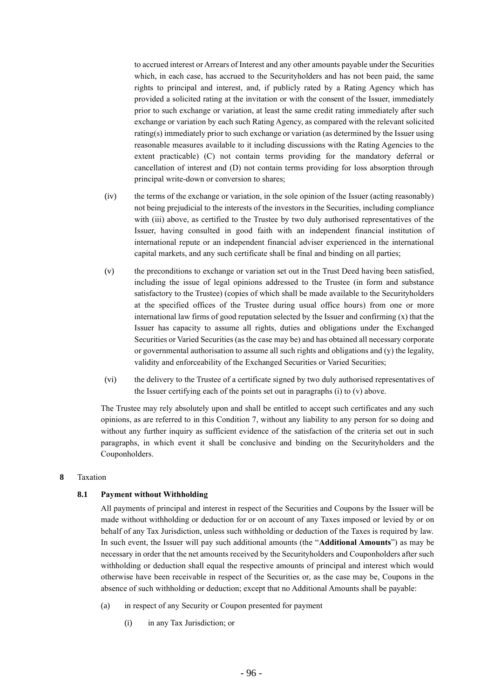to accrued interest or Arrears of Interest and any other amounts payable under the Securities which, in each case, has accrued to the Securityholders and has not been paid, the same rights to principal and interest, and, if publicly rated by a Rating Agency which has provided a solicited rating at the invitation or with the consent of the Issuer, immediately prior to such exchange or variation, at least the same credit rating immediately after such exchange or variation by each such Rating Agency, as compared with the relevant solicited rating(s) immediately prior to such exchange or variation (as determined by the Issuer using reasonable measures available to it including discussions with the Rating Agencies to the extent practicable) (C) not contain terms providing for the mandatory deferral or cancellation of interest and (D) not contain terms providing for loss absorption through principal write-down or conversion to shares;

- (iv) the terms of the exchange or variation, in the sole opinion of the Issuer (acting reasonably) not being prejudicial to the interests of the investors in the Securities, including compliance with (iii) above, as certified to the Trustee by two duly authorised representatives of the Issuer, having consulted in good faith with an independent financial institution of international repute or an independent financial adviser experienced in the international capital markets, and any such certificate shall be final and binding on all parties;
- (v) the preconditions to exchange or variation set out in the Trust Deed having been satisfied, including the issue of legal opinions addressed to the Trustee (in form and substance satisfactory to the Trustee) (copies of which shall be made available to the Securityholders at the specified offices of the Trustee during usual office hours) from one or more international law firms of good reputation selected by the Issuer and confirming  $(x)$  that the Issuer has capacity to assume all rights, duties and obligations under the Exchanged Securities or Varied Securities (as the case may be) and has obtained all necessary corporate or governmental authorisation to assume all such rights and obligations and  $(y)$  the legality, validity and enforceability of the Exchanged Securities or Varied Securities;
- (vi) the delivery to the Trustee of a certificate signed by two duly authorised representatives of the Issuer certifying each of the points set out in paragraphs (i) to (v) above.

The Trustee may rely absolutely upon and shall be entitled to accept such certificates and any such opinions, as are referred to in this Condition 7, without any liability to any person for so doing and without any further inquiry as sufficient evidence of the satisfaction of the criteria set out in such paragraphs, in which event it shall be conclusive and binding on the Securityholders and the Couponholders.

#### **8** Taxation

### **8.1 Payment without Withholding**

All payments of principal and interest in respect of the Securities and Coupons by the Issuer will be made without withholding or deduction for or on account of any Taxes imposed or levied by or on behalf of any Tax Jurisdiction, unless such withholding or deduction of the Taxes is required by law. In such event, the Issuer will pay such additional amounts (the "**Additional Amounts**") as may be necessary in order that the net amounts received by the Securityholders and Couponholders after such withholding or deduction shall equal the respective amounts of principal and interest which would otherwise have been receivable in respect of the Securities or, as the case may be, Coupons in the absence of such withholding or deduction; except that no Additional Amounts shall be payable:

- (a) in respect of any Security or Coupon presented for payment
	- (i) in any Tax Jurisdiction; or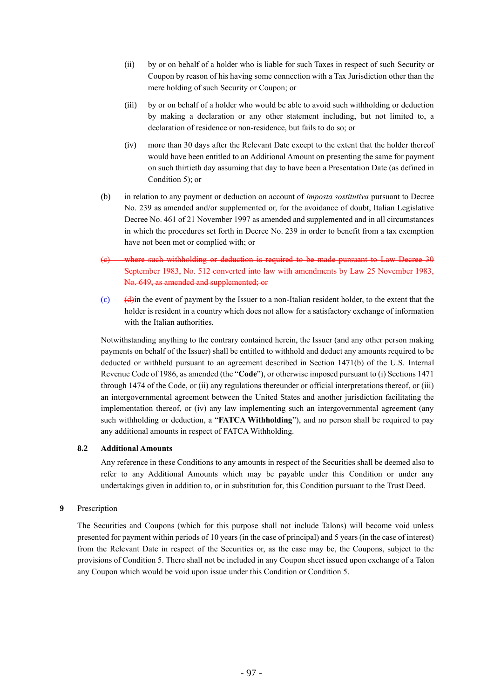- (ii) by or on behalf of a holder who is liable for such Taxes in respect of such Security or Coupon by reason of his having some connection with a Tax Jurisdiction other than the mere holding of such Security or Coupon; or
- (iii) by or on behalf of a holder who would be able to avoid such withholding or deduction by making a declaration or any other statement including, but not limited to, a declaration of residence or non-residence, but fails to do so; or
- (iv) more than 30 days after the Relevant Date except to the extent that the holder thereof would have been entitled to an Additional Amount on presenting the same for payment on such thirtieth day assuming that day to have been a Presentation Date (as defined in Condition 5); or
- (b) in relation to any payment or deduction on account of *imposta sostitutiva* pursuant to Decree No. 239 as amended and/or supplemented or, for the avoidance of doubt, Italian Legislative Decree No. 461 of 21 November 1997 as amended and supplemented and in all circumstances in which the procedures set forth in Decree No. 239 in order to benefit from a tax exemption have not been met or complied with; or
- (c) where such withholding or deduction is required to be made pursuant to Law Decree 30 September 1983, No. 512 converted into law with amendments by Law 25 November 1983, No. 649, as amended and supplemented; or
- (c) (d)in the event of payment by the Issuer to a non-Italian resident holder, to the extent that the holder is resident in a country which does not allow for a satisfactory exchange of information with the Italian authorities.

Notwithstanding anything to the contrary contained herein, the Issuer (and any other person making payments on behalf of the Issuer) shall be entitled to withhold and deduct any amounts required to be deducted or withheld pursuant to an agreement described in Section 1471(b) of the U.S. Internal Revenue Code of 1986, as amended (the "**Code**"), or otherwise imposed pursuant to (i) Sections 1471 through 1474 of the Code, or (ii) any regulations thereunder or official interpretations thereof, or (iii) an intergovernmental agreement between the United States and another jurisdiction facilitating the implementation thereof, or (iv) any law implementing such an intergovernmental agreement (any such withholding or deduction, a "**FATCA Withholding**"), and no person shall be required to pay any additional amounts in respect of FATCA Withholding.

# **8.2 Additional Amounts**

Any reference in these Conditions to any amounts in respect of the Securities shall be deemed also to refer to any Additional Amounts which may be payable under this Condition or under any undertakings given in addition to, or in substitution for, this Condition pursuant to the Trust Deed.

### **9** Prescription

The Securities and Coupons (which for this purpose shall not include Talons) will become void unless presented for payment within periods of 10 years (in the case of principal) and 5 years (in the case of interest) from the Relevant Date in respect of the Securities or, as the case may be, the Coupons, subject to the provisions of Condition 5. There shall not be included in any Coupon sheet issued upon exchange of a Talon any Coupon which would be void upon issue under this Condition or Condition 5.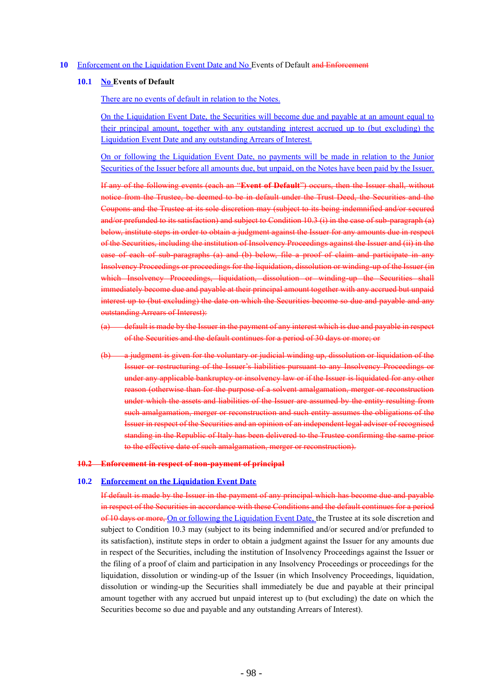### **10** Enforcement on the Liquidation Event Date and No Events of Default and Enforcement

### **10.1 No Events of Default**

There are no events of default in relation to the Notes.

On the Liquidation Event Date, the Securities will become due and payable at an amount equal to their principal amount, together with any outstanding interest accrued up to (but excluding) the Liquidation Event Date and any outstanding Arrears of Interest.

On or following the Liquidation Event Date, no payments will be made in relation to the Junior Securities of the Issuer before all amounts due, but unpaid, on the Notes have been paid by the Issuer.

If any of the following events (each an "**Event of Default**") occurs, then the Issuer shall, without notice from the Trustee, be deemed to be in default under the Trust Deed, the Securities and the Coupons and the Trustee at its sole discretion may (subject to its being indemnified and/or secured and/or prefunded to its satisfaction) and subject to Condition 10.3 (i) in the case of sub-paragraph (a) below, institute steps in order to obtain a judgment against the Issuer for any amounts due in respect of the Securities, including the institution of Insolvency Proceedings against the Issuer and (ii) in the case of each of sub-paragraphs (a) and (b) below, file a proof of claim and participate in any Insolvency Proceedings or proceedings for the liquidation, dissolution or winding-up of the Issuer (in which Insolvency Proceedings, liquidation, dissolution or winding up the Securities shall immediately become due and payable at their principal amount together with any accrued but unpaid interest up to (but excluding) the date on which the Securities become so due and payable and any outstanding Arrears of Interest):

- default is made by the Issuer in the payment of any interest which is due and payable in respect of the Securities and the default continues for a period of 30 days or more; or
- a judgment is given for the voluntary or judicial winding up, dissolution or liquidation of the Issuer or restructuring of the Issuer's liabilities pursuant to any Insolvency Proceedings or under any applicable bankruptcy or insolvency law or if the Issuer is liquidated for any other reason (otherwise than for the purpose of a solvent amalgamation, merger or reconstruction under which the assets and liabilities of the Issuer are assumed by the entity resulting from such amalgamation, merger or reconstruction and such entity assumes the obligations of the Issuer in respect of the Securities and an opinion of an independent legal adviser of recognised standing in the Republic of Italy has been delivered to the Trustee confirming the same prior to the effective date of such amalgamation, merger or reconstruction).

### **10.2 Enforcement in respect of non-payment of principal**

## **10.2 Enforcement on the Liquidation Event Date**

If default is made by the Issuer in the payment of any principal which has become due and payable in respect of the Securities in accordance with these Conditions and the default continues for a period of 10 days or more, On or following the Liquidation Event Date, the Trustee at its sole discretion and subject to Condition 10.3 may (subject to its being indemnified and/or secured and/or prefunded to its satisfaction), institute steps in order to obtain a judgment against the Issuer for any amounts due in respect of the Securities, including the institution of Insolvency Proceedings against the Issuer or the filing of a proof of claim and participation in any Insolvency Proceedings or proceedings for the liquidation, dissolution or winding-up of the Issuer (in which Insolvency Proceedings, liquidation, dissolution or winding-up the Securities shall immediately be due and payable at their principal amount together with any accrued but unpaid interest up to (but excluding) the date on which the Securities become so due and payable and any outstanding Arrears of Interest).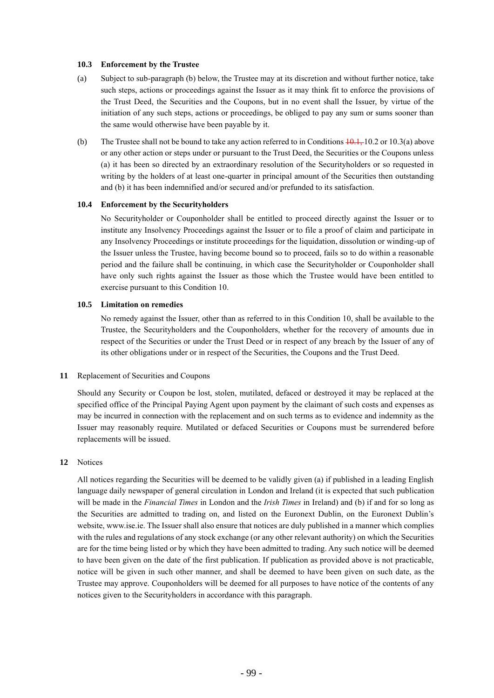### **10.3 Enforcement by the Trustee**

- (a) Subject to sub-paragraph (b) below, the Trustee may at its discretion and without further notice, take such steps, actions or proceedings against the Issuer as it may think fit to enforce the provisions of the Trust Deed, the Securities and the Coupons, but in no event shall the Issuer, by virtue of the initiation of any such steps, actions or proceedings, be obliged to pay any sum or sums sooner than the same would otherwise have been payable by it.
- (b) The Trustee shall not be bound to take any action referred to in Conditions  $\frac{10.1}{10.2}$  or 10.3(a) above or any other action or steps under or pursuant to the Trust Deed, the Securities or the Coupons unless (a) it has been so directed by an extraordinary resolution of the Securityholders or so requested in writing by the holders of at least one-quarter in principal amount of the Securities then outstanding and (b) it has been indemnified and/or secured and/or prefunded to its satisfaction.

# **10.4 Enforcement by the Securityholders**

No Securityholder or Couponholder shall be entitled to proceed directly against the Issuer or to institute any Insolvency Proceedings against the Issuer or to file a proof of claim and participate in any Insolvency Proceedings or institute proceedings for the liquidation, dissolution or winding-up of the Issuer unless the Trustee, having become bound so to proceed, fails so to do within a reasonable period and the failure shall be continuing, in which case the Securityholder or Couponholder shall have only such rights against the Issuer as those which the Trustee would have been entitled to exercise pursuant to this Condition 10.

### **10.5 Limitation on remedies**

No remedy against the Issuer, other than as referred to in this Condition 10, shall be available to the Trustee, the Securityholders and the Couponholders, whether for the recovery of amounts due in respect of the Securities or under the Trust Deed or in respect of any breach by the Issuer of any of its other obligations under or in respect of the Securities, the Coupons and the Trust Deed.

### **11** Replacement of Securities and Coupons

Should any Security or Coupon be lost, stolen, mutilated, defaced or destroyed it may be replaced at the specified office of the Principal Paying Agent upon payment by the claimant of such costs and expenses as may be incurred in connection with the replacement and on such terms as to evidence and indemnity as the Issuer may reasonably require. Mutilated or defaced Securities or Coupons must be surrendered before replacements will be issued.

# **12** Notices

All notices regarding the Securities will be deemed to be validly given (a) if published in a leading English language daily newspaper of general circulation in London and Ireland (it is expected that such publication will be made in the *Financial Times* in London and the *Irish Times* in Ireland) and (b) if and for so long as the Securities are admitted to trading on, and listed on the Euronext Dublin, on the Euronext Dublin's website, www.ise.ie. The Issuer shall also ensure that notices are duly published in a manner which complies with the rules and regulations of any stock exchange (or any other relevant authority) on which the Securities are for the time being listed or by which they have been admitted to trading. Any such notice will be deemed to have been given on the date of the first publication. If publication as provided above is not practicable, notice will be given in such other manner, and shall be deemed to have been given on such date, as the Trustee may approve. Couponholders will be deemed for all purposes to have notice of the contents of any notices given to the Securityholders in accordance with this paragraph.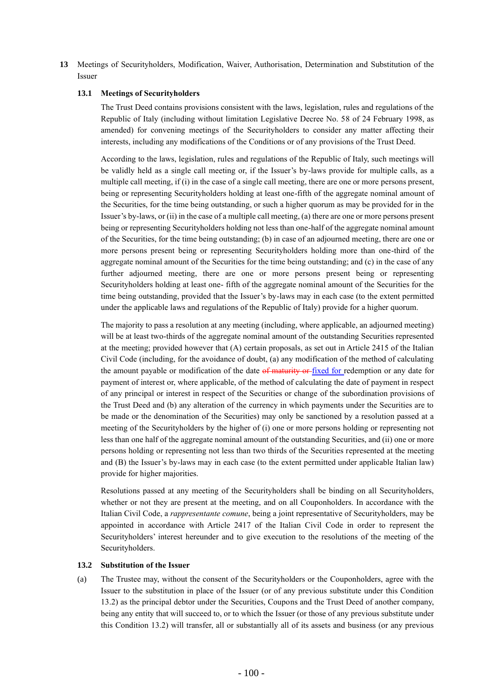**13** Meetings of Securityholders, Modification, Waiver, Authorisation, Determination and Substitution of the Issuer

### **13.1 Meetings of Securityholders**

The Trust Deed contains provisions consistent with the laws, legislation, rules and regulations of the Republic of Italy (including without limitation Legislative Decree No. 58 of 24 February 1998, as amended) for convening meetings of the Securityholders to consider any matter affecting their interests, including any modifications of the Conditions or of any provisions of the Trust Deed.

According to the laws, legislation, rules and regulations of the Republic of Italy, such meetings will be validly held as a single call meeting or, if the Issuer's by-laws provide for multiple calls, as a multiple call meeting, if (i) in the case of a single call meeting, there are one or more persons present, being or representing Securityholders holding at least one-fifth of the aggregate nominal amount of the Securities, for the time being outstanding, or such a higher quorum as may be provided for in the Issuer's by-laws, or (ii) in the case of a multiple call meeting, (a) there are one or more persons present being or representing Securityholders holding not less than one-half of the aggregate nominal amount of the Securities, for the time being outstanding; (b) in case of an adjourned meeting, there are one or more persons present being or representing Securityholders holding more than one-third of the aggregate nominal amount of the Securities for the time being outstanding; and (c) in the case of any further adjourned meeting, there are one or more persons present being or representing Securityholders holding at least one- fifth of the aggregate nominal amount of the Securities for the time being outstanding, provided that the Issuer's by-laws may in each case (to the extent permitted under the applicable laws and regulations of the Republic of Italy) provide for a higher quorum.

The majority to pass a resolution at any meeting (including, where applicable, an adjourned meeting) will be at least two-thirds of the aggregate nominal amount of the outstanding Securities represented at the meeting; provided however that (A) certain proposals, as set out in Article 2415 of the Italian Civil Code (including, for the avoidance of doubt, (a) any modification of the method of calculating the amount payable or modification of the date of maturity or fixed for redemption or any date for payment of interest or, where applicable, of the method of calculating the date of payment in respect of any principal or interest in respect of the Securities or change of the subordination provisions of the Trust Deed and (b) any alteration of the currency in which payments under the Securities are to be made or the denomination of the Securities) may only be sanctioned by a resolution passed at a meeting of the Securityholders by the higher of (i) one or more persons holding or representing not less than one half of the aggregate nominal amount of the outstanding Securities, and (ii) one or more persons holding or representing not less than two thirds of the Securities represented at the meeting and (B) the Issuer's by-laws may in each case (to the extent permitted under applicable Italian law) provide for higher majorities.

Resolutions passed at any meeting of the Securityholders shall be binding on all Securityholders, whether or not they are present at the meeting, and on all Couponholders. In accordance with the Italian Civil Code, a *rappresentante comune*, being a joint representative of Securityholders, may be appointed in accordance with Article 2417 of the Italian Civil Code in order to represent the Securityholders' interest hereunder and to give execution to the resolutions of the meeting of the Securityholders.

### **13.2 Substitution of the Issuer**

(a) The Trustee may, without the consent of the Securityholders or the Couponholders, agree with the Issuer to the substitution in place of the Issuer (or of any previous substitute under this Condition 13.2) as the principal debtor under the Securities, Coupons and the Trust Deed of another company, being any entity that will succeed to, or to which the Issuer (or those of any previous substitute under this Condition 13.2) will transfer, all or substantially all of its assets and business (or any previous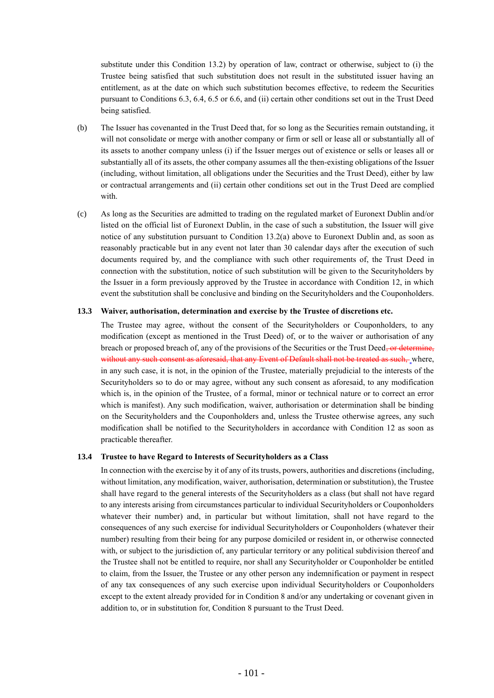substitute under this Condition 13.2) by operation of law, contract or otherwise, subject to (i) the Trustee being satisfied that such substitution does not result in the substituted issuer having an entitlement, as at the date on which such substitution becomes effective, to redeem the Securities pursuant to Conditions 6.3, 6.4, 6.5 or 6.6, and (ii) certain other conditions set out in the Trust Deed being satisfied.

- (b) The Issuer has covenanted in the Trust Deed that, for so long as the Securities remain outstanding, it will not consolidate or merge with another company or firm or sell or lease all or substantially all of its assets to another company unless (i) if the Issuer merges out of existence or sells or leases all or substantially all of its assets, the other company assumes all the then-existing obligations of the Issuer (including, without limitation, all obligations under the Securities and the Trust Deed), either by law or contractual arrangements and (ii) certain other conditions set out in the Trust Deed are complied with.
- (c) As long as the Securities are admitted to trading on the regulated market of Euronext Dublin and/or listed on the official list of Euronext Dublin, in the case of such a substitution, the Issuer will give notice of any substitution pursuant to Condition 13.2(a) above to Euronext Dublin and, as soon as reasonably practicable but in any event not later than 30 calendar days after the execution of such documents required by, and the compliance with such other requirements of, the Trust Deed in connection with the substitution, notice of such substitution will be given to the Securityholders by the Issuer in a form previously approved by the Trustee in accordance with Condition 12, in which event the substitution shall be conclusive and binding on the Securityholders and the Couponholders.

### **13.3 Waiver, authorisation, determination and exercise by the Trustee of discretions etc.**

The Trustee may agree, without the consent of the Securityholders or Couponholders, to any modification (except as mentioned in the Trust Deed) of, or to the waiver or authorisation of any breach or proposed breach of, any of the provisions of the Securities or the Trust Deed<del>, or determine,</del> without any such consent as aforesaid, that any Event of Default shall not be treated as such, where, in any such case, it is not, in the opinion of the Trustee, materially prejudicial to the interests of the Securityholders so to do or may agree, without any such consent as aforesaid, to any modification which is, in the opinion of the Trustee, of a formal, minor or technical nature or to correct an error which is manifest). Any such modification, waiver, authorisation or determination shall be binding on the Securityholders and the Couponholders and, unless the Trustee otherwise agrees, any such modification shall be notified to the Securityholders in accordance with Condition 12 as soon as practicable thereafter.

# **13.4 Trustee to have Regard to Interests of Securityholders as a Class**

In connection with the exercise by it of any of its trusts, powers, authorities and discretions (including, without limitation, any modification, waiver, authorisation, determination or substitution), the Trustee shall have regard to the general interests of the Securityholders as a class (but shall not have regard to any interests arising from circumstances particular to individual Securityholders or Couponholders whatever their number) and, in particular but without limitation, shall not have regard to the consequences of any such exercise for individual Securityholders or Couponholders (whatever their number) resulting from their being for any purpose domiciled or resident in, or otherwise connected with, or subject to the jurisdiction of, any particular territory or any political subdivision thereof and the Trustee shall not be entitled to require, nor shall any Securityholder or Couponholder be entitled to claim, from the Issuer, the Trustee or any other person any indemnification or payment in respect of any tax consequences of any such exercise upon individual Securityholders or Couponholders except to the extent already provided for in Condition 8 and/or any undertaking or covenant given in addition to, or in substitution for, Condition 8 pursuant to the Trust Deed.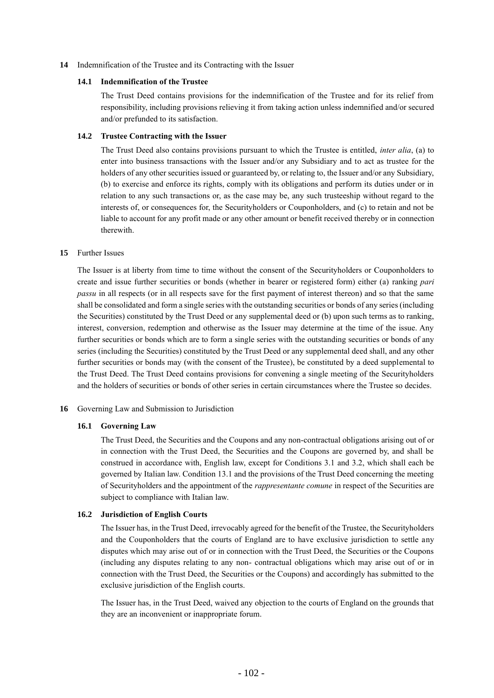**14** Indemnification of the Trustee and its Contracting with the Issuer

## **14.1 Indemnification of the Trustee**

The Trust Deed contains provisions for the indemnification of the Trustee and for its relief from responsibility, including provisions relieving it from taking action unless indemnified and/or secured and/or prefunded to its satisfaction.

### **14.2 Trustee Contracting with the Issuer**

The Trust Deed also contains provisions pursuant to which the Trustee is entitled, *inter alia*, (a) to enter into business transactions with the Issuer and/or any Subsidiary and to act as trustee for the holders of any other securities issued or guaranteed by, or relating to, the Issuer and/or any Subsidiary, (b) to exercise and enforce its rights, comply with its obligations and perform its duties under or in relation to any such transactions or, as the case may be, any such trusteeship without regard to the interests of, or consequences for, the Securityholders or Couponholders, and (c) to retain and not be liable to account for any profit made or any other amount or benefit received thereby or in connection therewith.

### **15** Further Issues

The Issuer is at liberty from time to time without the consent of the Securityholders or Couponholders to create and issue further securities or bonds (whether in bearer or registered form) either (a) ranking *pari passu* in all respects (or in all respects save for the first payment of interest thereon) and so that the same shall be consolidated and form a single series with the outstanding securities or bonds of any series (including the Securities) constituted by the Trust Deed or any supplemental deed or (b) upon such terms as to ranking, interest, conversion, redemption and otherwise as the Issuer may determine at the time of the issue. Any further securities or bonds which are to form a single series with the outstanding securities or bonds of any series (including the Securities) constituted by the Trust Deed or any supplemental deed shall, and any other further securities or bonds may (with the consent of the Trustee), be constituted by a deed supplemental to the Trust Deed. The Trust Deed contains provisions for convening a single meeting of the Securityholders and the holders of securities or bonds of other series in certain circumstances where the Trustee so decides.

# **16** Governing Law and Submission to Jurisdiction

# **16.1 Governing Law**

The Trust Deed, the Securities and the Coupons and any non-contractual obligations arising out of or in connection with the Trust Deed, the Securities and the Coupons are governed by, and shall be construed in accordance with, English law, except for Conditions 3.1 and 3.2, which shall each be governed by Italian law. Condition 13.1 and the provisions of the Trust Deed concerning the meeting of Securityholders and the appointment of the *rappresentante comune* in respect of the Securities are subject to compliance with Italian law.

# **16.2 Jurisdiction of English Courts**

The Issuer has, in the Trust Deed, irrevocably agreed for the benefit of the Trustee, the Securityholders and the Couponholders that the courts of England are to have exclusive jurisdiction to settle any disputes which may arise out of or in connection with the Trust Deed, the Securities or the Coupons (including any disputes relating to any non- contractual obligations which may arise out of or in connection with the Trust Deed, the Securities or the Coupons) and accordingly has submitted to the exclusive jurisdiction of the English courts.

The Issuer has, in the Trust Deed, waived any objection to the courts of England on the grounds that they are an inconvenient or inappropriate forum.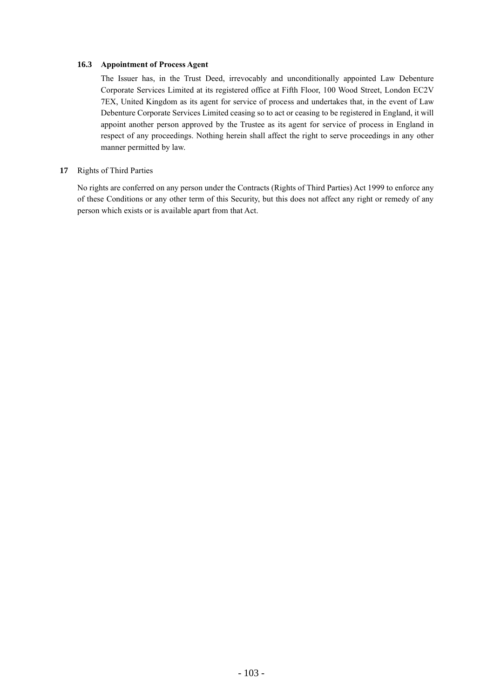# **16.3 Appointment of Process Agent**

The Issuer has, in the Trust Deed, irrevocably and unconditionally appointed Law Debenture Corporate Services Limited at its registered office at Fifth Floor, 100 Wood Street, London EC2V 7EX, United Kingdom as its agent for service of process and undertakes that, in the event of Law Debenture Corporate Services Limited ceasing so to act or ceasing to be registered in England, it will appoint another person approved by the Trustee as its agent for service of process in England in respect of any proceedings. Nothing herein shall affect the right to serve proceedings in any other manner permitted by law.

# **17** Rights of Third Parties

No rights are conferred on any person under the Contracts (Rights of Third Parties) Act 1999 to enforce any of these Conditions or any other term of this Security, but this does not affect any right or remedy of any person which exists or is available apart from that Act.